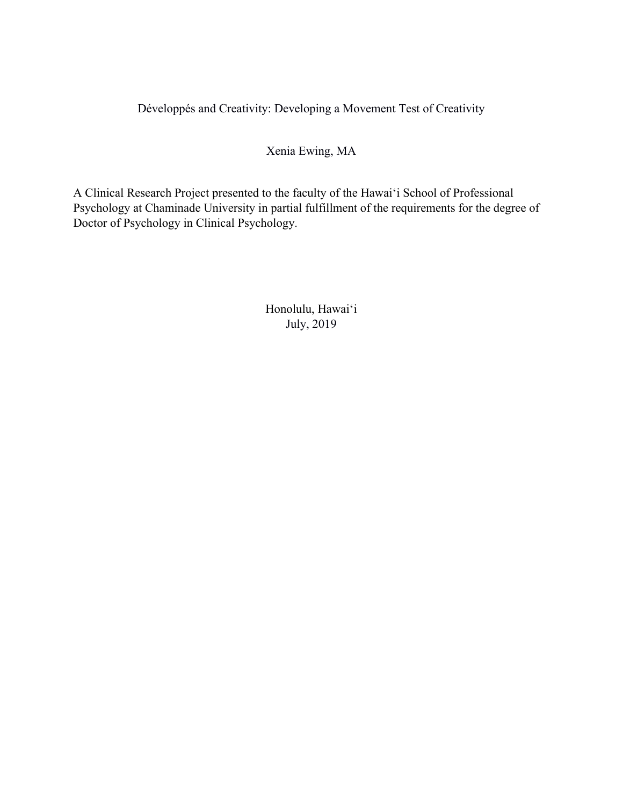Développés and Creativity: Developing a Movement Test of Creativity

Xenia Ewing, MA

A Clinical Research Project presented to the faculty of the Hawai'i School of Professional Psychology at Chaminade University in partial fulfillment of the requirements for the degree of Doctor of Psychology in Clinical Psychology.

> Honolulu, Hawai'i July, 2019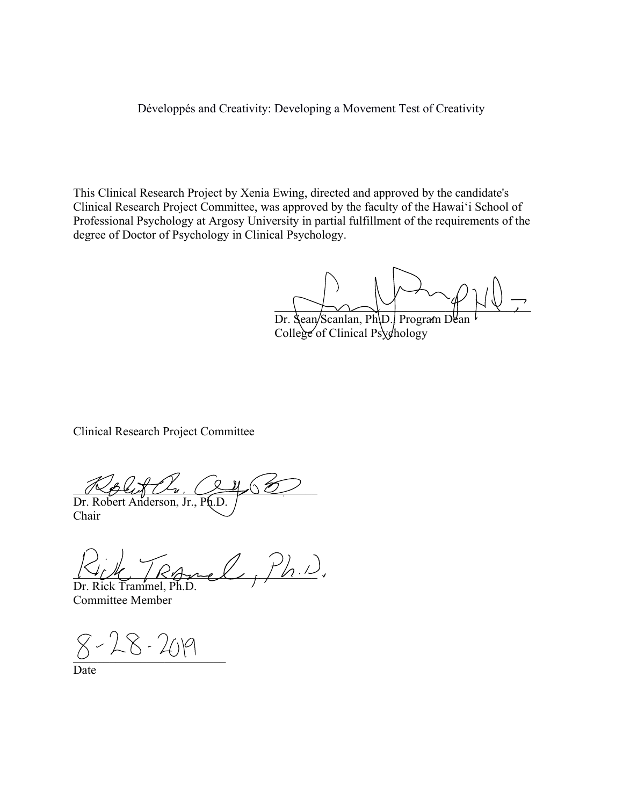Développés and Creativity: Developing a Movement Test of Creativity

This Clinical Research Project by Xenia Ewing, directed and approved by the candidate's Clinical Research Project Committee, was approved by the faculty of the Hawai'i School of Professional Psychology at Argosy University in partial fulfillment of the requirements of the degree of Doctor of Psychology in Clinical Psychology.

\_\_\_\_\_\_\_\_\_\_\_\_\_\_\_\_\_\_\_\_\_\_\_\_\_\_\_\_\_\_\_\_\_\_\_\_\_\_\_\_\_\_

Dr. Sean/Scanlan, Ph.D., Program Dean College of Clinical Psychology

Clinical Research Project Committee

 $\sqrt{2}$ Dr. Robert Anderson, Jr., Ph.D.

Chair

Ranel, Ph.D. Dr. Rick Trammel, Ph.D.

Committee Member

 $8 - 28 - 209$ 

Date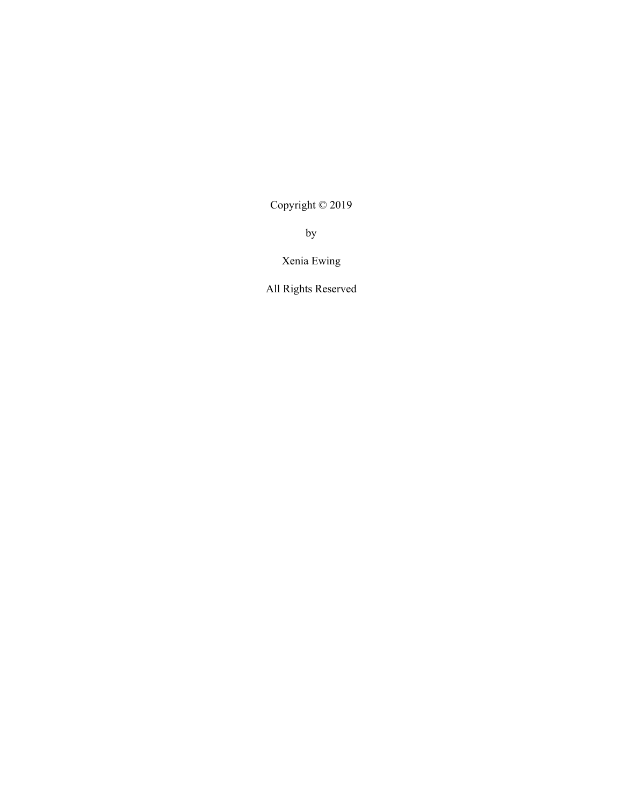Copyright © 2019

by

Xenia Ewing

All Rights Reserved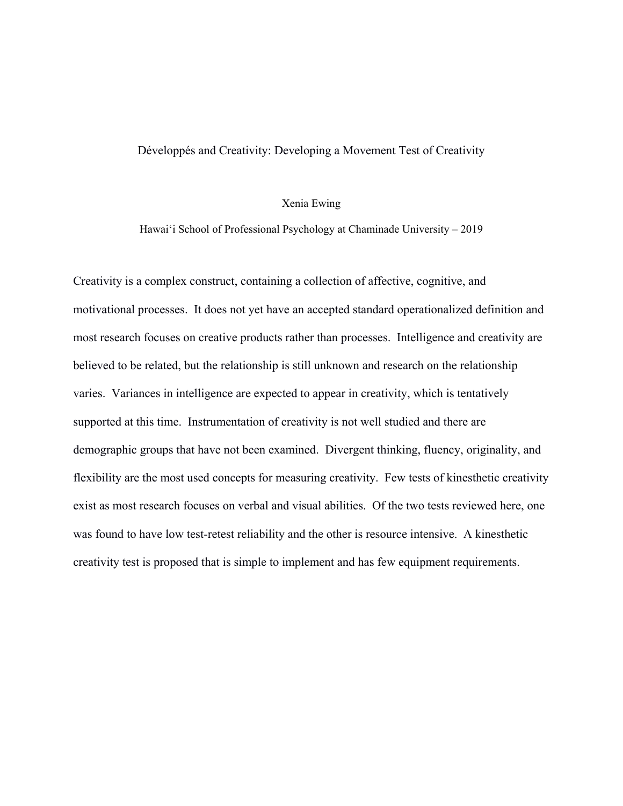# Développés and Creativity: Developing a Movement Test of Creativity

## Xenia Ewing

Hawai'i School of Professional Psychology at Chaminade University – 2019

Creativity is a complex construct, containing a collection of affective, cognitive, and motivational processes. It does not yet have an accepted standard operationalized definition and most research focuses on creative products rather than processes. Intelligence and creativity are believed to be related, but the relationship is still unknown and research on the relationship varies. Variances in intelligence are expected to appear in creativity, which is tentatively supported at this time. Instrumentation of creativity is not well studied and there are demographic groups that have not been examined. Divergent thinking, fluency, originality, and flexibility are the most used concepts for measuring creativity. Few tests of kinesthetic creativity exist as most research focuses on verbal and visual abilities. Of the two tests reviewed here, one was found to have low test-retest reliability and the other is resource intensive. A kinesthetic creativity test is proposed that is simple to implement and has few equipment requirements.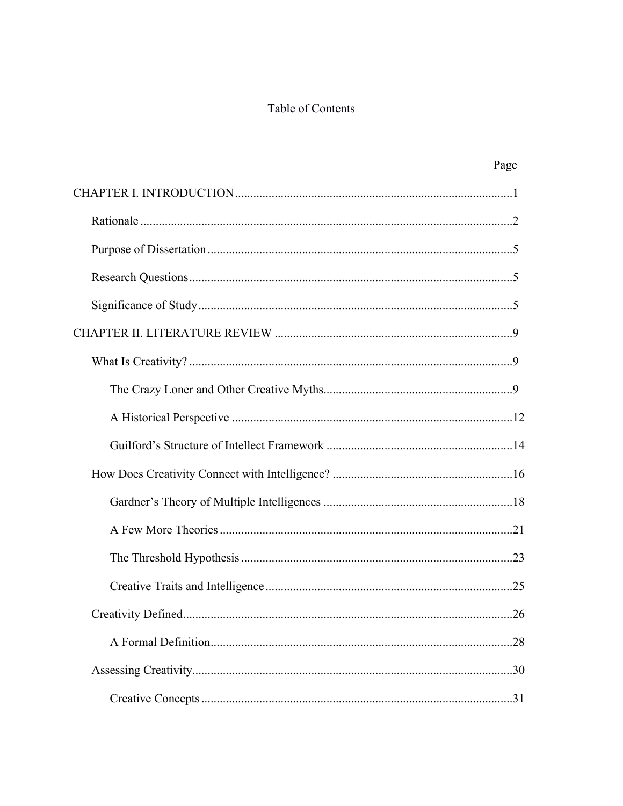# Table of Contents

| Page                      |  |
|---------------------------|--|
|                           |  |
|                           |  |
|                           |  |
|                           |  |
|                           |  |
|                           |  |
|                           |  |
|                           |  |
|                           |  |
|                           |  |
|                           |  |
|                           |  |
|                           |  |
|                           |  |
|                           |  |
| Creativity Defined<br>.26 |  |
|                           |  |
|                           |  |
|                           |  |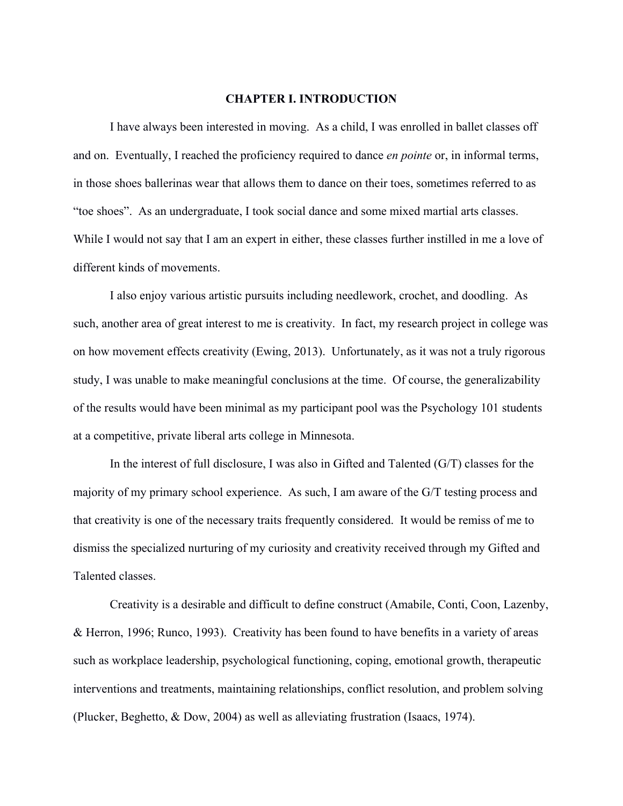#### **CHAPTER I. INTRODUCTION**

I have always been interested in moving. As a child, I was enrolled in ballet classes off and on. Eventually, I reached the proficiency required to dance *en pointe* or, in informal terms, in those shoes ballerinas wear that allows them to dance on their toes, sometimes referred to as "toe shoes". As an undergraduate, I took social dance and some mixed martial arts classes. While I would not say that I am an expert in either, these classes further instilled in me a love of different kinds of movements.

I also enjoy various artistic pursuits including needlework, crochet, and doodling. As such, another area of great interest to me is creativity. In fact, my research project in college was on how movement effects creativity (Ewing, 2013). Unfortunately, as it was not a truly rigorous study, I was unable to make meaningful conclusions at the time. Of course, the generalizability of the results would have been minimal as my participant pool was the Psychology 101 students at a competitive, private liberal arts college in Minnesota.

In the interest of full disclosure, I was also in Gifted and Talented (G/T) classes for the majority of my primary school experience. As such, I am aware of the G/T testing process and that creativity is one of the necessary traits frequently considered. It would be remiss of me to dismiss the specialized nurturing of my curiosity and creativity received through my Gifted and Talented classes.

Creativity is a desirable and difficult to define construct (Amabile, Conti, Coon, Lazenby, & Herron, 1996; Runco, 1993). Creativity has been found to have benefits in a variety of areas such as workplace leadership, psychological functioning, coping, emotional growth, therapeutic interventions and treatments, maintaining relationships, conflict resolution, and problem solving (Plucker, Beghetto, & Dow, 2004) as well as alleviating frustration (Isaacs, 1974).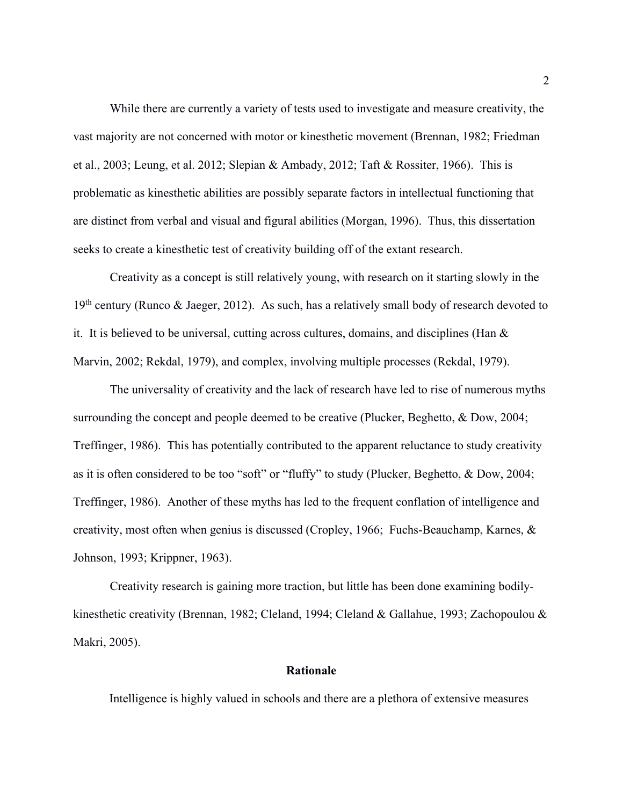While there are currently a variety of tests used to investigate and measure creativity, the vast majority are not concerned with motor or kinesthetic movement (Brennan, 1982; Friedman et al., 2003; Leung, et al. 2012; Slepian & Ambady, 2012; Taft & Rossiter, 1966). This is problematic as kinesthetic abilities are possibly separate factors in intellectual functioning that are distinct from verbal and visual and figural abilities (Morgan, 1996). Thus, this dissertation seeks to create a kinesthetic test of creativity building off of the extant research.

Creativity as a concept is still relatively young, with research on it starting slowly in the  $19<sup>th</sup>$  century (Runco & Jaeger, 2012). As such, has a relatively small body of research devoted to it. It is believed to be universal, cutting across cultures, domains, and disciplines (Han  $\&$ Marvin, 2002; Rekdal, 1979), and complex, involving multiple processes (Rekdal, 1979).

The universality of creativity and the lack of research have led to rise of numerous myths surrounding the concept and people deemed to be creative (Plucker, Beghetto, & Dow, 2004; Treffinger, 1986). This has potentially contributed to the apparent reluctance to study creativity as it is often considered to be too "soft" or "fluffy" to study (Plucker, Beghetto, & Dow, 2004; Treffinger, 1986). Another of these myths has led to the frequent conflation of intelligence and creativity, most often when genius is discussed (Cropley, 1966; Fuchs-Beauchamp, Karnes, & Johnson, 1993; Krippner, 1963).

Creativity research is gaining more traction, but little has been done examining bodilykinesthetic creativity (Brennan, 1982; Cleland, 1994; Cleland & Gallahue, 1993; Zachopoulou & Makri, 2005).

# **Rationale**

Intelligence is highly valued in schools and there are a plethora of extensive measures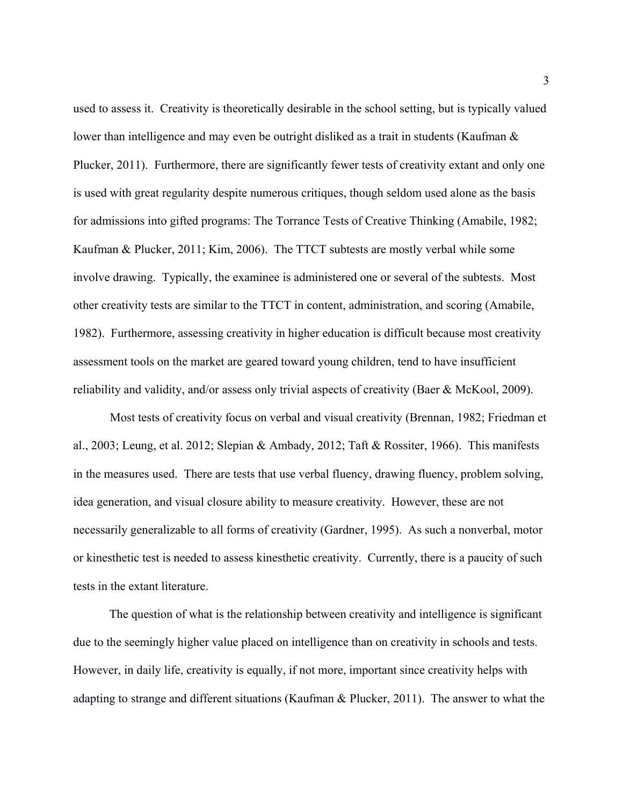used to assess it. Creativity is theoretically desirable in the school setting, but is typically valued lower than intelligence and may even be outright disliked as a trait in students (Kaufman & Plucker, 2011). Furthermore, there are significantly fewer tests of creativity extant and only one is used with great regularity despite numerous critiques, though seldom used alone as the basis for admissions into gifted programs: The Torrance Tests of Creative Thinking (Amabile, 1982; Kaufman & Plucker, 2011; Kim, 2006). The TTCT subtests are mostly verbal while some involve drawing. Typically, the examinee is administered one or several of the subtests. Most other creativity tests are similar to the TTCT in content, administration, and scoring (Amabile, 1982). Furthermore, assessing creativity in higher education is difficult because most creativity assessment tools on the market are geared toward young children, tend to have insufficient reliability and validity, and/or assess only trivial aspects of creativity (Baer & McKool, 2009).

Most tests of creativity focus on verbal and visual creativity (Brennan, 1982; Friedman et al., 2003; Leung, et al. 2012; Slepian & Ambady, 2012; Taft & Rossiter, 1966). This manifests in the measures used. There are tests that use verbal fluency, drawing fluency, problem solving, idea generation, and visual closure ability to measure creativity. However, these are not necessarily generalizable to all forms of creativity (Gardner, 1995). As such a nonverbal, motor or kinesthetic test is needed to assess kinesthetic creativity. Currently, there is a paucity of such tests in the extant literature.

The question of what is the relationship between creativity and intelligence is significant due to the seemingly higher value placed on intelligence than on creativity in schools and tests. However, in daily life, creativity is equally, if not more, important since creativity helps with adapting to strange and different situations (Kaufman & Plucker, 2011). The answer to what the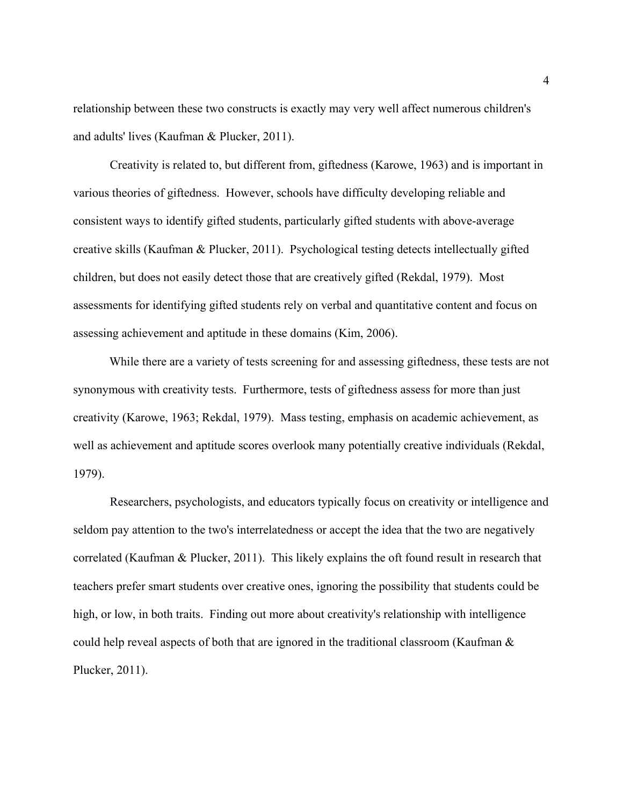relationship between these two constructs is exactly may very well affect numerous children's and adults' lives (Kaufman & Plucker, 2011).

Creativity is related to, but different from, giftedness (Karowe, 1963) and is important in various theories of giftedness. However, schools have difficulty developing reliable and consistent ways to identify gifted students, particularly gifted students with above-average creative skills (Kaufman & Plucker, 2011). Psychological testing detects intellectually gifted children, but does not easily detect those that are creatively gifted (Rekdal, 1979). Most assessments for identifying gifted students rely on verbal and quantitative content and focus on assessing achievement and aptitude in these domains (Kim, 2006).

While there are a variety of tests screening for and assessing giftedness, these tests are not synonymous with creativity tests. Furthermore, tests of giftedness assess for more than just creativity (Karowe, 1963; Rekdal, 1979). Mass testing, emphasis on academic achievement, as well as achievement and aptitude scores overlook many potentially creative individuals (Rekdal, 1979).

Researchers, psychologists, and educators typically focus on creativity or intelligence and seldom pay attention to the two's interrelatedness or accept the idea that the two are negatively correlated (Kaufman & Plucker, 2011). This likely explains the oft found result in research that teachers prefer smart students over creative ones, ignoring the possibility that students could be high, or low, in both traits. Finding out more about creativity's relationship with intelligence could help reveal aspects of both that are ignored in the traditional classroom (Kaufman & Plucker, 2011).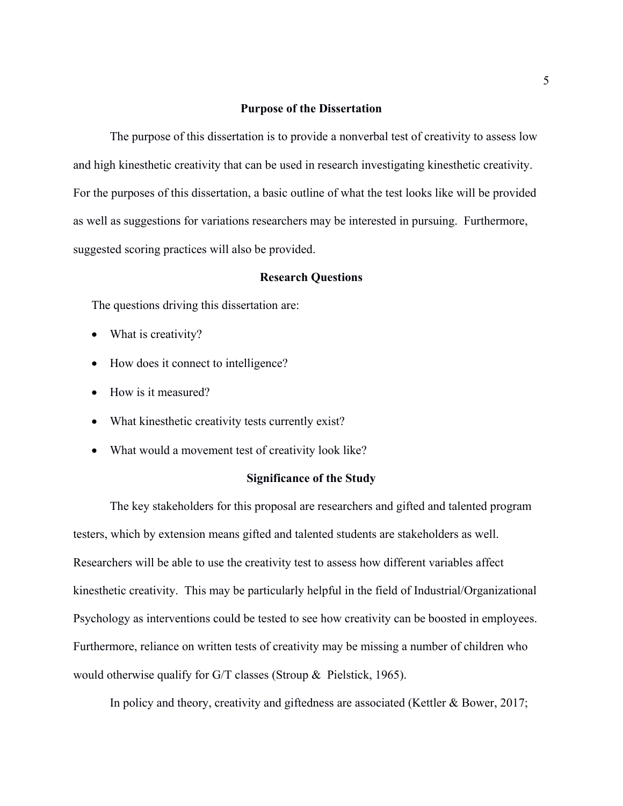## **Purpose of the Dissertation**

The purpose of this dissertation is to provide a nonverbal test of creativity to assess low and high kinesthetic creativity that can be used in research investigating kinesthetic creativity. For the purposes of this dissertation, a basic outline of what the test looks like will be provided as well as suggestions for variations researchers may be interested in pursuing. Furthermore, suggested scoring practices will also be provided.

## **Research Questions**

The questions driving this dissertation are:

- What is creativity?
- How does it connect to intelligence?
- How is it measured?
- What kinesthetic creativity tests currently exist?
- What would a movement test of creativity look like?

# **Significance of the Study**

The key stakeholders for this proposal are researchers and gifted and talented program testers, which by extension means gifted and talented students are stakeholders as well. Researchers will be able to use the creativity test to assess how different variables affect kinesthetic creativity. This may be particularly helpful in the field of Industrial/Organizational Psychology as interventions could be tested to see how creativity can be boosted in employees. Furthermore, reliance on written tests of creativity may be missing a number of children who would otherwise qualify for G/T classes (Stroup & Pielstick, 1965).

In policy and theory, creativity and giftedness are associated (Kettler & Bower, 2017;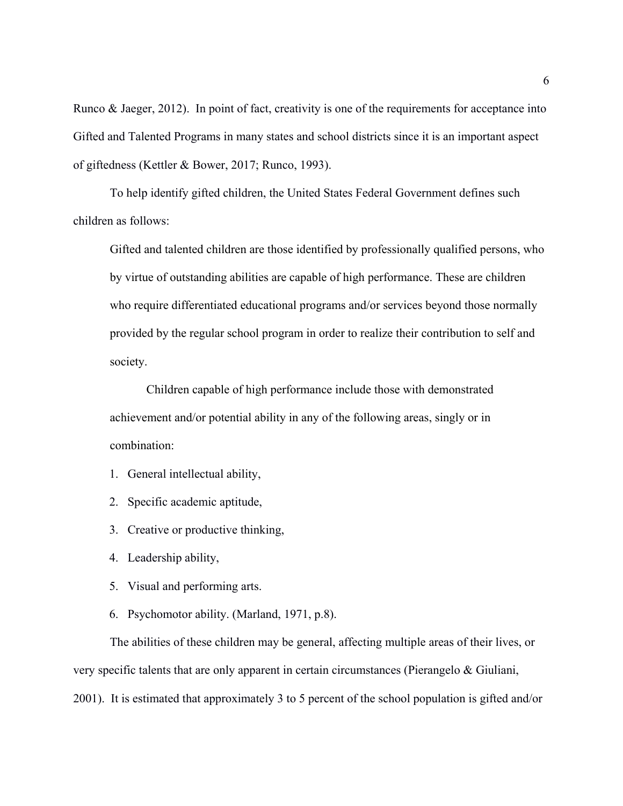Runco & Jaeger, 2012). In point of fact, creativity is one of the requirements for acceptance into Gifted and Talented Programs in many states and school districts since it is an important aspect of giftedness (Kettler & Bower, 2017; Runco, 1993).

To help identify gifted children, the United States Federal Government defines such children as follows:

Gifted and talented children are those identified by professionally qualified persons, who by virtue of outstanding abilities are capable of high performance. These are children who require differentiated educational programs and/or services beyond those normally provided by the regular school program in order to realize their contribution to self and society.

Children capable of high performance include those with demonstrated achievement and/or potential ability in any of the following areas, singly or in combination:

- 1. General intellectual ability,
- 2. Specific academic aptitude,
- 3. Creative or productive thinking,
- 4. Leadership ability,
- 5. Visual and performing arts.
- 6. Psychomotor ability. (Marland, 1971, p.8).

The abilities of these children may be general, affecting multiple areas of their lives, or very specific talents that are only apparent in certain circumstances (Pierangelo & Giuliani, 2001). It is estimated that approximately 3 to 5 percent of the school population is gifted and/or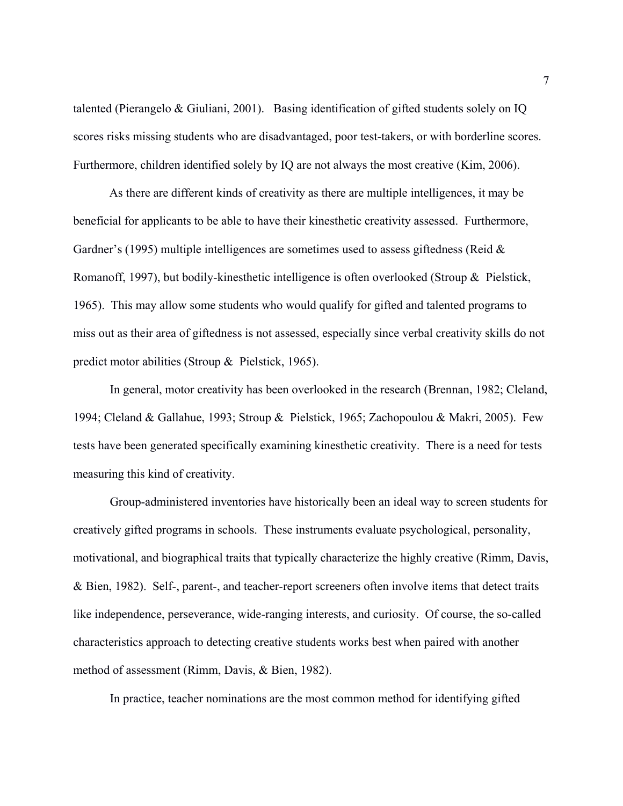talented (Pierangelo & Giuliani, 2001). Basing identification of gifted students solely on IQ scores risks missing students who are disadvantaged, poor test-takers, or with borderline scores. Furthermore, children identified solely by IQ are not always the most creative (Kim, 2006).

As there are different kinds of creativity as there are multiple intelligences, it may be beneficial for applicants to be able to have their kinesthetic creativity assessed. Furthermore, Gardner's (1995) multiple intelligences are sometimes used to assess giftedness (Reid  $\&$ Romanoff, 1997), but bodily-kinesthetic intelligence is often overlooked (Stroup & Pielstick, 1965). This may allow some students who would qualify for gifted and talented programs to miss out as their area of giftedness is not assessed, especially since verbal creativity skills do not predict motor abilities (Stroup & Pielstick, 1965).

In general, motor creativity has been overlooked in the research (Brennan, 1982; Cleland, 1994; Cleland & Gallahue, 1993; Stroup & Pielstick, 1965; Zachopoulou & Makri, 2005). Few tests have been generated specifically examining kinesthetic creativity. There is a need for tests measuring this kind of creativity.

Group-administered inventories have historically been an ideal way to screen students for creatively gifted programs in schools. These instruments evaluate psychological, personality, motivational, and biographical traits that typically characterize the highly creative (Rimm, Davis, & Bien, 1982). Self-, parent-, and teacher-report screeners often involve items that detect traits like independence, perseverance, wide-ranging interests, and curiosity. Of course, the so-called characteristics approach to detecting creative students works best when paired with another method of assessment (Rimm, Davis, & Bien, 1982).

In practice, teacher nominations are the most common method for identifying gifted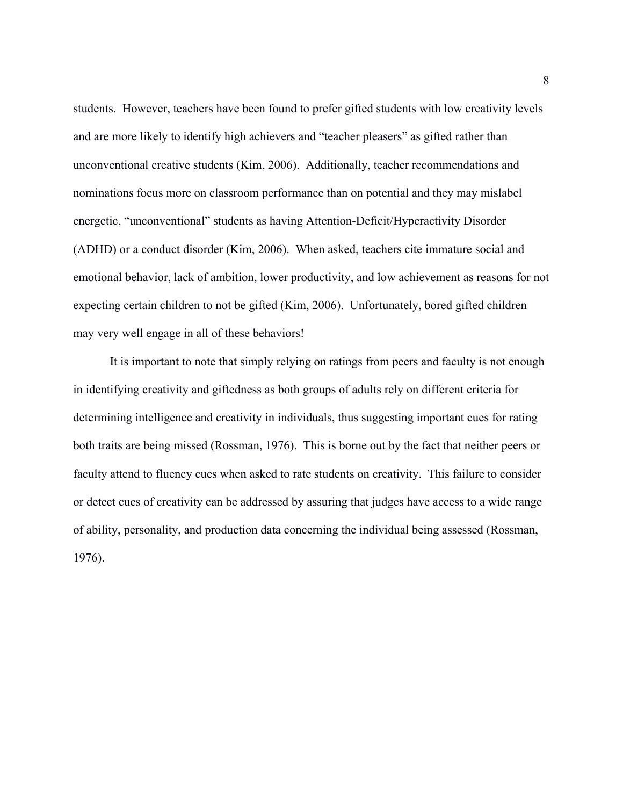students. However, teachers have been found to prefer gifted students with low creativity levels and are more likely to identify high achievers and "teacher pleasers" as gifted rather than unconventional creative students (Kim, 2006). Additionally, teacher recommendations and nominations focus more on classroom performance than on potential and they may mislabel energetic, "unconventional" students as having Attention-Deficit/Hyperactivity Disorder (ADHD) or a conduct disorder (Kim, 2006). When asked, teachers cite immature social and emotional behavior, lack of ambition, lower productivity, and low achievement as reasons for not expecting certain children to not be gifted (Kim, 2006). Unfortunately, bored gifted children may very well engage in all of these behaviors!

It is important to note that simply relying on ratings from peers and faculty is not enough in identifying creativity and giftedness as both groups of adults rely on different criteria for determining intelligence and creativity in individuals, thus suggesting important cues for rating both traits are being missed (Rossman, 1976). This is borne out by the fact that neither peers or faculty attend to fluency cues when asked to rate students on creativity. This failure to consider or detect cues of creativity can be addressed by assuring that judges have access to a wide range of ability, personality, and production data concerning the individual being assessed (Rossman, 1976).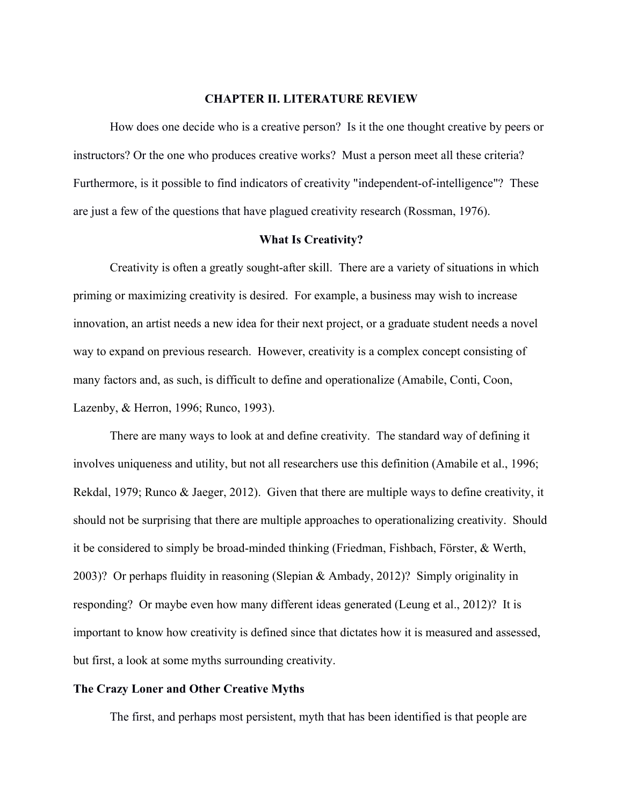#### **CHAPTER II. LITERATURE REVIEW**

How does one decide who is a creative person? Is it the one thought creative by peers or instructors? Or the one who produces creative works? Must a person meet all these criteria? Furthermore, is it possible to find indicators of creativity "independent-of-intelligence"? These are just a few of the questions that have plagued creativity research (Rossman, 1976).

### **What Is Creativity?**

Creativity is often a greatly sought-after skill. There are a variety of situations in which priming or maximizing creativity is desired. For example, a business may wish to increase innovation, an artist needs a new idea for their next project, or a graduate student needs a novel way to expand on previous research. However, creativity is a complex concept consisting of many factors and, as such, is difficult to define and operationalize (Amabile, Conti, Coon, Lazenby, & Herron, 1996; Runco, 1993).

There are many ways to look at and define creativity. The standard way of defining it involves uniqueness and utility, but not all researchers use this definition (Amabile et al., 1996; Rekdal, 1979; Runco & Jaeger, 2012). Given that there are multiple ways to define creativity, it should not be surprising that there are multiple approaches to operationalizing creativity. Should it be considered to simply be broad-minded thinking (Friedman, Fishbach, Förster, & Werth, 2003)? Or perhaps fluidity in reasoning (Slepian & Ambady, 2012)? Simply originality in responding? Or maybe even how many different ideas generated (Leung et al., 2012)? It is important to know how creativity is defined since that dictates how it is measured and assessed, but first, a look at some myths surrounding creativity.

# **The Crazy Loner and Other Creative Myths**

The first, and perhaps most persistent, myth that has been identified is that people are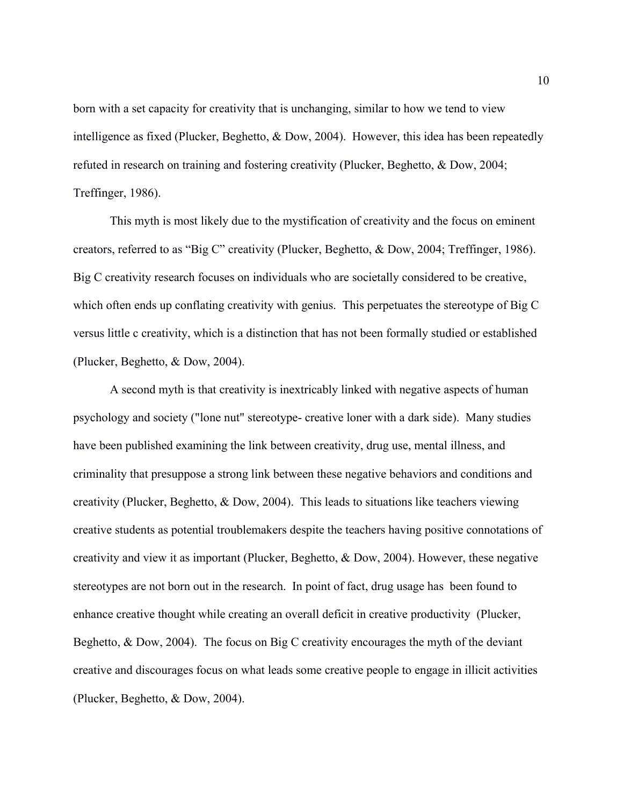born with a set capacity for creativity that is unchanging, similar to how we tend to view intelligence as fixed (Plucker, Beghetto, & Dow, 2004). However, this idea has been repeatedly refuted in research on training and fostering creativity (Plucker, Beghetto, & Dow, 2004; Treffinger, 1986).

This myth is most likely due to the mystification of creativity and the focus on eminent creators, referred to as "Big C" creativity (Plucker, Beghetto, & Dow, 2004; Treffinger, 1986). Big C creativity research focuses on individuals who are societally considered to be creative, which often ends up conflating creativity with genius. This perpetuates the stereotype of Big C versus little c creativity, which is a distinction that has not been formally studied or established (Plucker, Beghetto, & Dow, 2004).

A second myth is that creativity is inextricably linked with negative aspects of human psychology and society ("lone nut" stereotype- creative loner with a dark side). Many studies have been published examining the link between creativity, drug use, mental illness, and criminality that presuppose a strong link between these negative behaviors and conditions and creativity (Plucker, Beghetto, & Dow, 2004). This leads to situations like teachers viewing creative students as potential troublemakers despite the teachers having positive connotations of creativity and view it as important (Plucker, Beghetto, & Dow, 2004). However, these negative stereotypes are not born out in the research. In point of fact, drug usage has been found to enhance creative thought while creating an overall deficit in creative productivity (Plucker, Beghetto, & Dow, 2004). The focus on Big C creativity encourages the myth of the deviant creative and discourages focus on what leads some creative people to engage in illicit activities (Plucker, Beghetto, & Dow, 2004).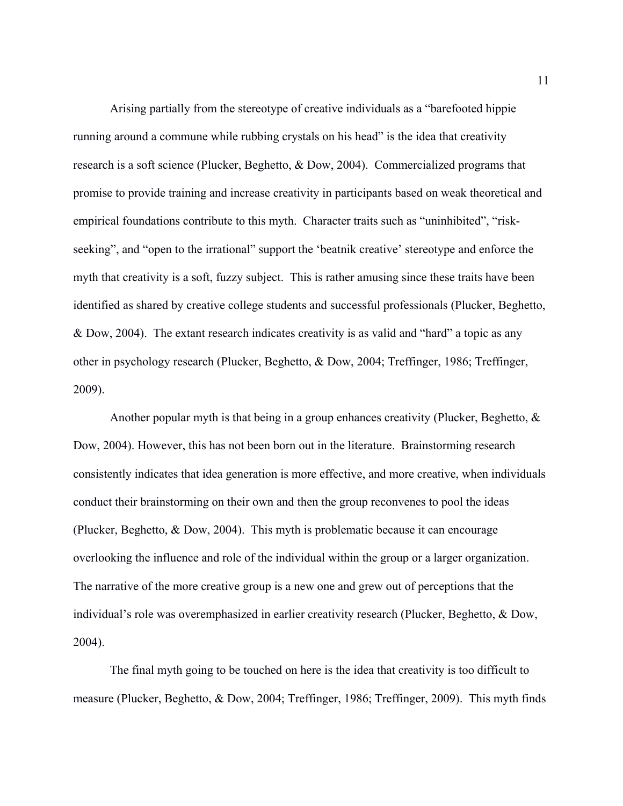Arising partially from the stereotype of creative individuals as a "barefooted hippie running around a commune while rubbing crystals on his head" is the idea that creativity research is a soft science (Plucker, Beghetto, & Dow, 2004). Commercialized programs that promise to provide training and increase creativity in participants based on weak theoretical and empirical foundations contribute to this myth. Character traits such as "uninhibited", "riskseeking", and "open to the irrational" support the 'beatnik creative' stereotype and enforce the myth that creativity is a soft, fuzzy subject. This is rather amusing since these traits have been identified as shared by creative college students and successful professionals (Plucker, Beghetto, & Dow, 2004). The extant research indicates creativity is as valid and "hard" a topic as any other in psychology research (Plucker, Beghetto, & Dow, 2004; Treffinger, 1986; Treffinger, 2009).

Another popular myth is that being in a group enhances creativity (Plucker, Beghetto, & Dow, 2004). However, this has not been born out in the literature. Brainstorming research consistently indicates that idea generation is more effective, and more creative, when individuals conduct their brainstorming on their own and then the group reconvenes to pool the ideas (Plucker, Beghetto, & Dow, 2004). This myth is problematic because it can encourage overlooking the influence and role of the individual within the group or a larger organization. The narrative of the more creative group is a new one and grew out of perceptions that the individual's role was overemphasized in earlier creativity research (Plucker, Beghetto, & Dow, 2004).

The final myth going to be touched on here is the idea that creativity is too difficult to measure (Plucker, Beghetto, & Dow, 2004; Treffinger, 1986; Treffinger, 2009). This myth finds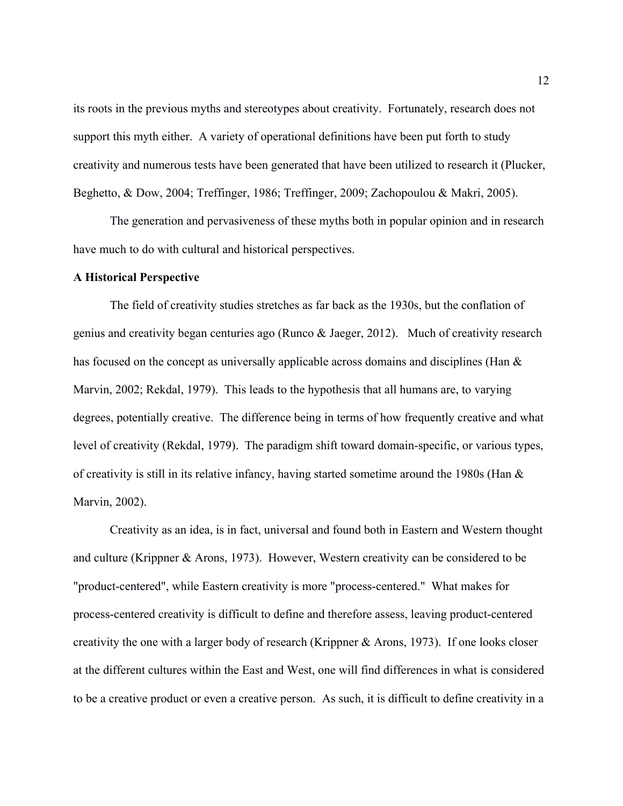its roots in the previous myths and stereotypes about creativity. Fortunately, research does not support this myth either. A variety of operational definitions have been put forth to study creativity and numerous tests have been generated that have been utilized to research it (Plucker, Beghetto, & Dow, 2004; Treffinger, 1986; Treffinger, 2009; Zachopoulou & Makri, 2005).

The generation and pervasiveness of these myths both in popular opinion and in research have much to do with cultural and historical perspectives.

#### **A Historical Perspective**

The field of creativity studies stretches as far back as the 1930s, but the conflation of genius and creativity began centuries ago (Runco & Jaeger, 2012). Much of creativity research has focused on the concept as universally applicable across domains and disciplines (Han & Marvin, 2002; Rekdal, 1979). This leads to the hypothesis that all humans are, to varying degrees, potentially creative. The difference being in terms of how frequently creative and what level of creativity (Rekdal, 1979). The paradigm shift toward domain-specific, or various types, of creativity is still in its relative infancy, having started sometime around the 1980s (Han & Marvin, 2002).

Creativity as an idea, is in fact, universal and found both in Eastern and Western thought and culture (Krippner & Arons, 1973). However, Western creativity can be considered to be "product-centered", while Eastern creativity is more "process-centered." What makes for process-centered creativity is difficult to define and therefore assess, leaving product-centered creativity the one with a larger body of research (Krippner & Arons, 1973). If one looks closer at the different cultures within the East and West, one will find differences in what is considered to be a creative product or even a creative person. As such, it is difficult to define creativity in a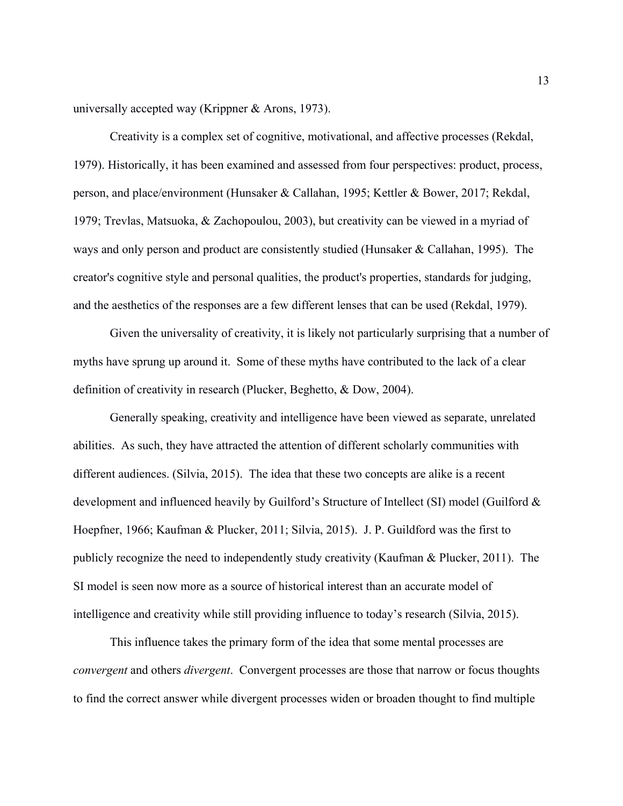universally accepted way (Krippner & Arons, 1973).

Creativity is a complex set of cognitive, motivational, and affective processes (Rekdal, 1979). Historically, it has been examined and assessed from four perspectives: product, process, person, and place/environment (Hunsaker & Callahan, 1995; Kettler & Bower, 2017; Rekdal, 1979; Trevlas, Matsuoka, & Zachopoulou, 2003), but creativity can be viewed in a myriad of ways and only person and product are consistently studied (Hunsaker & Callahan, 1995). The creator's cognitive style and personal qualities, the product's properties, standards for judging, and the aesthetics of the responses are a few different lenses that can be used (Rekdal, 1979).

Given the universality of creativity, it is likely not particularly surprising that a number of myths have sprung up around it. Some of these myths have contributed to the lack of a clear definition of creativity in research (Plucker, Beghetto, & Dow, 2004).

Generally speaking, creativity and intelligence have been viewed as separate, unrelated abilities. As such, they have attracted the attention of different scholarly communities with different audiences. (Silvia, 2015). The idea that these two concepts are alike is a recent development and influenced heavily by Guilford's Structure of Intellect (SI) model (Guilford & Hoepfner, 1966; Kaufman & Plucker, 2011; Silvia, 2015). J. P. Guildford was the first to publicly recognize the need to independently study creativity (Kaufman & Plucker, 2011). The SI model is seen now more as a source of historical interest than an accurate model of intelligence and creativity while still providing influence to today's research (Silvia, 2015).

This influence takes the primary form of the idea that some mental processes are *convergent* and others *divergent*. Convergent processes are those that narrow or focus thoughts to find the correct answer while divergent processes widen or broaden thought to find multiple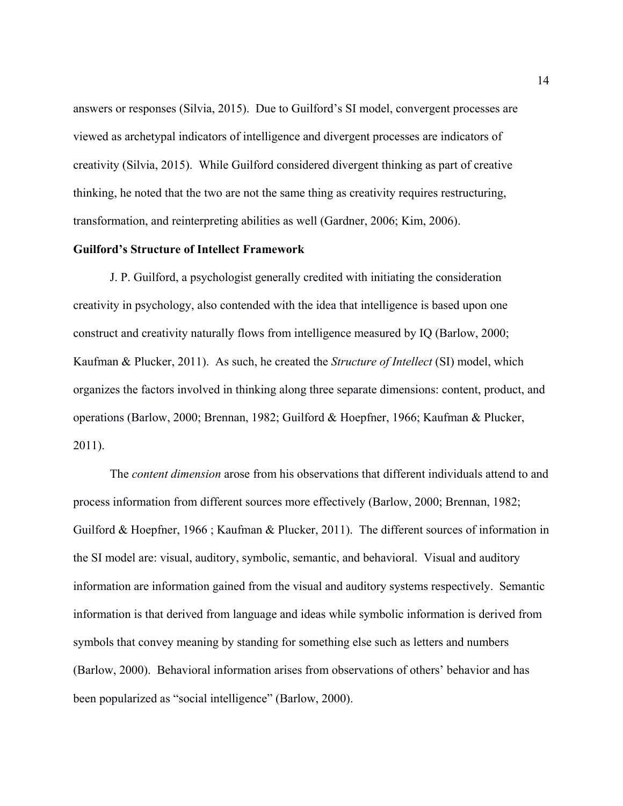answers or responses (Silvia, 2015). Due to Guilford's SI model, convergent processes are viewed as archetypal indicators of intelligence and divergent processes are indicators of creativity (Silvia, 2015). While Guilford considered divergent thinking as part of creative thinking, he noted that the two are not the same thing as creativity requires restructuring, transformation, and reinterpreting abilities as well (Gardner, 2006; Kim, 2006).

# **Guilford's Structure of Intellect Framework**

J. P. Guilford, a psychologist generally credited with initiating the consideration creativity in psychology, also contended with the idea that intelligence is based upon one construct and creativity naturally flows from intelligence measured by IQ (Barlow, 2000; Kaufman & Plucker, 2011). As such, he created the *Structure of Intellect* (SI) model, which organizes the factors involved in thinking along three separate dimensions: content, product, and operations (Barlow, 2000; Brennan, 1982; Guilford & Hoepfner, 1966; Kaufman & Plucker, 2011).

The *content dimension* arose from his observations that different individuals attend to and process information from different sources more effectively (Barlow, 2000; Brennan, 1982; Guilford & Hoepfner, 1966 ; Kaufman & Plucker, 2011). The different sources of information in the SI model are: visual, auditory, symbolic, semantic, and behavioral. Visual and auditory information are information gained from the visual and auditory systems respectively. Semantic information is that derived from language and ideas while symbolic information is derived from symbols that convey meaning by standing for something else such as letters and numbers (Barlow, 2000). Behavioral information arises from observations of others' behavior and has been popularized as "social intelligence" (Barlow, 2000).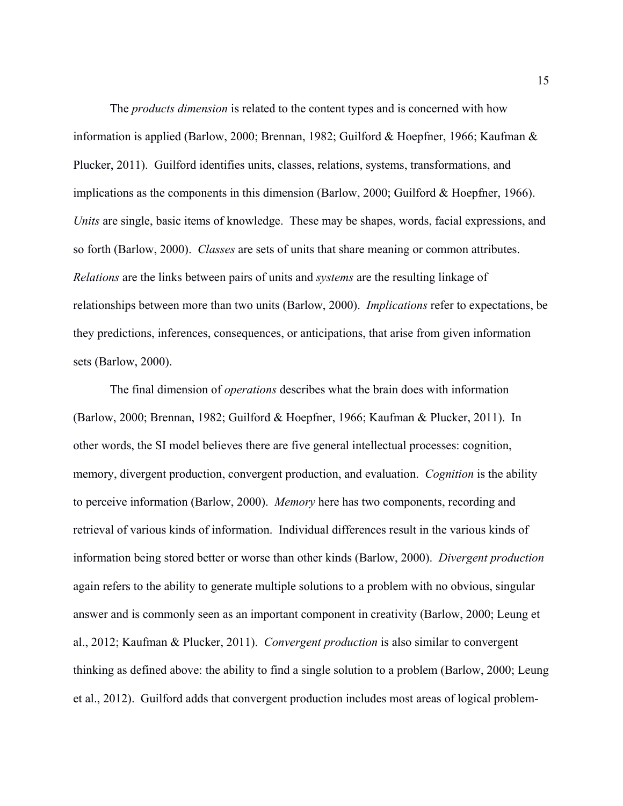The *products dimension* is related to the content types and is concerned with how information is applied (Barlow, 2000; Brennan, 1982; Guilford & Hoepfner, 1966; Kaufman & Plucker, 2011). Guilford identifies units, classes, relations, systems, transformations, and implications as the components in this dimension (Barlow, 2000; Guilford & Hoepfner, 1966). *Units* are single, basic items of knowledge. These may be shapes, words, facial expressions, and so forth (Barlow, 2000). *Classes* are sets of units that share meaning or common attributes. *Relations* are the links between pairs of units and *systems* are the resulting linkage of relationships between more than two units (Barlow, 2000). *Implications* refer to expectations, be they predictions, inferences, consequences, or anticipations, that arise from given information sets (Barlow, 2000).

The final dimension of *operations* describes what the brain does with information (Barlow, 2000; Brennan, 1982; Guilford & Hoepfner, 1966; Kaufman & Plucker, 2011). In other words, the SI model believes there are five general intellectual processes: cognition, memory, divergent production, convergent production, and evaluation. *Cognition* is the ability to perceive information (Barlow, 2000). *Memory* here has two components, recording and retrieval of various kinds of information. Individual differences result in the various kinds of information being stored better or worse than other kinds (Barlow, 2000). *Divergent production* again refers to the ability to generate multiple solutions to a problem with no obvious, singular answer and is commonly seen as an important component in creativity (Barlow, 2000; Leung et al., 2012; Kaufman & Plucker, 2011). *Convergent production* is also similar to convergent thinking as defined above: the ability to find a single solution to a problem (Barlow, 2000; Leung et al., 2012). Guilford adds that convergent production includes most areas of logical problem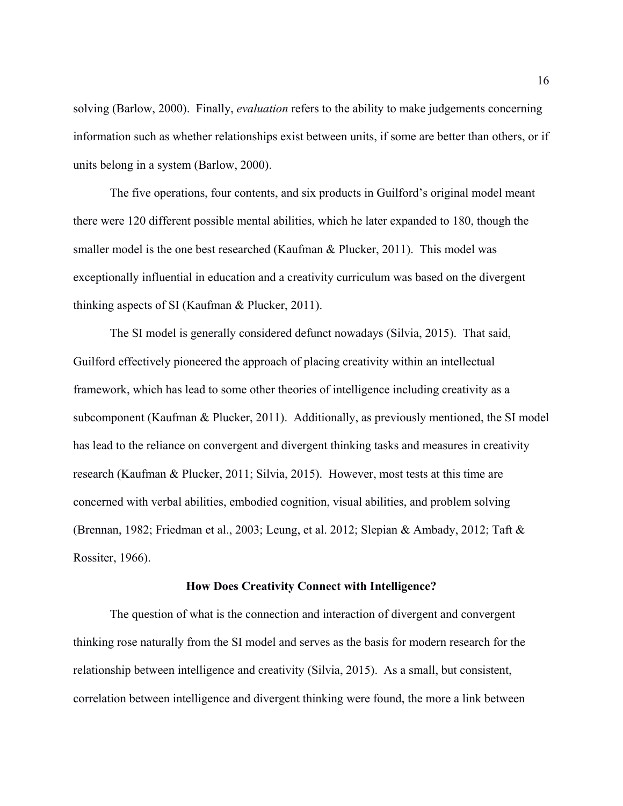solving (Barlow, 2000). Finally, *evaluation* refers to the ability to make judgements concerning information such as whether relationships exist between units, if some are better than others, or if units belong in a system (Barlow, 2000).

The five operations, four contents, and six products in Guilford's original model meant there were 120 different possible mental abilities, which he later expanded to 180, though the smaller model is the one best researched (Kaufman & Plucker, 2011). This model was exceptionally influential in education and a creativity curriculum was based on the divergent thinking aspects of SI (Kaufman & Plucker, 2011).

The SI model is generally considered defunct nowadays (Silvia, 2015). That said, Guilford effectively pioneered the approach of placing creativity within an intellectual framework, which has lead to some other theories of intelligence including creativity as a subcomponent (Kaufman & Plucker, 2011). Additionally, as previously mentioned, the SI model has lead to the reliance on convergent and divergent thinking tasks and measures in creativity research (Kaufman & Plucker, 2011; Silvia, 2015). However, most tests at this time are concerned with verbal abilities, embodied cognition, visual abilities, and problem solving (Brennan, 1982; Friedman et al., 2003; Leung, et al. 2012; Slepian & Ambady, 2012; Taft & Rossiter, 1966).

#### **How Does Creativity Connect with Intelligence?**

The question of what is the connection and interaction of divergent and convergent thinking rose naturally from the SI model and serves as the basis for modern research for the relationship between intelligence and creativity (Silvia, 2015). As a small, but consistent, correlation between intelligence and divergent thinking were found, the more a link between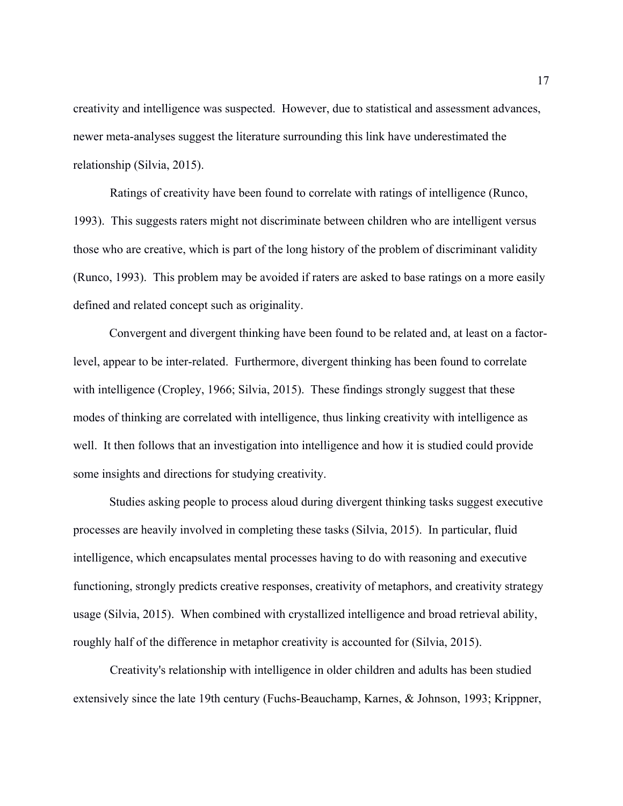creativity and intelligence was suspected. However, due to statistical and assessment advances, newer meta-analyses suggest the literature surrounding this link have underestimated the relationship (Silvia, 2015).

Ratings of creativity have been found to correlate with ratings of intelligence (Runco, 1993). This suggests raters might not discriminate between children who are intelligent versus those who are creative, which is part of the long history of the problem of discriminant validity (Runco, 1993). This problem may be avoided if raters are asked to base ratings on a more easily defined and related concept such as originality.

Convergent and divergent thinking have been found to be related and, at least on a factorlevel, appear to be inter-related. Furthermore, divergent thinking has been found to correlate with intelligence (Cropley, 1966; Silvia, 2015). These findings strongly suggest that these modes of thinking are correlated with intelligence, thus linking creativity with intelligence as well. It then follows that an investigation into intelligence and how it is studied could provide some insights and directions for studying creativity.

Studies asking people to process aloud during divergent thinking tasks suggest executive processes are heavily involved in completing these tasks (Silvia, 2015). In particular, fluid intelligence, which encapsulates mental processes having to do with reasoning and executive functioning, strongly predicts creative responses, creativity of metaphors, and creativity strategy usage (Silvia, 2015). When combined with crystallized intelligence and broad retrieval ability, roughly half of the difference in metaphor creativity is accounted for (Silvia, 2015).

Creativity's relationship with intelligence in older children and adults has been studied extensively since the late 19th century (Fuchs-Beauchamp, Karnes, & Johnson, 1993; Krippner,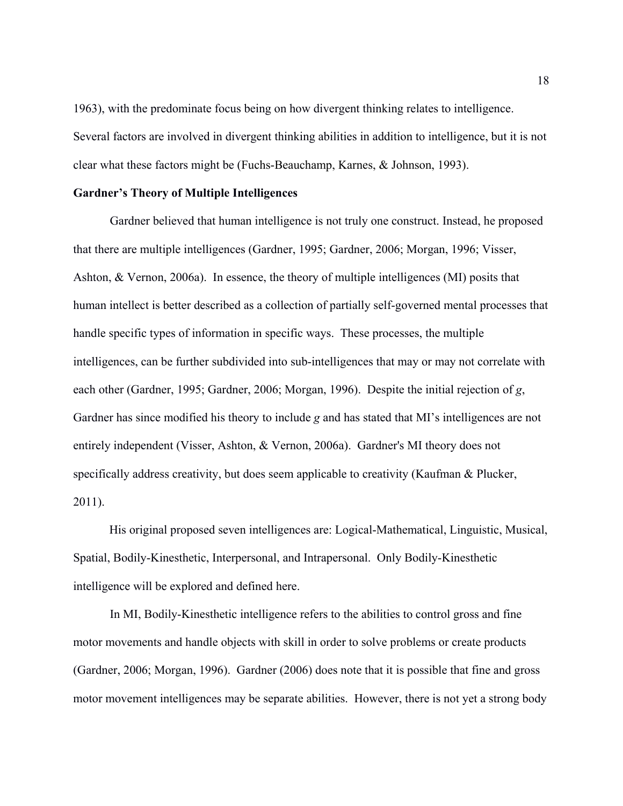1963), with the predominate focus being on how divergent thinking relates to intelligence. Several factors are involved in divergent thinking abilities in addition to intelligence, but it is not clear what these factors might be (Fuchs-Beauchamp, Karnes, & Johnson, 1993).

# **Gardner's Theory of Multiple Intelligences**

Gardner believed that human intelligence is not truly one construct. Instead, he proposed that there are multiple intelligences (Gardner, 1995; Gardner, 2006; Morgan, 1996; Visser, Ashton, & Vernon, 2006a). In essence, the theory of multiple intelligences (MI) posits that human intellect is better described as a collection of partially self-governed mental processes that handle specific types of information in specific ways. These processes, the multiple intelligences, can be further subdivided into sub-intelligences that may or may not correlate with each other (Gardner, 1995; Gardner, 2006; Morgan, 1996). Despite the initial rejection of *g*, Gardner has since modified his theory to include *g* and has stated that MI's intelligences are not entirely independent (Visser, Ashton, & Vernon, 2006a). Gardner's MI theory does not specifically address creativity, but does seem applicable to creativity (Kaufman & Plucker, 2011).

His original proposed seven intelligences are: Logical-Mathematical, Linguistic, Musical, Spatial, Bodily-Kinesthetic, Interpersonal, and Intrapersonal. Only Bodily-Kinesthetic intelligence will be explored and defined here.

In MI, Bodily-Kinesthetic intelligence refers to the abilities to control gross and fine motor movements and handle objects with skill in order to solve problems or create products (Gardner, 2006; Morgan, 1996). Gardner (2006) does note that it is possible that fine and gross motor movement intelligences may be separate abilities. However, there is not yet a strong body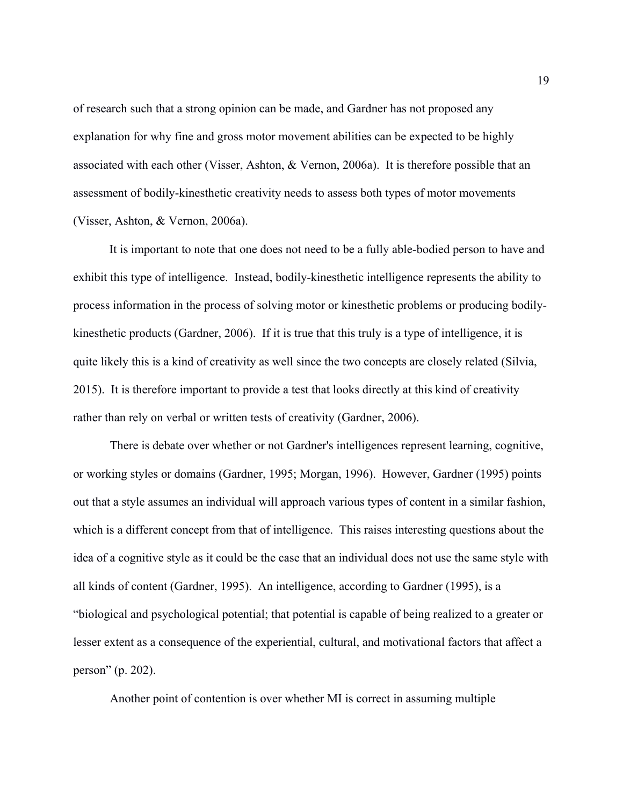of research such that a strong opinion can be made, and Gardner has not proposed any explanation for why fine and gross motor movement abilities can be expected to be highly associated with each other (Visser, Ashton, & Vernon, 2006a). It is therefore possible that an assessment of bodily-kinesthetic creativity needs to assess both types of motor movements (Visser, Ashton, & Vernon, 2006a).

It is important to note that one does not need to be a fully able-bodied person to have and exhibit this type of intelligence. Instead, bodily-kinesthetic intelligence represents the ability to process information in the process of solving motor or kinesthetic problems or producing bodilykinesthetic products (Gardner, 2006). If it is true that this truly is a type of intelligence, it is quite likely this is a kind of creativity as well since the two concepts are closely related (Silvia, 2015). It is therefore important to provide a test that looks directly at this kind of creativity rather than rely on verbal or written tests of creativity (Gardner, 2006).

There is debate over whether or not Gardner's intelligences represent learning, cognitive, or working styles or domains (Gardner, 1995; Morgan, 1996). However, Gardner (1995) points out that a style assumes an individual will approach various types of content in a similar fashion, which is a different concept from that of intelligence. This raises interesting questions about the idea of a cognitive style as it could be the case that an individual does not use the same style with all kinds of content (Gardner, 1995). An intelligence, according to Gardner (1995), is a "biological and psychological potential; that potential is capable of being realized to a greater or lesser extent as a consequence of the experiential, cultural, and motivational factors that affect a person" (p. 202).

Another point of contention is over whether MI is correct in assuming multiple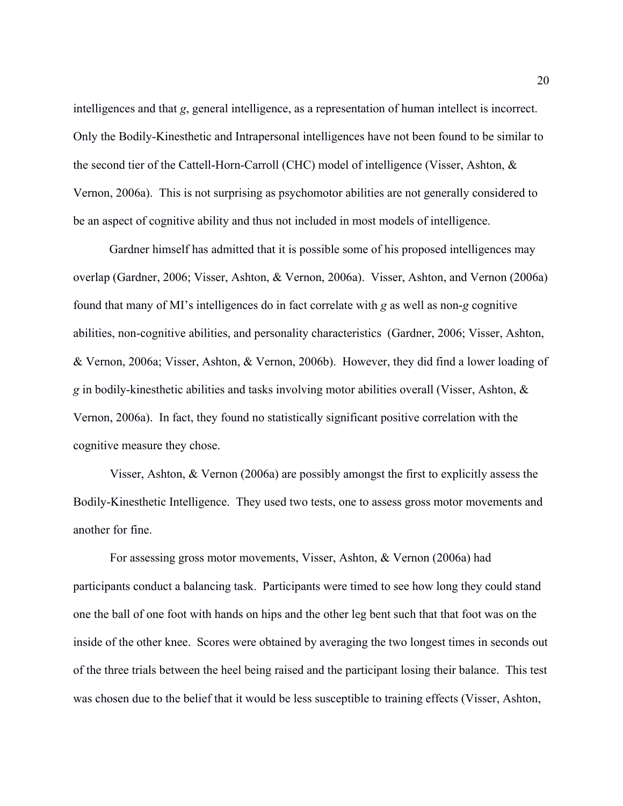intelligences and that *g*, general intelligence, as a representation of human intellect is incorrect. Only the Bodily-Kinesthetic and Intrapersonal intelligences have not been found to be similar to the second tier of the Cattell-Horn-Carroll (CHC) model of intelligence (Visser, Ashton, & Vernon, 2006a). This is not surprising as psychomotor abilities are not generally considered to be an aspect of cognitive ability and thus not included in most models of intelligence.

Gardner himself has admitted that it is possible some of his proposed intelligences may overlap (Gardner, 2006; Visser, Ashton, & Vernon, 2006a). Visser, Ashton, and Vernon (2006a) found that many of MI's intelligences do in fact correlate with *g* as well as non-*g* cognitive abilities, non-cognitive abilities, and personality characteristics (Gardner, 2006; Visser, Ashton, & Vernon, 2006a; Visser, Ashton, & Vernon, 2006b). However, they did find a lower loading of *g* in bodily-kinesthetic abilities and tasks involving motor abilities overall (Visser, Ashton, & Vernon, 2006a). In fact, they found no statistically significant positive correlation with the cognitive measure they chose.

Visser, Ashton, & Vernon (2006a) are possibly amongst the first to explicitly assess the Bodily-Kinesthetic Intelligence. They used two tests, one to assess gross motor movements and another for fine.

For assessing gross motor movements, Visser, Ashton, & Vernon (2006a) had participants conduct a balancing task. Participants were timed to see how long they could stand one the ball of one foot with hands on hips and the other leg bent such that that foot was on the inside of the other knee. Scores were obtained by averaging the two longest times in seconds out of the three trials between the heel being raised and the participant losing their balance. This test was chosen due to the belief that it would be less susceptible to training effects (Visser, Ashton,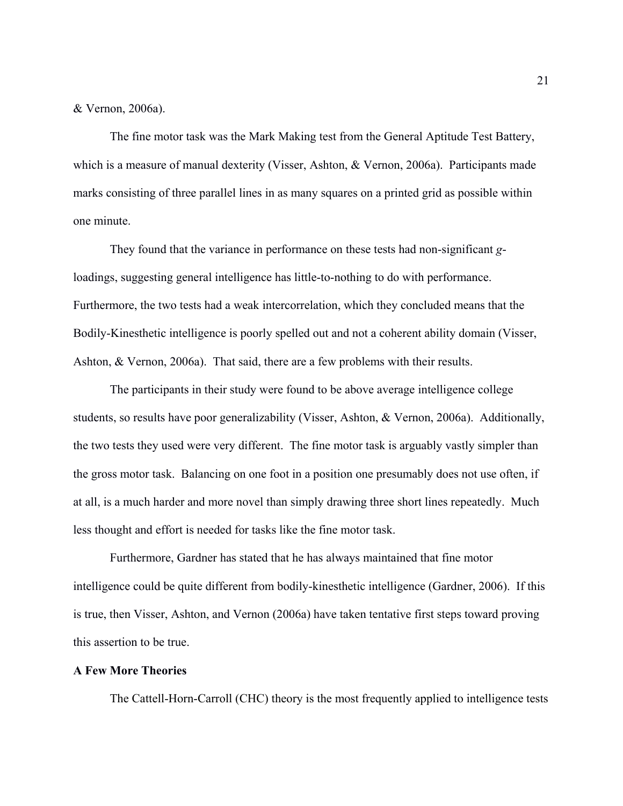# & Vernon, 2006a).

The fine motor task was the Mark Making test from the General Aptitude Test Battery, which is a measure of manual dexterity (Visser, Ashton, & Vernon, 2006a). Participants made marks consisting of three parallel lines in as many squares on a printed grid as possible within one minute.

They found that the variance in performance on these tests had non-significant *g*loadings, suggesting general intelligence has little-to-nothing to do with performance. Furthermore, the two tests had a weak intercorrelation, which they concluded means that the Bodily-Kinesthetic intelligence is poorly spelled out and not a coherent ability domain (Visser, Ashton, & Vernon, 2006a). That said, there are a few problems with their results.

The participants in their study were found to be above average intelligence college students, so results have poor generalizability (Visser, Ashton, & Vernon, 2006a). Additionally, the two tests they used were very different. The fine motor task is arguably vastly simpler than the gross motor task. Balancing on one foot in a position one presumably does not use often, if at all, is a much harder and more novel than simply drawing three short lines repeatedly. Much less thought and effort is needed for tasks like the fine motor task.

Furthermore, Gardner has stated that he has always maintained that fine motor intelligence could be quite different from bodily-kinesthetic intelligence (Gardner, 2006). If this is true, then Visser, Ashton, and Vernon (2006a) have taken tentative first steps toward proving this assertion to be true.

## **A Few More Theories**

The Cattell-Horn-Carroll (CHC) theory is the most frequently applied to intelligence tests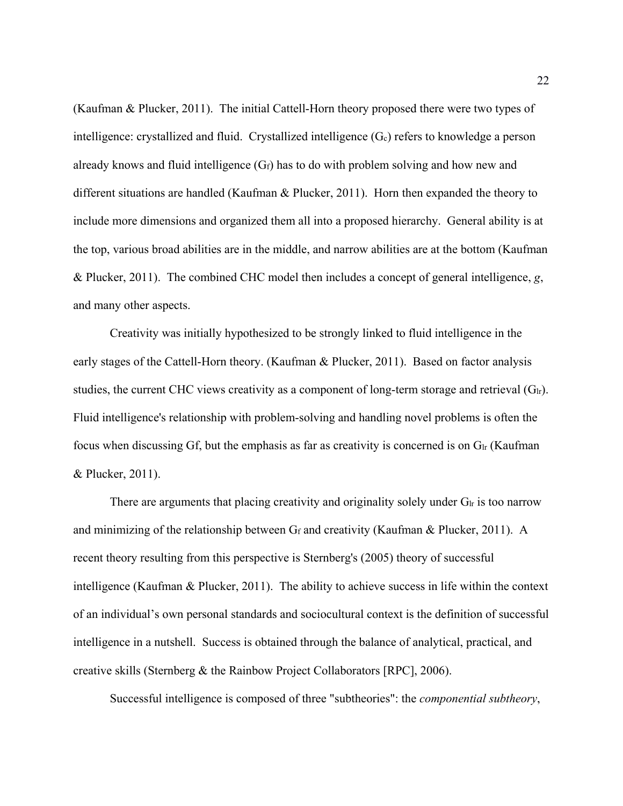(Kaufman & Plucker, 2011). The initial Cattell-Horn theory proposed there were two types of intelligence: crystallized and fluid. Crystallized intelligence (Gc) refers to knowledge a person already knows and fluid intelligence  $(G_f)$  has to do with problem solving and how new and different situations are handled (Kaufman & Plucker, 2011). Horn then expanded the theory to include more dimensions and organized them all into a proposed hierarchy. General ability is at the top, various broad abilities are in the middle, and narrow abilities are at the bottom (Kaufman & Plucker, 2011). The combined CHC model then includes a concept of general intelligence, *g*, and many other aspects.

Creativity was initially hypothesized to be strongly linked to fluid intelligence in the early stages of the Cattell-Horn theory. (Kaufman & Plucker, 2011). Based on factor analysis studies, the current CHC views creativity as a component of long-term storage and retrieval  $(G<sub>lr</sub>)$ . Fluid intelligence's relationship with problem-solving and handling novel problems is often the focus when discussing Gf, but the emphasis as far as creativity is concerned is on  $G<sub>lr</sub>$  (Kaufman & Plucker, 2011).

There are arguments that placing creativity and originality solely under  $G<sub>lr</sub>$  is too narrow and minimizing of the relationship between  $G_f$  and creativity (Kaufman & Plucker, 2011). A recent theory resulting from this perspective is Sternberg's (2005) theory of successful intelligence (Kaufman & Plucker, 2011). The ability to achieve success in life within the context of an individual's own personal standards and sociocultural context is the definition of successful intelligence in a nutshell. Success is obtained through the balance of analytical, practical, and creative skills (Sternberg & the Rainbow Project Collaborators [RPC], 2006).

Successful intelligence is composed of three "subtheories": the *componential subtheory*,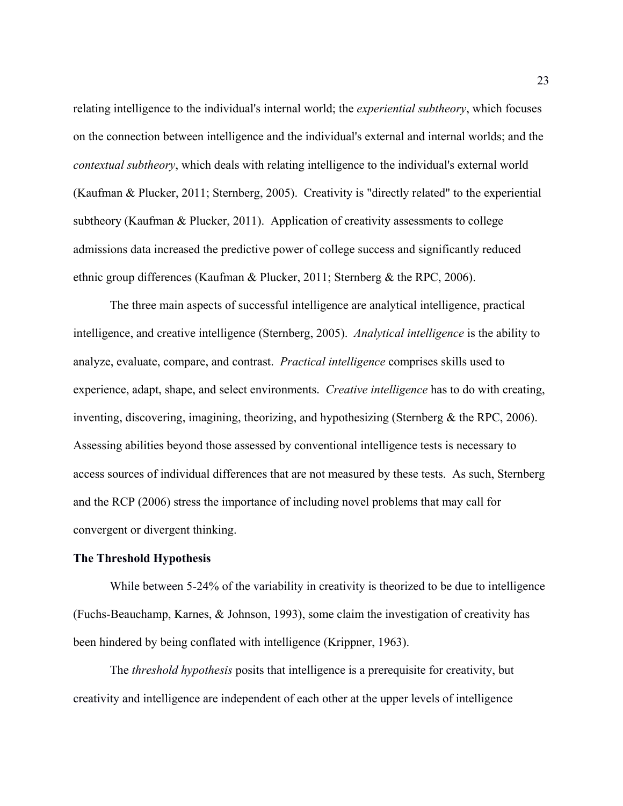relating intelligence to the individual's internal world; the *experiential subtheory*, which focuses on the connection between intelligence and the individual's external and internal worlds; and the *contextual subtheory*, which deals with relating intelligence to the individual's external world (Kaufman & Plucker, 2011; Sternberg, 2005). Creativity is "directly related" to the experiential subtheory (Kaufman & Plucker, 2011). Application of creativity assessments to college admissions data increased the predictive power of college success and significantly reduced ethnic group differences (Kaufman & Plucker, 2011; Sternberg & the RPC, 2006).

The three main aspects of successful intelligence are analytical intelligence, practical intelligence, and creative intelligence (Sternberg, 2005). *Analytical intelligence* is the ability to analyze, evaluate, compare, and contrast. *Practical intelligence* comprises skills used to experience, adapt, shape, and select environments. *Creative intelligence* has to do with creating, inventing, discovering, imagining, theorizing, and hypothesizing (Sternberg & the RPC, 2006). Assessing abilities beyond those assessed by conventional intelligence tests is necessary to access sources of individual differences that are not measured by these tests. As such, Sternberg and the RCP (2006) stress the importance of including novel problems that may call for convergent or divergent thinking.

# **The Threshold Hypothesis**

While between 5-24% of the variability in creativity is theorized to be due to intelligence (Fuchs-Beauchamp, Karnes, & Johnson, 1993), some claim the investigation of creativity has been hindered by being conflated with intelligence (Krippner, 1963).

The *threshold hypothesis* posits that intelligence is a prerequisite for creativity, but creativity and intelligence are independent of each other at the upper levels of intelligence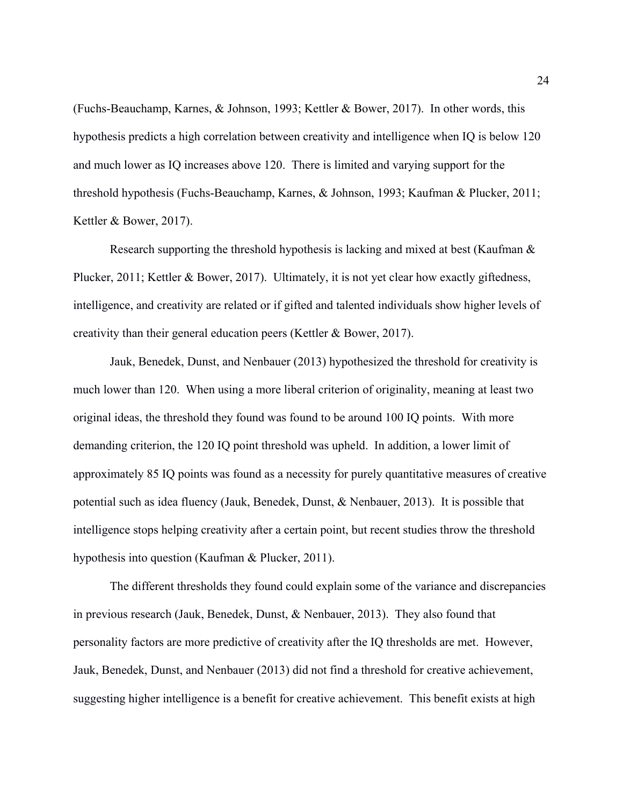(Fuchs-Beauchamp, Karnes, & Johnson, 1993; Kettler & Bower, 2017). In other words, this hypothesis predicts a high correlation between creativity and intelligence when IQ is below 120 and much lower as IQ increases above 120. There is limited and varying support for the threshold hypothesis (Fuchs-Beauchamp, Karnes, & Johnson, 1993; Kaufman & Plucker, 2011; Kettler & Bower, 2017).

Research supporting the threshold hypothesis is lacking and mixed at best (Kaufman & Plucker, 2011; Kettler & Bower, 2017). Ultimately, it is not yet clear how exactly giftedness, intelligence, and creativity are related or if gifted and talented individuals show higher levels of creativity than their general education peers (Kettler & Bower, 2017).

Jauk, Benedek, Dunst, and Nenbauer (2013) hypothesized the threshold for creativity is much lower than 120. When using a more liberal criterion of originality, meaning at least two original ideas, the threshold they found was found to be around 100 IQ points. With more demanding criterion, the 120 IQ point threshold was upheld. In addition, a lower limit of approximately 85 IQ points was found as a necessity for purely quantitative measures of creative potential such as idea fluency (Jauk, Benedek, Dunst, & Nenbauer, 2013). It is possible that intelligence stops helping creativity after a certain point, but recent studies throw the threshold hypothesis into question (Kaufman & Plucker, 2011).

The different thresholds they found could explain some of the variance and discrepancies in previous research (Jauk, Benedek, Dunst, & Nenbauer, 2013). They also found that personality factors are more predictive of creativity after the IQ thresholds are met. However, Jauk, Benedek, Dunst, and Nenbauer (2013) did not find a threshold for creative achievement, suggesting higher intelligence is a benefit for creative achievement. This benefit exists at high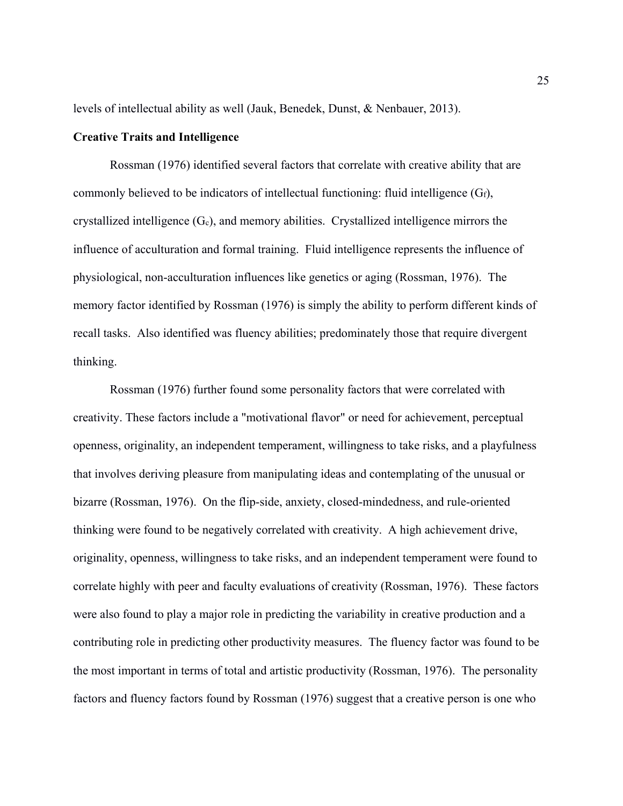levels of intellectual ability as well (Jauk, Benedek, Dunst, & Nenbauer, 2013).

## **Creative Traits and Intelligence**

Rossman (1976) identified several factors that correlate with creative ability that are commonly believed to be indicators of intellectual functioning: fluid intelligence  $(G_f)$ , crystallized intelligence  $(G_c)$ , and memory abilities. Crystallized intelligence mirrors the influence of acculturation and formal training. Fluid intelligence represents the influence of physiological, non-acculturation influences like genetics or aging (Rossman, 1976). The memory factor identified by Rossman (1976) is simply the ability to perform different kinds of recall tasks. Also identified was fluency abilities; predominately those that require divergent thinking.

Rossman (1976) further found some personality factors that were correlated with creativity. These factors include a "motivational flavor" or need for achievement, perceptual openness, originality, an independent temperament, willingness to take risks, and a playfulness that involves deriving pleasure from manipulating ideas and contemplating of the unusual or bizarre (Rossman, 1976). On the flip-side, anxiety, closed-mindedness, and rule-oriented thinking were found to be negatively correlated with creativity. A high achievement drive, originality, openness, willingness to take risks, and an independent temperament were found to correlate highly with peer and faculty evaluations of creativity (Rossman, 1976). These factors were also found to play a major role in predicting the variability in creative production and a contributing role in predicting other productivity measures. The fluency factor was found to be the most important in terms of total and artistic productivity (Rossman, 1976). The personality factors and fluency factors found by Rossman (1976) suggest that a creative person is one who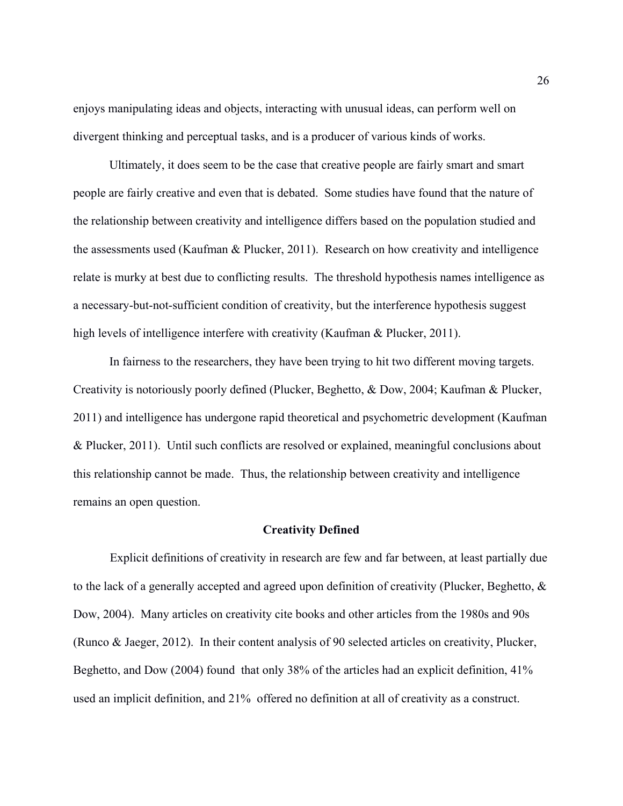enjoys manipulating ideas and objects, interacting with unusual ideas, can perform well on divergent thinking and perceptual tasks, and is a producer of various kinds of works.

Ultimately, it does seem to be the case that creative people are fairly smart and smart people are fairly creative and even that is debated. Some studies have found that the nature of the relationship between creativity and intelligence differs based on the population studied and the assessments used (Kaufman & Plucker, 2011). Research on how creativity and intelligence relate is murky at best due to conflicting results. The threshold hypothesis names intelligence as a necessary-but-not-sufficient condition of creativity, but the interference hypothesis suggest high levels of intelligence interfere with creativity (Kaufman & Plucker, 2011).

In fairness to the researchers, they have been trying to hit two different moving targets. Creativity is notoriously poorly defined (Plucker, Beghetto, & Dow, 2004; Kaufman & Plucker, 2011) and intelligence has undergone rapid theoretical and psychometric development (Kaufman & Plucker, 2011). Until such conflicts are resolved or explained, meaningful conclusions about this relationship cannot be made. Thus, the relationship between creativity and intelligence remains an open question.

### **Creativity Defined**

Explicit definitions of creativity in research are few and far between, at least partially due to the lack of a generally accepted and agreed upon definition of creativity (Plucker, Beghetto, & Dow, 2004). Many articles on creativity cite books and other articles from the 1980s and 90s (Runco & Jaeger, 2012). In their content analysis of 90 selected articles on creativity, Plucker, Beghetto, and Dow (2004) found that only 38% of the articles had an explicit definition, 41% used an implicit definition, and 21% offered no definition at all of creativity as a construct.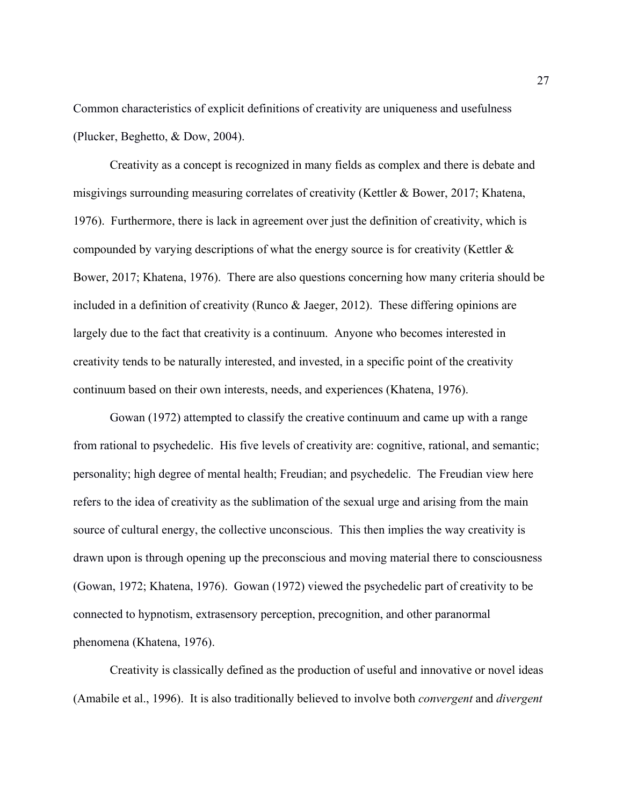Common characteristics of explicit definitions of creativity are uniqueness and usefulness (Plucker, Beghetto, & Dow, 2004).

Creativity as a concept is recognized in many fields as complex and there is debate and misgivings surrounding measuring correlates of creativity (Kettler & Bower, 2017; Khatena, 1976). Furthermore, there is lack in agreement over just the definition of creativity, which is compounded by varying descriptions of what the energy source is for creativity (Kettler & Bower, 2017; Khatena, 1976). There are also questions concerning how many criteria should be included in a definition of creativity (Runco & Jaeger, 2012). These differing opinions are largely due to the fact that creativity is a continuum. Anyone who becomes interested in creativity tends to be naturally interested, and invested, in a specific point of the creativity continuum based on their own interests, needs, and experiences (Khatena, 1976).

Gowan (1972) attempted to classify the creative continuum and came up with a range from rational to psychedelic. His five levels of creativity are: cognitive, rational, and semantic; personality; high degree of mental health; Freudian; and psychedelic. The Freudian view here refers to the idea of creativity as the sublimation of the sexual urge and arising from the main source of cultural energy, the collective unconscious. This then implies the way creativity is drawn upon is through opening up the preconscious and moving material there to consciousness (Gowan, 1972; Khatena, 1976). Gowan (1972) viewed the psychedelic part of creativity to be connected to hypnotism, extrasensory perception, precognition, and other paranormal phenomena (Khatena, 1976).

Creativity is classically defined as the production of useful and innovative or novel ideas (Amabile et al., 1996). It is also traditionally believed to involve both *convergent* and *divergent*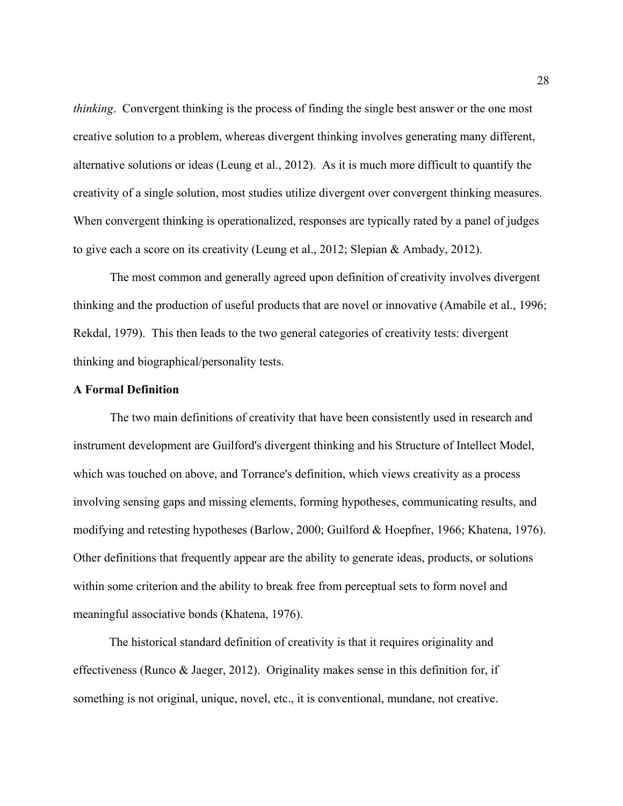*thinking*. Convergent thinking is the process of finding the single best answer or the one most creative solution to a problem, whereas divergent thinking involves generating many different, alternative solutions or ideas (Leung et al., 2012). As it is much more difficult to quantify the creativity of a single solution, most studies utilize divergent over convergent thinking measures. When convergent thinking is operationalized, responses are typically rated by a panel of judges to give each a score on its creativity (Leung et al., 2012; Slepian & Ambady, 2012).

The most common and generally agreed upon definition of creativity involves divergent thinking and the production of useful products that are novel or innovative (Amabile et al., 1996; Rekdal, 1979). This then leads to the two general categories of creativity tests: divergent thinking and biographical/personality tests.

## **A Formal Definition**

The two main definitions of creativity that have been consistently used in research and instrument development are Guilford's divergent thinking and his Structure of Intellect Model, which was touched on above, and Torrance's definition, which views creativity as a process involving sensing gaps and missing elements, forming hypotheses, communicating results, and modifying and retesting hypotheses (Barlow, 2000; Guilford & Hoepfner, 1966; Khatena, 1976). Other definitions that frequently appear are the ability to generate ideas, products, or solutions within some criterion and the ability to break free from perceptual sets to form novel and meaningful associative bonds (Khatena, 1976).

The historical standard definition of creativity is that it requires originality and effectiveness (Runco & Jaeger, 2012). Originality makes sense in this definition for, if something is not original, unique, novel, etc., it is conventional, mundane, not creative.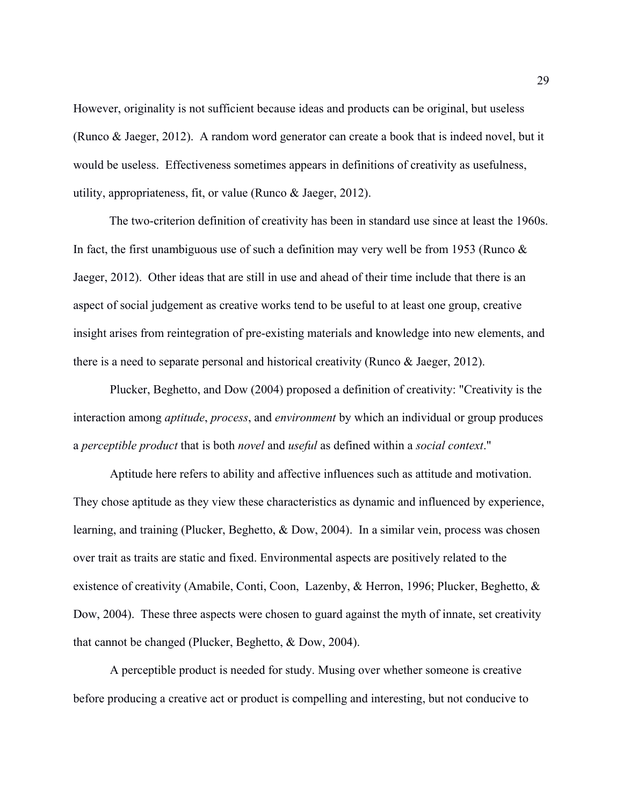However, originality is not sufficient because ideas and products can be original, but useless (Runco & Jaeger, 2012). A random word generator can create a book that is indeed novel, but it would be useless. Effectiveness sometimes appears in definitions of creativity as usefulness, utility, appropriateness, fit, or value (Runco & Jaeger, 2012).

The two-criterion definition of creativity has been in standard use since at least the 1960s. In fact, the first unambiguous use of such a definition may very well be from 1953 (Runco  $\&$ Jaeger, 2012). Other ideas that are still in use and ahead of their time include that there is an aspect of social judgement as creative works tend to be useful to at least one group, creative insight arises from reintegration of pre-existing materials and knowledge into new elements, and there is a need to separate personal and historical creativity (Runco & Jaeger, 2012).

Plucker, Beghetto, and Dow (2004) proposed a definition of creativity: "Creativity is the interaction among *aptitude*, *process*, and *environment* by which an individual or group produces a *perceptible product* that is both *novel* and *useful* as defined within a *social context*."

Aptitude here refers to ability and affective influences such as attitude and motivation. They chose aptitude as they view these characteristics as dynamic and influenced by experience, learning, and training (Plucker, Beghetto, & Dow, 2004). In a similar vein, process was chosen over trait as traits are static and fixed. Environmental aspects are positively related to the existence of creativity (Amabile, Conti, Coon, Lazenby, & Herron, 1996; Plucker, Beghetto, & Dow, 2004). These three aspects were chosen to guard against the myth of innate, set creativity that cannot be changed (Plucker, Beghetto, & Dow, 2004).

A perceptible product is needed for study. Musing over whether someone is creative before producing a creative act or product is compelling and interesting, but not conducive to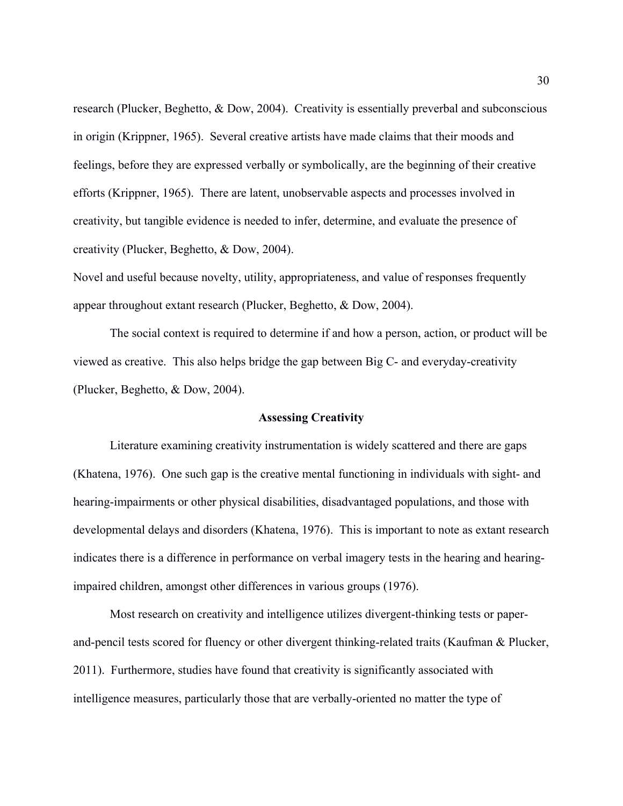research (Plucker, Beghetto, & Dow, 2004). Creativity is essentially preverbal and subconscious in origin (Krippner, 1965). Several creative artists have made claims that their moods and feelings, before they are expressed verbally or symbolically, are the beginning of their creative efforts (Krippner, 1965). There are latent, unobservable aspects and processes involved in creativity, but tangible evidence is needed to infer, determine, and evaluate the presence of creativity (Plucker, Beghetto, & Dow, 2004).

Novel and useful because novelty, utility, appropriateness, and value of responses frequently appear throughout extant research (Plucker, Beghetto, & Dow, 2004).

The social context is required to determine if and how a person, action, or product will be viewed as creative. This also helps bridge the gap between Big C- and everyday-creativity (Plucker, Beghetto, & Dow, 2004).

## **Assessing Creativity**

Literature examining creativity instrumentation is widely scattered and there are gaps (Khatena, 1976). One such gap is the creative mental functioning in individuals with sight- and hearing-impairments or other physical disabilities, disadvantaged populations, and those with developmental delays and disorders (Khatena, 1976). This is important to note as extant research indicates there is a difference in performance on verbal imagery tests in the hearing and hearingimpaired children, amongst other differences in various groups (1976).

Most research on creativity and intelligence utilizes divergent-thinking tests or paperand-pencil tests scored for fluency or other divergent thinking-related traits (Kaufman & Plucker, 2011). Furthermore, studies have found that creativity is significantly associated with intelligence measures, particularly those that are verbally-oriented no matter the type of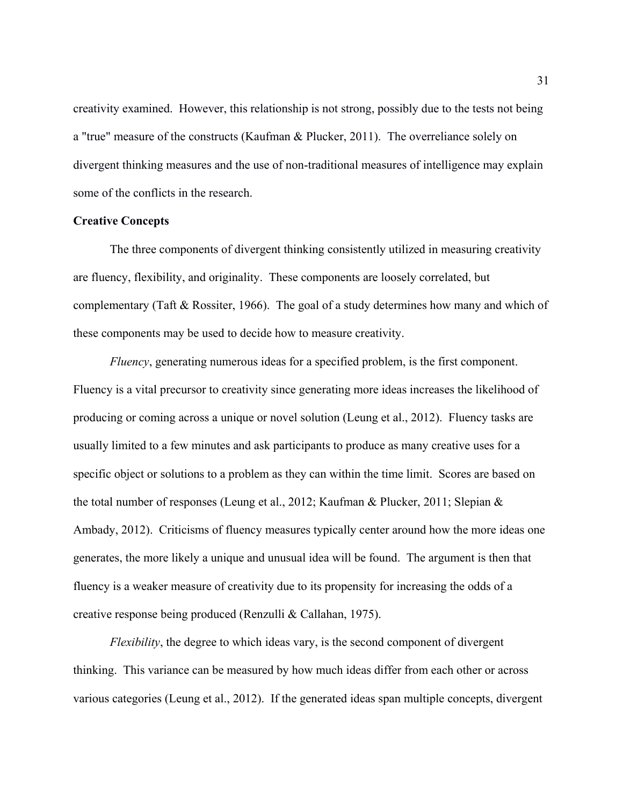creativity examined. However, this relationship is not strong, possibly due to the tests not being a "true" measure of the constructs (Kaufman & Plucker, 2011). The overreliance solely on divergent thinking measures and the use of non-traditional measures of intelligence may explain some of the conflicts in the research.

# **Creative Concepts**

The three components of divergent thinking consistently utilized in measuring creativity are fluency, flexibility, and originality. These components are loosely correlated, but complementary (Taft & Rossiter, 1966). The goal of a study determines how many and which of these components may be used to decide how to measure creativity.

*Fluency*, generating numerous ideas for a specified problem, is the first component. Fluency is a vital precursor to creativity since generating more ideas increases the likelihood of producing or coming across a unique or novel solution (Leung et al., 2012). Fluency tasks are usually limited to a few minutes and ask participants to produce as many creative uses for a specific object or solutions to a problem as they can within the time limit. Scores are based on the total number of responses (Leung et al., 2012; Kaufman & Plucker, 2011; Slepian & Ambady, 2012). Criticisms of fluency measures typically center around how the more ideas one generates, the more likely a unique and unusual idea will be found. The argument is then that fluency is a weaker measure of creativity due to its propensity for increasing the odds of a creative response being produced (Renzulli & Callahan, 1975).

*Flexibility*, the degree to which ideas vary, is the second component of divergent thinking. This variance can be measured by how much ideas differ from each other or across various categories (Leung et al., 2012). If the generated ideas span multiple concepts, divergent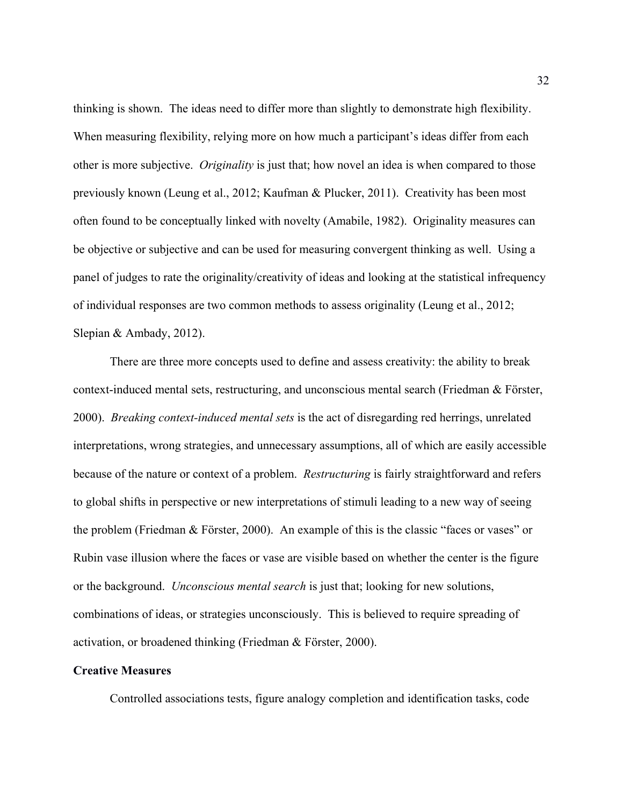thinking is shown. The ideas need to differ more than slightly to demonstrate high flexibility. When measuring flexibility, relying more on how much a participant's ideas differ from each other is more subjective. *Originality* is just that; how novel an idea is when compared to those previously known (Leung et al., 2012; Kaufman & Plucker, 2011). Creativity has been most often found to be conceptually linked with novelty (Amabile, 1982). Originality measures can be objective or subjective and can be used for measuring convergent thinking as well. Using a panel of judges to rate the originality/creativity of ideas and looking at the statistical infrequency of individual responses are two common methods to assess originality (Leung et al., 2012; Slepian & Ambady, 2012).

There are three more concepts used to define and assess creativity: the ability to break context-induced mental sets, restructuring, and unconscious mental search (Friedman & Förster, 2000). *Breaking context-induced mental sets* is the act of disregarding red herrings, unrelated interpretations, wrong strategies, and unnecessary assumptions, all of which are easily accessible because of the nature or context of a problem. *Restructuring* is fairly straightforward and refers to global shifts in perspective or new interpretations of stimuli leading to a new way of seeing the problem (Friedman & Förster, 2000). An example of this is the classic "faces or vases" or Rubin vase illusion where the faces or vase are visible based on whether the center is the figure or the background. *Unconscious mental search* is just that; looking for new solutions, combinations of ideas, or strategies unconsciously. This is believed to require spreading of activation, or broadened thinking (Friedman & Förster, 2000).

## **Creative Measures**

Controlled associations tests, figure analogy completion and identification tasks, code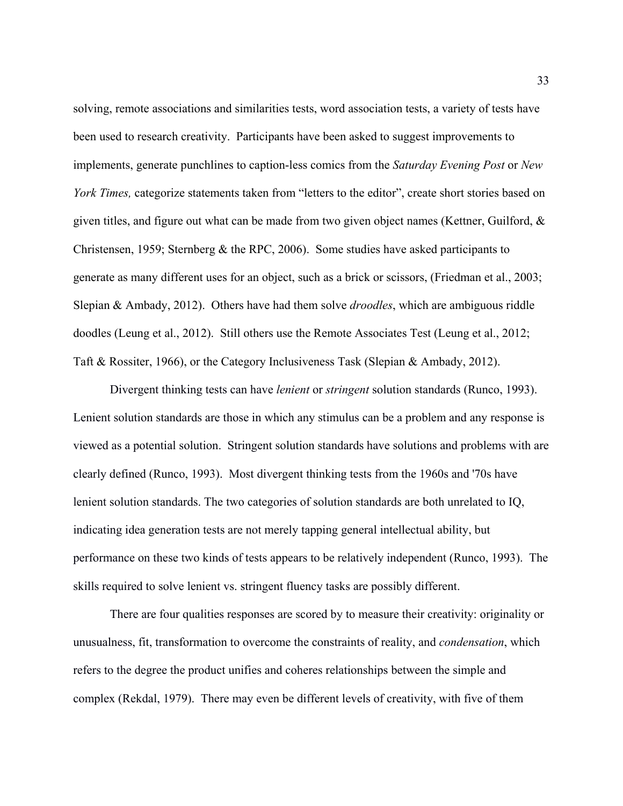solving, remote associations and similarities tests, word association tests, a variety of tests have been used to research creativity. Participants have been asked to suggest improvements to implements, generate punchlines to caption-less comics from the *Saturday Evening Post* or *New York Times, categorize statements taken from "letters to the editor", create short stories based on* given titles, and figure out what can be made from two given object names (Kettner, Guilford, & Christensen, 1959; Sternberg & the RPC, 2006). Some studies have asked participants to generate as many different uses for an object, such as a brick or scissors, (Friedman et al., 2003; Slepian & Ambady, 2012). Others have had them solve *droodles*, which are ambiguous riddle doodles (Leung et al., 2012). Still others use the Remote Associates Test (Leung et al., 2012; Taft & Rossiter, 1966), or the Category Inclusiveness Task (Slepian & Ambady, 2012).

Divergent thinking tests can have *lenient* or *stringent* solution standards (Runco, 1993). Lenient solution standards are those in which any stimulus can be a problem and any response is viewed as a potential solution. Stringent solution standards have solutions and problems with are clearly defined (Runco, 1993). Most divergent thinking tests from the 1960s and '70s have lenient solution standards. The two categories of solution standards are both unrelated to IQ, indicating idea generation tests are not merely tapping general intellectual ability, but performance on these two kinds of tests appears to be relatively independent (Runco, 1993). The skills required to solve lenient vs. stringent fluency tasks are possibly different.

There are four qualities responses are scored by to measure their creativity: originality or unusualness, fit, transformation to overcome the constraints of reality, and *condensation*, which refers to the degree the product unifies and coheres relationships between the simple and complex (Rekdal, 1979). There may even be different levels of creativity, with five of them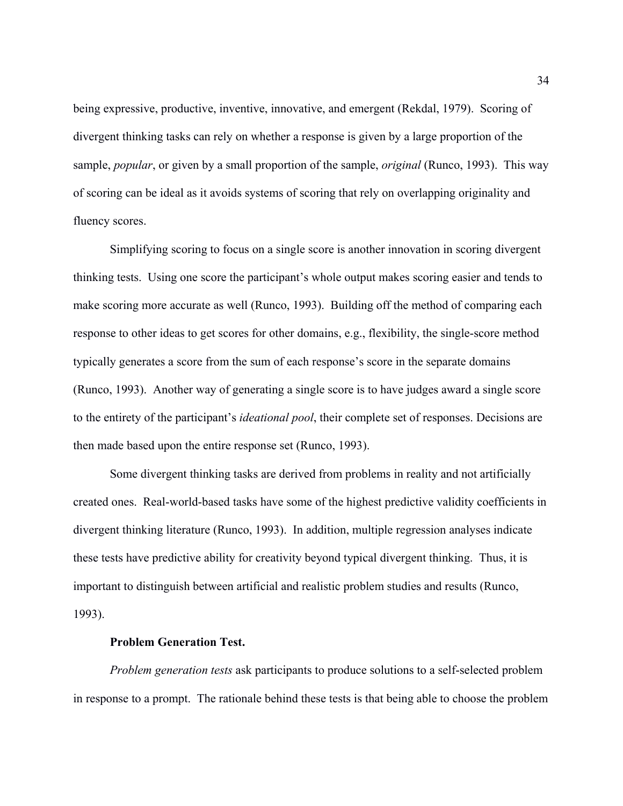being expressive, productive, inventive, innovative, and emergent (Rekdal, 1979). Scoring of divergent thinking tasks can rely on whether a response is given by a large proportion of the sample, *popular*, or given by a small proportion of the sample, *original* (Runco, 1993). This way of scoring can be ideal as it avoids systems of scoring that rely on overlapping originality and fluency scores.

Simplifying scoring to focus on a single score is another innovation in scoring divergent thinking tests. Using one score the participant's whole output makes scoring easier and tends to make scoring more accurate as well (Runco, 1993). Building off the method of comparing each response to other ideas to get scores for other domains, e.g., flexibility, the single-score method typically generates a score from the sum of each response's score in the separate domains (Runco, 1993). Another way of generating a single score is to have judges award a single score to the entirety of the participant's *ideational pool*, their complete set of responses. Decisions are then made based upon the entire response set (Runco, 1993).

Some divergent thinking tasks are derived from problems in reality and not artificially created ones. Real-world-based tasks have some of the highest predictive validity coefficients in divergent thinking literature (Runco, 1993). In addition, multiple regression analyses indicate these tests have predictive ability for creativity beyond typical divergent thinking. Thus, it is important to distinguish between artificial and realistic problem studies and results (Runco, 1993).

#### **Problem Generation Test.**

*Problem generation tests* ask participants to produce solutions to a self-selected problem in response to a prompt. The rationale behind these tests is that being able to choose the problem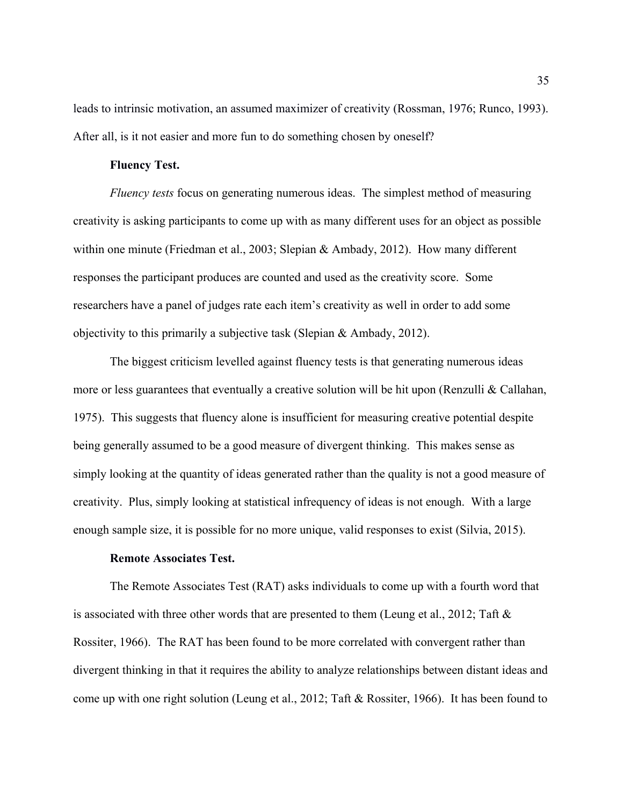leads to intrinsic motivation, an assumed maximizer of creativity (Rossman, 1976; Runco, 1993). After all, is it not easier and more fun to do something chosen by oneself?

# **Fluency Test.**

*Fluency tests* focus on generating numerous ideas. The simplest method of measuring creativity is asking participants to come up with as many different uses for an object as possible within one minute (Friedman et al., 2003; Slepian & Ambady, 2012). How many different responses the participant produces are counted and used as the creativity score. Some researchers have a panel of judges rate each item's creativity as well in order to add some objectivity to this primarily a subjective task (Slepian & Ambady, 2012).

The biggest criticism levelled against fluency tests is that generating numerous ideas more or less guarantees that eventually a creative solution will be hit upon (Renzulli & Callahan, 1975). This suggests that fluency alone is insufficient for measuring creative potential despite being generally assumed to be a good measure of divergent thinking. This makes sense as simply looking at the quantity of ideas generated rather than the quality is not a good measure of creativity. Plus, simply looking at statistical infrequency of ideas is not enough. With a large enough sample size, it is possible for no more unique, valid responses to exist (Silvia, 2015).

## **Remote Associates Test.**

The Remote Associates Test (RAT) asks individuals to come up with a fourth word that is associated with three other words that are presented to them (Leung et al., 2012; Taft & Rossiter, 1966). The RAT has been found to be more correlated with convergent rather than divergent thinking in that it requires the ability to analyze relationships between distant ideas and come up with one right solution (Leung et al., 2012; Taft & Rossiter, 1966). It has been found to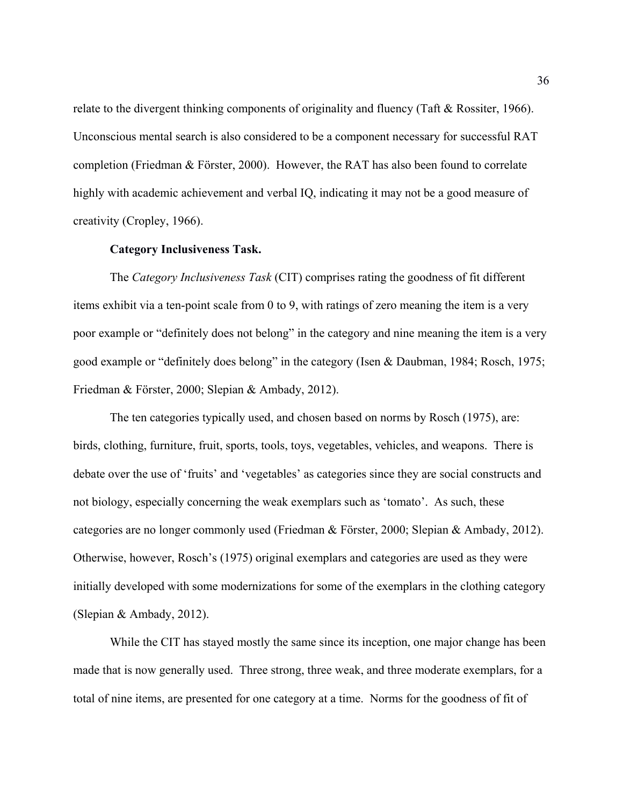relate to the divergent thinking components of originality and fluency (Taft & Rossiter, 1966). Unconscious mental search is also considered to be a component necessary for successful RAT completion (Friedman & Förster, 2000). However, the RAT has also been found to correlate highly with academic achievement and verbal IQ, indicating it may not be a good measure of creativity (Cropley, 1966).

#### **Category Inclusiveness Task.**

The *Category Inclusiveness Task* (CIT) comprises rating the goodness of fit different items exhibit via a ten-point scale from 0 to 9, with ratings of zero meaning the item is a very poor example or "definitely does not belong" in the category and nine meaning the item is a very good example or "definitely does belong" in the category (Isen & Daubman, 1984; Rosch, 1975; Friedman & Förster, 2000; Slepian & Ambady, 2012).

The ten categories typically used, and chosen based on norms by Rosch (1975), are: birds, clothing, furniture, fruit, sports, tools, toys, vegetables, vehicles, and weapons. There is debate over the use of 'fruits' and 'vegetables' as categories since they are social constructs and not biology, especially concerning the weak exemplars such as 'tomato'. As such, these categories are no longer commonly used (Friedman & Förster, 2000; Slepian & Ambady, 2012). Otherwise, however, Rosch's (1975) original exemplars and categories are used as they were initially developed with some modernizations for some of the exemplars in the clothing category (Slepian & Ambady, 2012).

While the CIT has stayed mostly the same since its inception, one major change has been made that is now generally used. Three strong, three weak, and three moderate exemplars, for a total of nine items, are presented for one category at a time. Norms for the goodness of fit of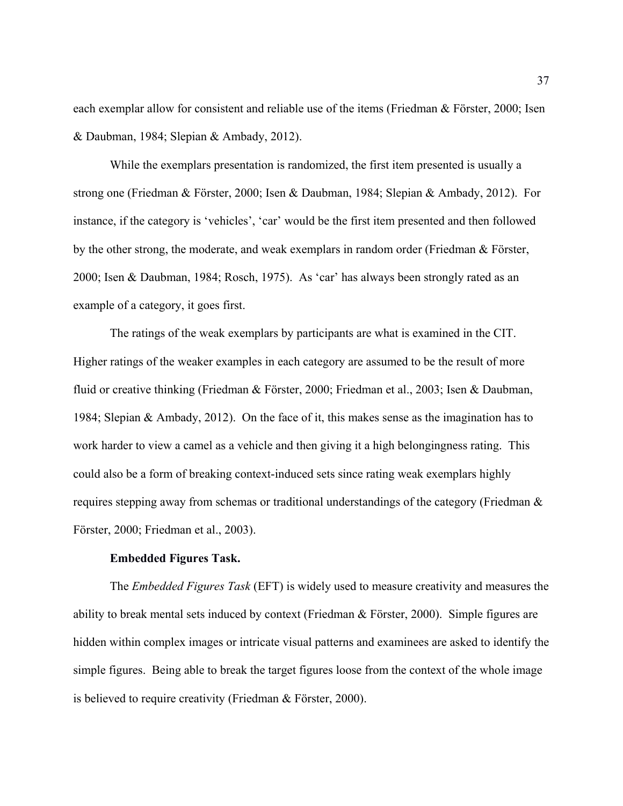each exemplar allow for consistent and reliable use of the items (Friedman & Förster, 2000; Isen & Daubman, 1984; Slepian & Ambady, 2012).

While the exemplars presentation is randomized, the first item presented is usually a strong one (Friedman & Förster, 2000; Isen & Daubman, 1984; Slepian & Ambady, 2012). For instance, if the category is 'vehicles', 'car' would be the first item presented and then followed by the other strong, the moderate, and weak exemplars in random order (Friedman & Förster, 2000; Isen & Daubman, 1984; Rosch, 1975). As 'car' has always been strongly rated as an example of a category, it goes first.

The ratings of the weak exemplars by participants are what is examined in the CIT. Higher ratings of the weaker examples in each category are assumed to be the result of more fluid or creative thinking (Friedman & Förster, 2000; Friedman et al., 2003; Isen & Daubman, 1984; Slepian & Ambady, 2012). On the face of it, this makes sense as the imagination has to work harder to view a camel as a vehicle and then giving it a high belongingness rating. This could also be a form of breaking context-induced sets since rating weak exemplars highly requires stepping away from schemas or traditional understandings of the category (Friedman & Förster, 2000; Friedman et al., 2003).

#### **Embedded Figures Task.**

The *Embedded Figures Task* (EFT) is widely used to measure creativity and measures the ability to break mental sets induced by context (Friedman & Förster, 2000). Simple figures are hidden within complex images or intricate visual patterns and examinees are asked to identify the simple figures. Being able to break the target figures loose from the context of the whole image is believed to require creativity (Friedman & Förster, 2000).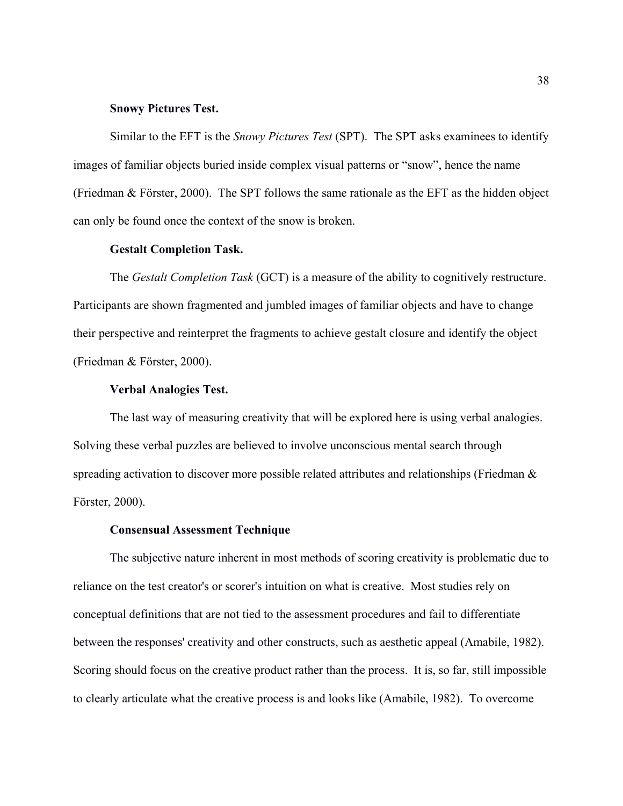## **Snowy Pictures Test.**

Similar to the EFT is the *Snowy Pictures Test* (SPT). The SPT asks examinees to identify images of familiar objects buried inside complex visual patterns or "snow", hence the name (Friedman & Förster, 2000). The SPT follows the same rationale as the EFT as the hidden object can only be found once the context of the snow is broken.

#### **Gestalt Completion Task.**

The *Gestalt Completion Task* (GCT) is a measure of the ability to cognitively restructure. Participants are shown fragmented and jumbled images of familiar objects and have to change their perspective and reinterpret the fragments to achieve gestalt closure and identify the object (Friedman & Förster, 2000).

#### **Verbal Analogies Test.**

The last way of measuring creativity that will be explored here is using verbal analogies. Solving these verbal puzzles are believed to involve unconscious mental search through spreading activation to discover more possible related attributes and relationships (Friedman & Förster, 2000).

## **Consensual Assessment Technique**

The subjective nature inherent in most methods of scoring creativity is problematic due to reliance on the test creator's or scorer's intuition on what is creative. Most studies rely on conceptual definitions that are not tied to the assessment procedures and fail to differentiate between the responses' creativity and other constructs, such as aesthetic appeal (Amabile, 1982). Scoring should focus on the creative product rather than the process. It is, so far, still impossible to clearly articulate what the creative process is and looks like (Amabile, 1982). To overcome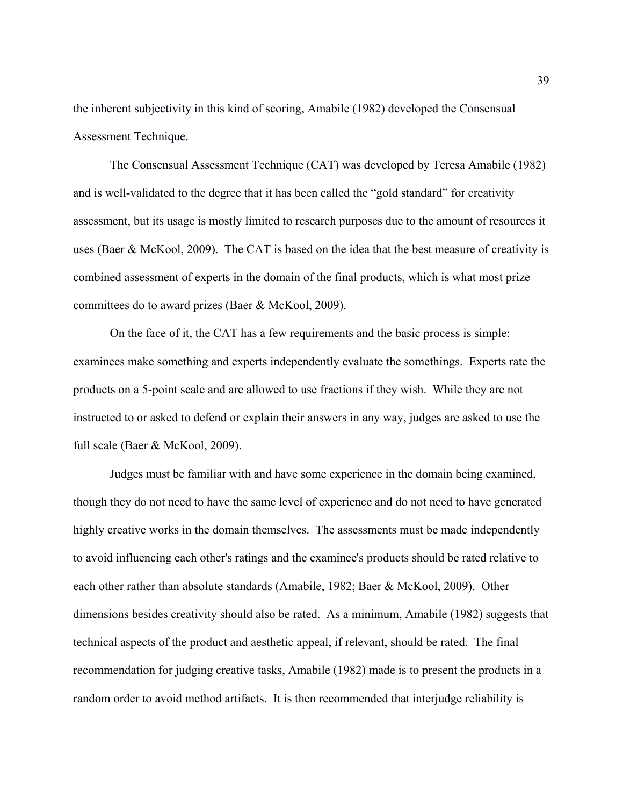the inherent subjectivity in this kind of scoring, Amabile (1982) developed the Consensual Assessment Technique.

The Consensual Assessment Technique (CAT) was developed by Teresa Amabile (1982) and is well-validated to the degree that it has been called the "gold standard" for creativity assessment, but its usage is mostly limited to research purposes due to the amount of resources it uses (Baer & McKool, 2009). The CAT is based on the idea that the best measure of creativity is combined assessment of experts in the domain of the final products, which is what most prize committees do to award prizes (Baer & McKool, 2009).

On the face of it, the CAT has a few requirements and the basic process is simple: examinees make something and experts independently evaluate the somethings. Experts rate the products on a 5-point scale and are allowed to use fractions if they wish. While they are not instructed to or asked to defend or explain their answers in any way, judges are asked to use the full scale (Baer & McKool, 2009).

Judges must be familiar with and have some experience in the domain being examined, though they do not need to have the same level of experience and do not need to have generated highly creative works in the domain themselves. The assessments must be made independently to avoid influencing each other's ratings and the examinee's products should be rated relative to each other rather than absolute standards (Amabile, 1982; Baer & McKool, 2009). Other dimensions besides creativity should also be rated. As a minimum, Amabile (1982) suggests that technical aspects of the product and aesthetic appeal, if relevant, should be rated. The final recommendation for judging creative tasks, Amabile (1982) made is to present the products in a random order to avoid method artifacts. It is then recommended that interjudge reliability is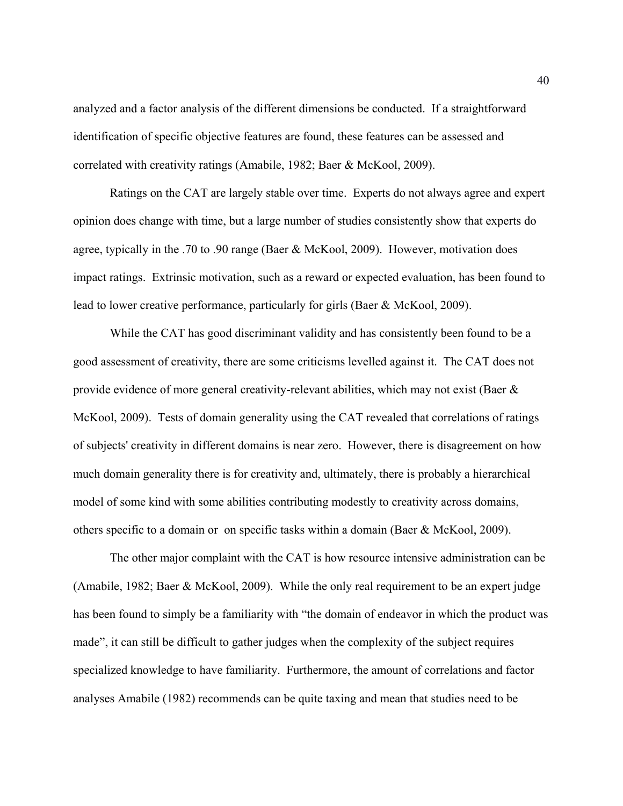analyzed and a factor analysis of the different dimensions be conducted. If a straightforward identification of specific objective features are found, these features can be assessed and correlated with creativity ratings (Amabile, 1982; Baer & McKool, 2009).

Ratings on the CAT are largely stable over time. Experts do not always agree and expert opinion does change with time, but a large number of studies consistently show that experts do agree, typically in the .70 to .90 range (Baer & McKool, 2009). However, motivation does impact ratings. Extrinsic motivation, such as a reward or expected evaluation, has been found to lead to lower creative performance, particularly for girls (Baer & McKool, 2009).

While the CAT has good discriminant validity and has consistently been found to be a good assessment of creativity, there are some criticisms levelled against it. The CAT does not provide evidence of more general creativity-relevant abilities, which may not exist (Baer  $\&$ McKool, 2009). Tests of domain generality using the CAT revealed that correlations of ratings of subjects' creativity in different domains is near zero. However, there is disagreement on how much domain generality there is for creativity and, ultimately, there is probably a hierarchical model of some kind with some abilities contributing modestly to creativity across domains, others specific to a domain or on specific tasks within a domain (Baer & McKool, 2009).

The other major complaint with the CAT is how resource intensive administration can be (Amabile, 1982; Baer & McKool, 2009). While the only real requirement to be an expert judge has been found to simply be a familiarity with "the domain of endeavor in which the product was made", it can still be difficult to gather judges when the complexity of the subject requires specialized knowledge to have familiarity. Furthermore, the amount of correlations and factor analyses Amabile (1982) recommends can be quite taxing and mean that studies need to be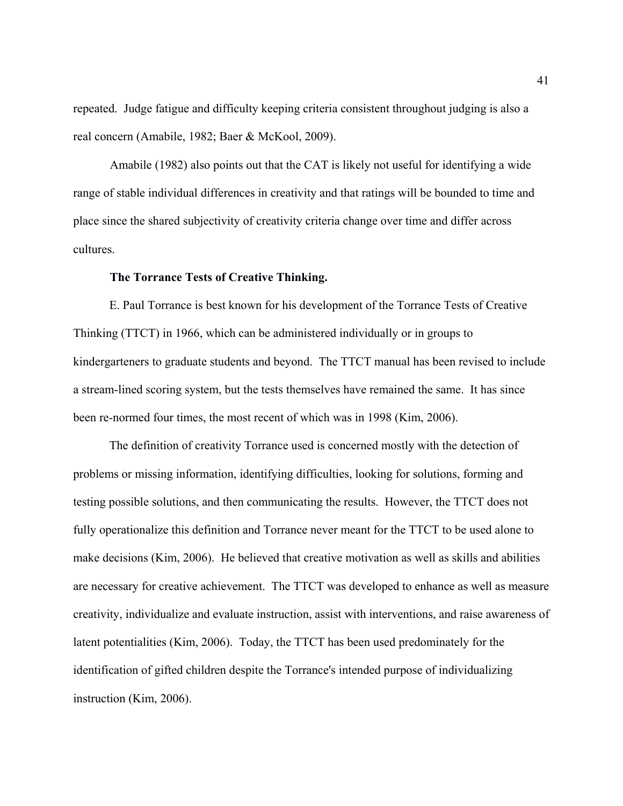repeated. Judge fatigue and difficulty keeping criteria consistent throughout judging is also a real concern (Amabile, 1982; Baer & McKool, 2009).

Amabile (1982) also points out that the CAT is likely not useful for identifying a wide range of stable individual differences in creativity and that ratings will be bounded to time and place since the shared subjectivity of creativity criteria change over time and differ across cultures.

# **The Torrance Tests of Creative Thinking.**

E. Paul Torrance is best known for his development of the Torrance Tests of Creative Thinking (TTCT) in 1966, which can be administered individually or in groups to kindergarteners to graduate students and beyond. The TTCT manual has been revised to include a stream-lined scoring system, but the tests themselves have remained the same. It has since been re-normed four times, the most recent of which was in 1998 (Kim, 2006).

The definition of creativity Torrance used is concerned mostly with the detection of problems or missing information, identifying difficulties, looking for solutions, forming and testing possible solutions, and then communicating the results. However, the TTCT does not fully operationalize this definition and Torrance never meant for the TTCT to be used alone to make decisions (Kim, 2006). He believed that creative motivation as well as skills and abilities are necessary for creative achievement. The TTCT was developed to enhance as well as measure creativity, individualize and evaluate instruction, assist with interventions, and raise awareness of latent potentialities (Kim, 2006). Today, the TTCT has been used predominately for the identification of gifted children despite the Torrance's intended purpose of individualizing instruction (Kim, 2006).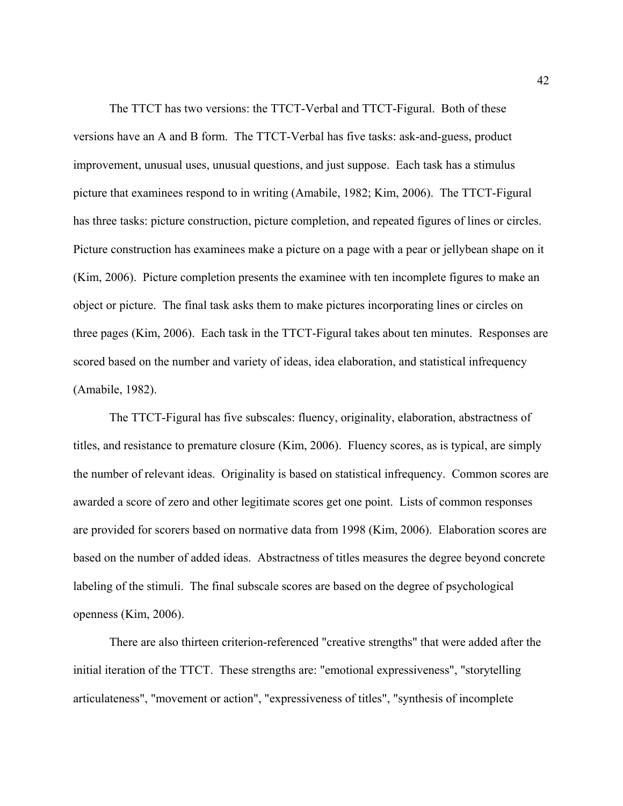The TTCT has two versions: the TTCT-Verbal and TTCT-Figural. Both of these versions have an A and B form. The TTCT-Verbal has five tasks: ask-and-guess, product improvement, unusual uses, unusual questions, and just suppose. Each task has a stimulus picture that examinees respond to in writing (Amabile, 1982; Kim, 2006). The TTCT-Figural has three tasks: picture construction, picture completion, and repeated figures of lines or circles. Picture construction has examinees make a picture on a page with a pear or jellybean shape on it (Kim, 2006). Picture completion presents the examinee with ten incomplete figures to make an object or picture. The final task asks them to make pictures incorporating lines or circles on three pages (Kim, 2006). Each task in the TTCT-Figural takes about ten minutes. Responses are scored based on the number and variety of ideas, idea elaboration, and statistical infrequency (Amabile, 1982).

The TTCT-Figural has five subscales: fluency, originality, elaboration, abstractness of titles, and resistance to premature closure (Kim, 2006). Fluency scores, as is typical, are simply the number of relevant ideas. Originality is based on statistical infrequency. Common scores are awarded a score of zero and other legitimate scores get one point. Lists of common responses are provided for scorers based on normative data from 1998 (Kim, 2006). Elaboration scores are based on the number of added ideas. Abstractness of titles measures the degree beyond concrete labeling of the stimuli. The final subscale scores are based on the degree of psychological openness (Kim, 2006).

There are also thirteen criterion-referenced "creative strengths" that were added after the initial iteration of the TTCT. These strengths are: "emotional expressiveness", "storytelling articulateness", "movement or action", "expressiveness of titles", "synthesis of incomplete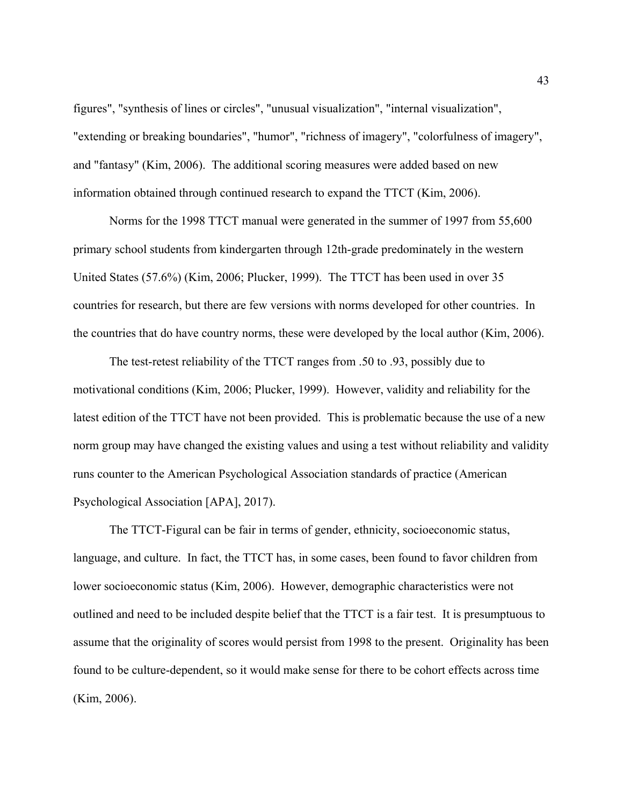figures", "synthesis of lines or circles", "unusual visualization", "internal visualization", "extending or breaking boundaries", "humor", "richness of imagery", "colorfulness of imagery", and "fantasy" (Kim, 2006). The additional scoring measures were added based on new information obtained through continued research to expand the TTCT (Kim, 2006).

Norms for the 1998 TTCT manual were generated in the summer of 1997 from 55,600 primary school students from kindergarten through 12th-grade predominately in the western United States (57.6%) (Kim, 2006; Plucker, 1999). The TTCT has been used in over 35 countries for research, but there are few versions with norms developed for other countries. In the countries that do have country norms, these were developed by the local author (Kim, 2006).

The test-retest reliability of the TTCT ranges from .50 to .93, possibly due to motivational conditions (Kim, 2006; Plucker, 1999). However, validity and reliability for the latest edition of the TTCT have not been provided. This is problematic because the use of a new norm group may have changed the existing values and using a test without reliability and validity runs counter to the American Psychological Association standards of practice (American Psychological Association [APA], 2017).

The TTCT-Figural can be fair in terms of gender, ethnicity, socioeconomic status, language, and culture. In fact, the TTCT has, in some cases, been found to favor children from lower socioeconomic status (Kim, 2006). However, demographic characteristics were not outlined and need to be included despite belief that the TTCT is a fair test. It is presumptuous to assume that the originality of scores would persist from 1998 to the present. Originality has been found to be culture-dependent, so it would make sense for there to be cohort effects across time (Kim, 2006).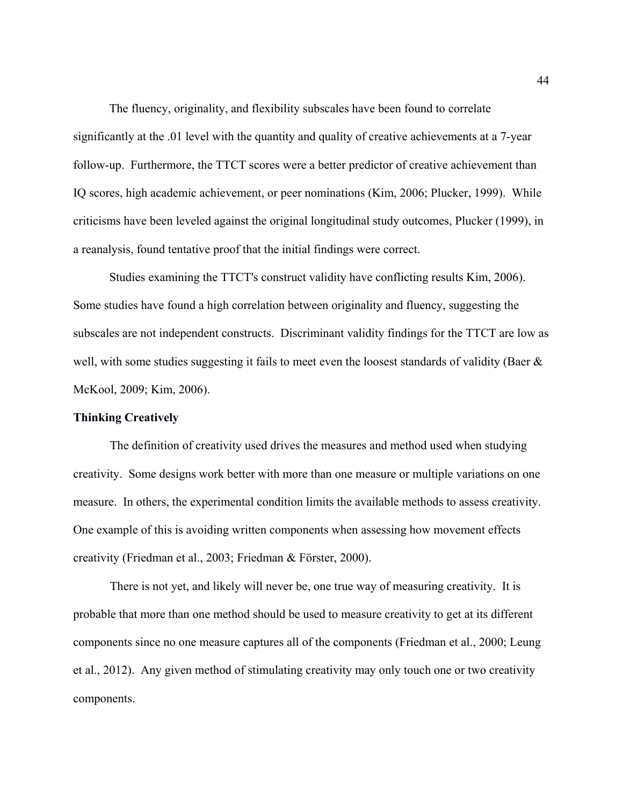The fluency, originality, and flexibility subscales have been found to correlate significantly at the .01 level with the quantity and quality of creative achievements at a 7-year follow-up. Furthermore, the TTCT scores were a better predictor of creative achievement than IQ scores, high academic achievement, or peer nominations (Kim, 2006; Plucker, 1999). While criticisms have been leveled against the original longitudinal study outcomes, Plucker (1999), in a reanalysis, found tentative proof that the initial findings were correct.

Studies examining the TTCT's construct validity have conflicting results Kim, 2006). Some studies have found a high correlation between originality and fluency, suggesting the subscales are not independent constructs. Discriminant validity findings for the TTCT are low as well, with some studies suggesting it fails to meet even the loosest standards of validity (Baer & McKool, 2009; Kim, 2006).

# **Thinking Creatively**

The definition of creativity used drives the measures and method used when studying creativity. Some designs work better with more than one measure or multiple variations on one measure. In others, the experimental condition limits the available methods to assess creativity. One example of this is avoiding written components when assessing how movement effects creativity (Friedman et al., 2003; Friedman & Förster, 2000).

There is not yet, and likely will never be, one true way of measuring creativity. It is probable that more than one method should be used to measure creativity to get at its different components since no one measure captures all of the components (Friedman et al., 2000; Leung et al., 2012). Any given method of stimulating creativity may only touch one or two creativity components.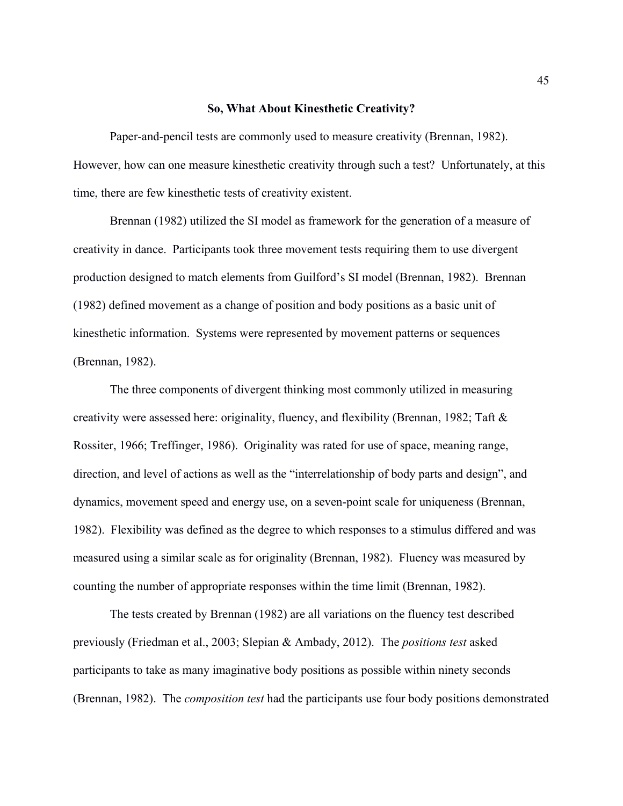### **So, What About Kinesthetic Creativity?**

Paper-and-pencil tests are commonly used to measure creativity (Brennan, 1982). However, how can one measure kinesthetic creativity through such a test? Unfortunately, at this time, there are few kinesthetic tests of creativity existent.

Brennan (1982) utilized the SI model as framework for the generation of a measure of creativity in dance. Participants took three movement tests requiring them to use divergent production designed to match elements from Guilford's SI model (Brennan, 1982). Brennan (1982) defined movement as a change of position and body positions as a basic unit of kinesthetic information. Systems were represented by movement patterns or sequences (Brennan, 1982).

The three components of divergent thinking most commonly utilized in measuring creativity were assessed here: originality, fluency, and flexibility (Brennan, 1982; Taft & Rossiter, 1966; Treffinger, 1986). Originality was rated for use of space, meaning range, direction, and level of actions as well as the "interrelationship of body parts and design", and dynamics, movement speed and energy use, on a seven-point scale for uniqueness (Brennan, 1982). Flexibility was defined as the degree to which responses to a stimulus differed and was measured using a similar scale as for originality (Brennan, 1982). Fluency was measured by counting the number of appropriate responses within the time limit (Brennan, 1982).

The tests created by Brennan (1982) are all variations on the fluency test described previously (Friedman et al., 2003; Slepian & Ambady, 2012). The *positions test* asked participants to take as many imaginative body positions as possible within ninety seconds (Brennan, 1982). The *composition test* had the participants use four body positions demonstrated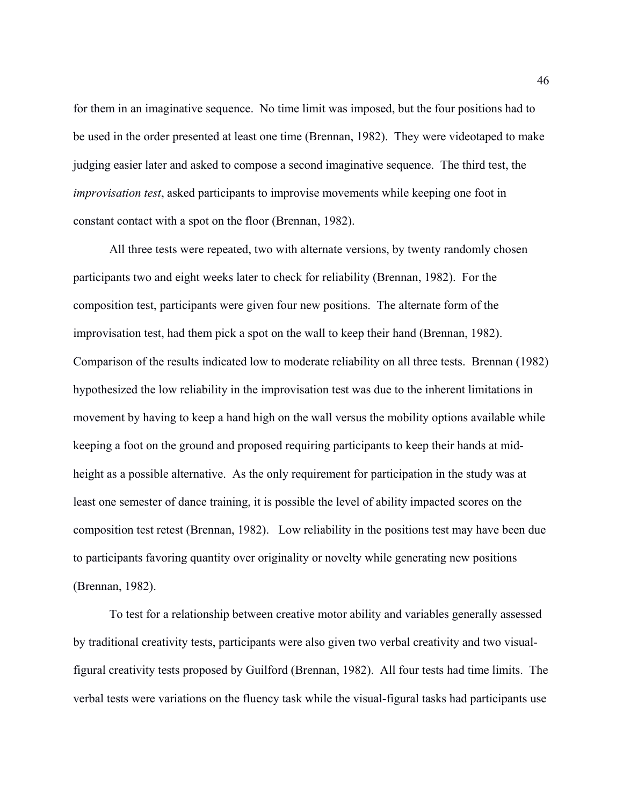for them in an imaginative sequence. No time limit was imposed, but the four positions had to be used in the order presented at least one time (Brennan, 1982). They were videotaped to make judging easier later and asked to compose a second imaginative sequence. The third test, the *improvisation test*, asked participants to improvise movements while keeping one foot in constant contact with a spot on the floor (Brennan, 1982).

All three tests were repeated, two with alternate versions, by twenty randomly chosen participants two and eight weeks later to check for reliability (Brennan, 1982). For the composition test, participants were given four new positions. The alternate form of the improvisation test, had them pick a spot on the wall to keep their hand (Brennan, 1982). Comparison of the results indicated low to moderate reliability on all three tests. Brennan (1982) hypothesized the low reliability in the improvisation test was due to the inherent limitations in movement by having to keep a hand high on the wall versus the mobility options available while keeping a foot on the ground and proposed requiring participants to keep their hands at midheight as a possible alternative. As the only requirement for participation in the study was at least one semester of dance training, it is possible the level of ability impacted scores on the composition test retest (Brennan, 1982). Low reliability in the positions test may have been due to participants favoring quantity over originality or novelty while generating new positions (Brennan, 1982).

To test for a relationship between creative motor ability and variables generally assessed by traditional creativity tests, participants were also given two verbal creativity and two visualfigural creativity tests proposed by Guilford (Brennan, 1982). All four tests had time limits. The verbal tests were variations on the fluency task while the visual-figural tasks had participants use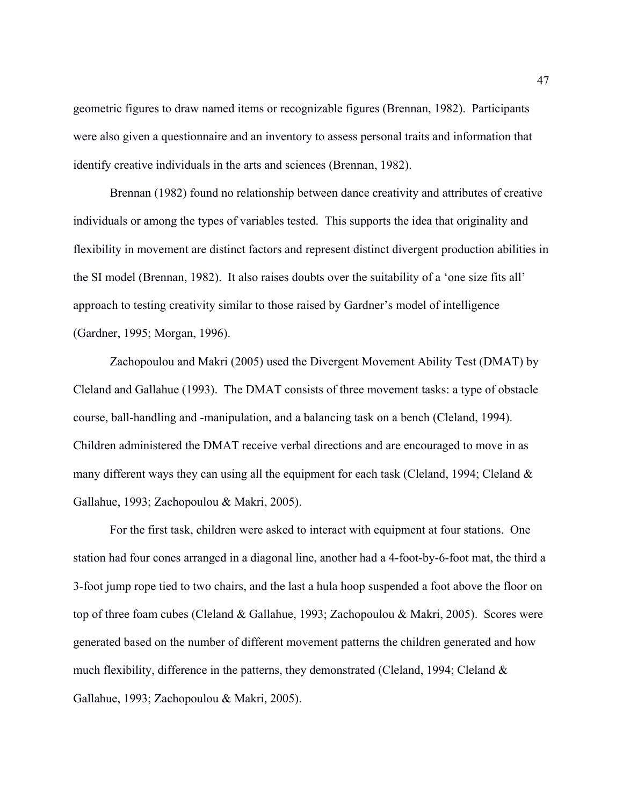geometric figures to draw named items or recognizable figures (Brennan, 1982). Participants were also given a questionnaire and an inventory to assess personal traits and information that identify creative individuals in the arts and sciences (Brennan, 1982).

Brennan (1982) found no relationship between dance creativity and attributes of creative individuals or among the types of variables tested. This supports the idea that originality and flexibility in movement are distinct factors and represent distinct divergent production abilities in the SI model (Brennan, 1982). It also raises doubts over the suitability of a 'one size fits all' approach to testing creativity similar to those raised by Gardner's model of intelligence (Gardner, 1995; Morgan, 1996).

Zachopoulou and Makri (2005) used the Divergent Movement Ability Test (DMAT) by Cleland and Gallahue (1993). The DMAT consists of three movement tasks: a type of obstacle course, ball-handling and -manipulation, and a balancing task on a bench (Cleland, 1994). Children administered the DMAT receive verbal directions and are encouraged to move in as many different ways they can using all the equipment for each task (Cleland, 1994; Cleland & Gallahue, 1993; Zachopoulou & Makri, 2005).

For the first task, children were asked to interact with equipment at four stations. One station had four cones arranged in a diagonal line, another had a 4-foot-by-6-foot mat, the third a 3-foot jump rope tied to two chairs, and the last a hula hoop suspended a foot above the floor on top of three foam cubes (Cleland & Gallahue, 1993; Zachopoulou & Makri, 2005). Scores were generated based on the number of different movement patterns the children generated and how much flexibility, difference in the patterns, they demonstrated (Cleland, 1994; Cleland  $\&$ Gallahue, 1993; Zachopoulou & Makri, 2005).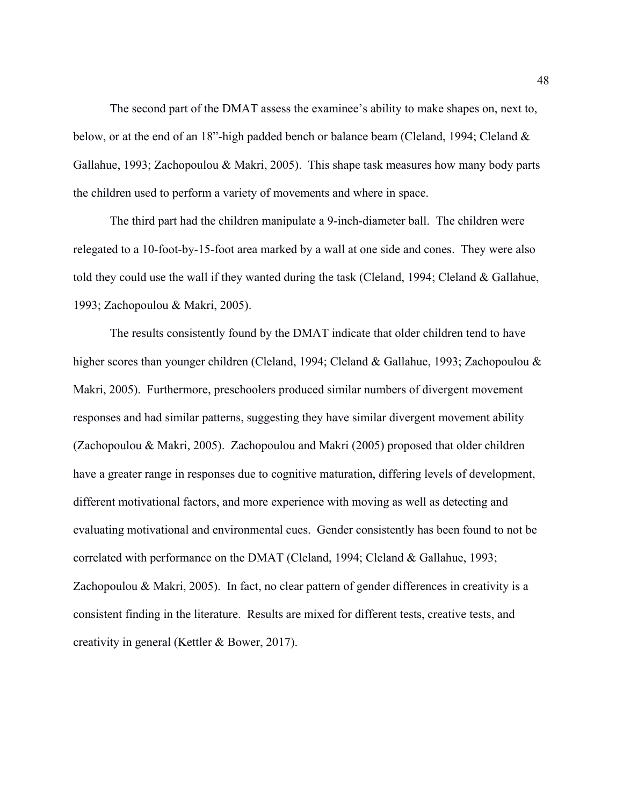The second part of the DMAT assess the examinee's ability to make shapes on, next to, below, or at the end of an 18"-high padded bench or balance beam (Cleland, 1994; Cleland & Gallahue, 1993; Zachopoulou & Makri, 2005). This shape task measures how many body parts the children used to perform a variety of movements and where in space.

The third part had the children manipulate a 9-inch-diameter ball. The children were relegated to a 10-foot-by-15-foot area marked by a wall at one side and cones. They were also told they could use the wall if they wanted during the task (Cleland, 1994; Cleland & Gallahue, 1993; Zachopoulou & Makri, 2005).

The results consistently found by the DMAT indicate that older children tend to have higher scores than younger children (Cleland, 1994; Cleland & Gallahue, 1993; Zachopoulou & Makri, 2005). Furthermore, preschoolers produced similar numbers of divergent movement responses and had similar patterns, suggesting they have similar divergent movement ability (Zachopoulou & Makri, 2005). Zachopoulou and Makri (2005) proposed that older children have a greater range in responses due to cognitive maturation, differing levels of development, different motivational factors, and more experience with moving as well as detecting and evaluating motivational and environmental cues. Gender consistently has been found to not be correlated with performance on the DMAT (Cleland, 1994; Cleland & Gallahue, 1993; Zachopoulou & Makri, 2005). In fact, no clear pattern of gender differences in creativity is a consistent finding in the literature. Results are mixed for different tests, creative tests, and creativity in general (Kettler & Bower, 2017).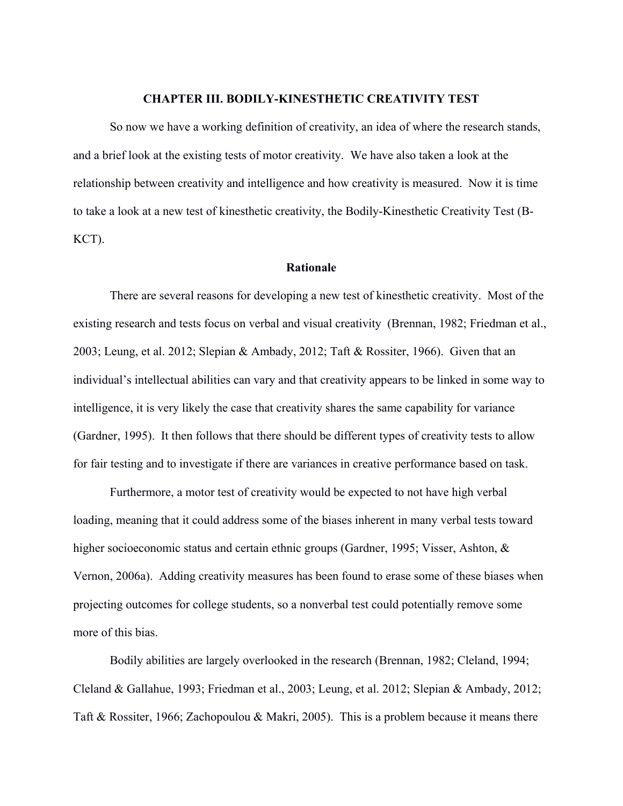## **CHAPTER III. BODILY-KINESTHETIC CREATIVITY TEST**

So now we have a working definition of creativity, an idea of where the research stands, and a brief look at the existing tests of motor creativity. We have also taken a look at the relationship between creativity and intelligence and how creativity is measured. Now it is time to take a look at a new test of kinesthetic creativity, the Bodily-Kinesthetic Creativity Test (B-KCT).

## **Rationale**

There are several reasons for developing a new test of kinesthetic creativity. Most of the existing research and tests focus on verbal and visual creativity (Brennan, 1982; Friedman et al., 2003; Leung, et al. 2012; Slepian & Ambady, 2012; Taft & Rossiter, 1966). Given that an individual's intellectual abilities can vary and that creativity appears to be linked in some way to intelligence, it is very likely the case that creativity shares the same capability for variance (Gardner, 1995). It then follows that there should be different types of creativity tests to allow for fair testing and to investigate if there are variances in creative performance based on task.

Furthermore, a motor test of creativity would be expected to not have high verbal loading, meaning that it could address some of the biases inherent in many verbal tests toward higher socioeconomic status and certain ethnic groups (Gardner, 1995; Visser, Ashton, & Vernon, 2006a). Adding creativity measures has been found to erase some of these biases when projecting outcomes for college students, so a nonverbal test could potentially remove some more of this bias.

Bodily abilities are largely overlooked in the research (Brennan, 1982; Cleland, 1994; Cleland & Gallahue, 1993; Friedman et al., 2003; Leung, et al. 2012; Slepian & Ambady, 2012; Taft & Rossiter, 1966; Zachopoulou & Makri, 2005). This is a problem because it means there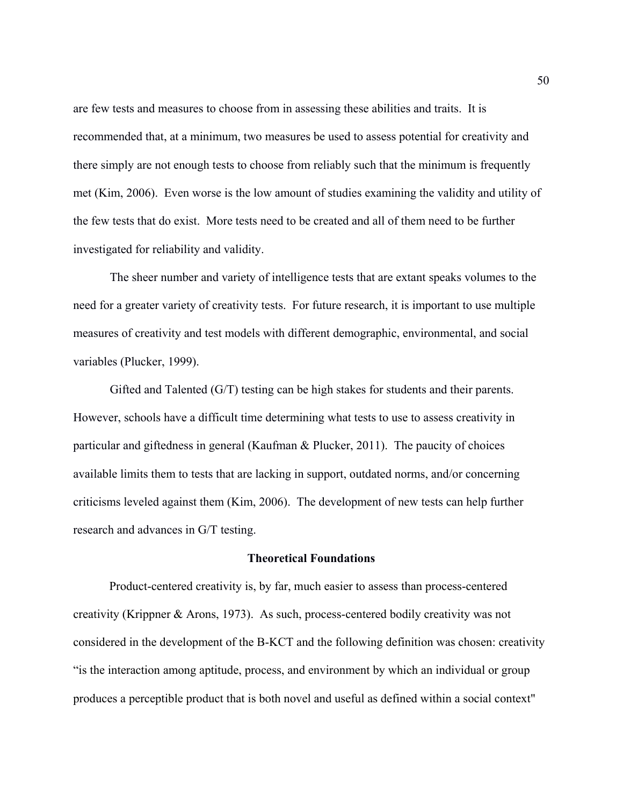are few tests and measures to choose from in assessing these abilities and traits. It is recommended that, at a minimum, two measures be used to assess potential for creativity and there simply are not enough tests to choose from reliably such that the minimum is frequently met (Kim, 2006). Even worse is the low amount of studies examining the validity and utility of the few tests that do exist. More tests need to be created and all of them need to be further investigated for reliability and validity.

The sheer number and variety of intelligence tests that are extant speaks volumes to the need for a greater variety of creativity tests. For future research, it is important to use multiple measures of creativity and test models with different demographic, environmental, and social variables (Plucker, 1999).

Gifted and Talented (G/T) testing can be high stakes for students and their parents. However, schools have a difficult time determining what tests to use to assess creativity in particular and giftedness in general (Kaufman & Plucker, 2011). The paucity of choices available limits them to tests that are lacking in support, outdated norms, and/or concerning criticisms leveled against them (Kim, 2006). The development of new tests can help further research and advances in G/T testing.

## **Theoretical Foundations**

Product-centered creativity is, by far, much easier to assess than process-centered creativity (Krippner & Arons, 1973). As such, process-centered bodily creativity was not considered in the development of the B-KCT and the following definition was chosen: creativity "is the interaction among aptitude, process, and environment by which an individual or group produces a perceptible product that is both novel and useful as defined within a social context"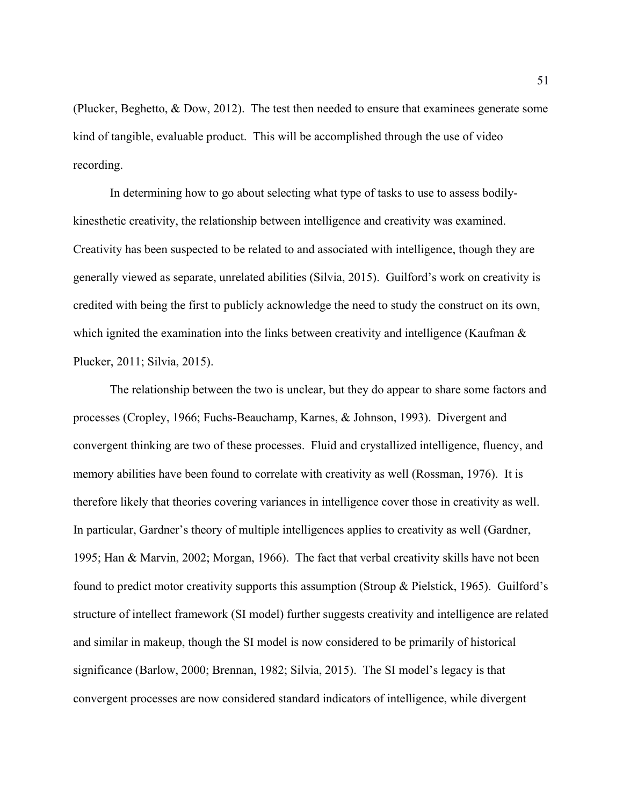(Plucker, Beghetto, & Dow, 2012). The test then needed to ensure that examinees generate some kind of tangible, evaluable product. This will be accomplished through the use of video recording.

In determining how to go about selecting what type of tasks to use to assess bodilykinesthetic creativity, the relationship between intelligence and creativity was examined. Creativity has been suspected to be related to and associated with intelligence, though they are generally viewed as separate, unrelated abilities (Silvia, 2015). Guilford's work on creativity is credited with being the first to publicly acknowledge the need to study the construct on its own, which ignited the examination into the links between creativity and intelligence (Kaufman  $\&$ Plucker, 2011; Silvia, 2015).

The relationship between the two is unclear, but they do appear to share some factors and processes (Cropley, 1966; Fuchs-Beauchamp, Karnes, & Johnson, 1993). Divergent and convergent thinking are two of these processes. Fluid and crystallized intelligence, fluency, and memory abilities have been found to correlate with creativity as well (Rossman, 1976). It is therefore likely that theories covering variances in intelligence cover those in creativity as well. In particular, Gardner's theory of multiple intelligences applies to creativity as well (Gardner, 1995; Han & Marvin, 2002; Morgan, 1966). The fact that verbal creativity skills have not been found to predict motor creativity supports this assumption (Stroup & Pielstick, 1965). Guilford's structure of intellect framework (SI model) further suggests creativity and intelligence are related and similar in makeup, though the SI model is now considered to be primarily of historical significance (Barlow, 2000; Brennan, 1982; Silvia, 2015). The SI model's legacy is that convergent processes are now considered standard indicators of intelligence, while divergent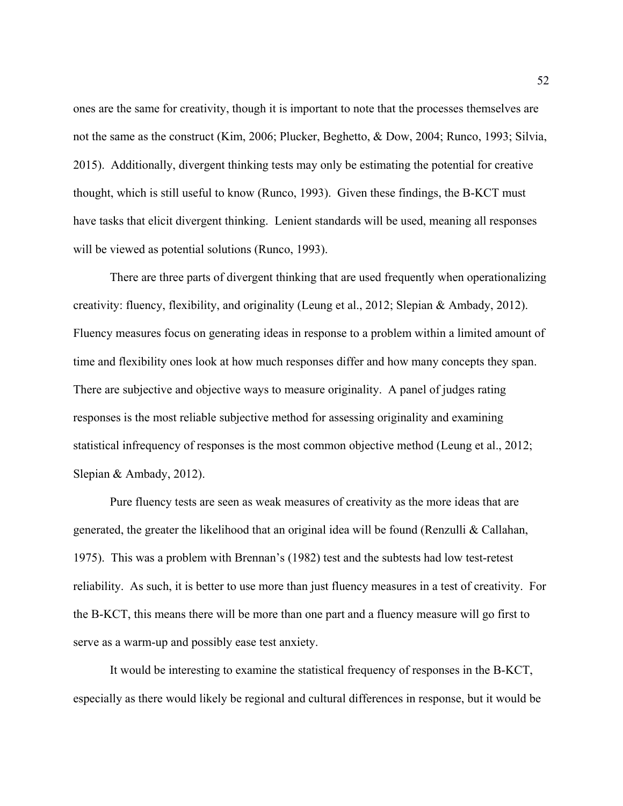ones are the same for creativity, though it is important to note that the processes themselves are not the same as the construct (Kim, 2006; Plucker, Beghetto, & Dow, 2004; Runco, 1993; Silvia, 2015). Additionally, divergent thinking tests may only be estimating the potential for creative thought, which is still useful to know (Runco, 1993). Given these findings, the B-KCT must have tasks that elicit divergent thinking. Lenient standards will be used, meaning all responses will be viewed as potential solutions (Runco, 1993).

There are three parts of divergent thinking that are used frequently when operationalizing creativity: fluency, flexibility, and originality (Leung et al., 2012; Slepian & Ambady, 2012). Fluency measures focus on generating ideas in response to a problem within a limited amount of time and flexibility ones look at how much responses differ and how many concepts they span. There are subjective and objective ways to measure originality. A panel of judges rating responses is the most reliable subjective method for assessing originality and examining statistical infrequency of responses is the most common objective method (Leung et al., 2012; Slepian & Ambady, 2012).

Pure fluency tests are seen as weak measures of creativity as the more ideas that are generated, the greater the likelihood that an original idea will be found (Renzulli & Callahan, 1975). This was a problem with Brennan's (1982) test and the subtests had low test-retest reliability. As such, it is better to use more than just fluency measures in a test of creativity. For the B-KCT, this means there will be more than one part and a fluency measure will go first to serve as a warm-up and possibly ease test anxiety.

It would be interesting to examine the statistical frequency of responses in the B-KCT, especially as there would likely be regional and cultural differences in response, but it would be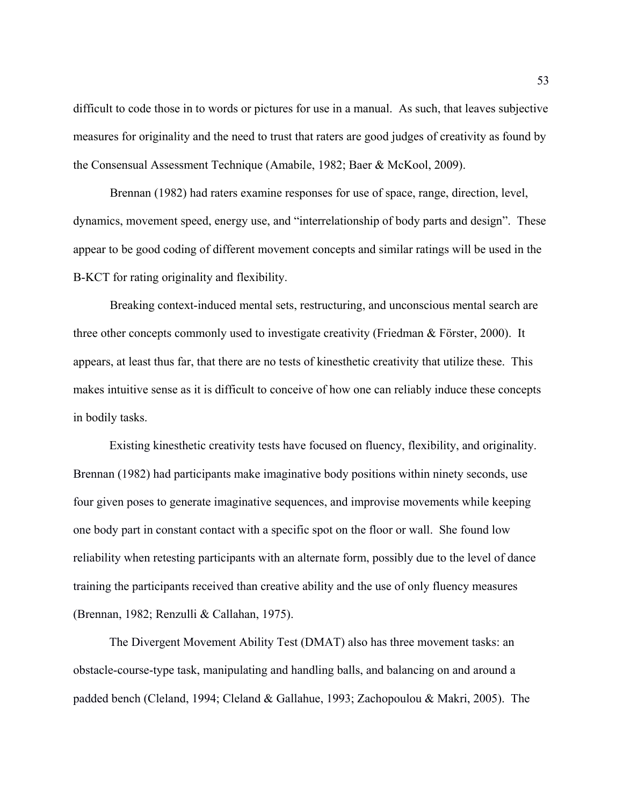difficult to code those in to words or pictures for use in a manual. As such, that leaves subjective measures for originality and the need to trust that raters are good judges of creativity as found by the Consensual Assessment Technique (Amabile, 1982; Baer & McKool, 2009).

Brennan (1982) had raters examine responses for use of space, range, direction, level, dynamics, movement speed, energy use, and "interrelationship of body parts and design". These appear to be good coding of different movement concepts and similar ratings will be used in the B-KCT for rating originality and flexibility.

Breaking context-induced mental sets, restructuring, and unconscious mental search are three other concepts commonly used to investigate creativity (Friedman & Förster, 2000). It appears, at least thus far, that there are no tests of kinesthetic creativity that utilize these. This makes intuitive sense as it is difficult to conceive of how one can reliably induce these concepts in bodily tasks.

Existing kinesthetic creativity tests have focused on fluency, flexibility, and originality. Brennan (1982) had participants make imaginative body positions within ninety seconds, use four given poses to generate imaginative sequences, and improvise movements while keeping one body part in constant contact with a specific spot on the floor or wall. She found low reliability when retesting participants with an alternate form, possibly due to the level of dance training the participants received than creative ability and the use of only fluency measures (Brennan, 1982; Renzulli & Callahan, 1975).

The Divergent Movement Ability Test (DMAT) also has three movement tasks: an obstacle-course-type task, manipulating and handling balls, and balancing on and around a padded bench (Cleland, 1994; Cleland & Gallahue, 1993; Zachopoulou & Makri, 2005). The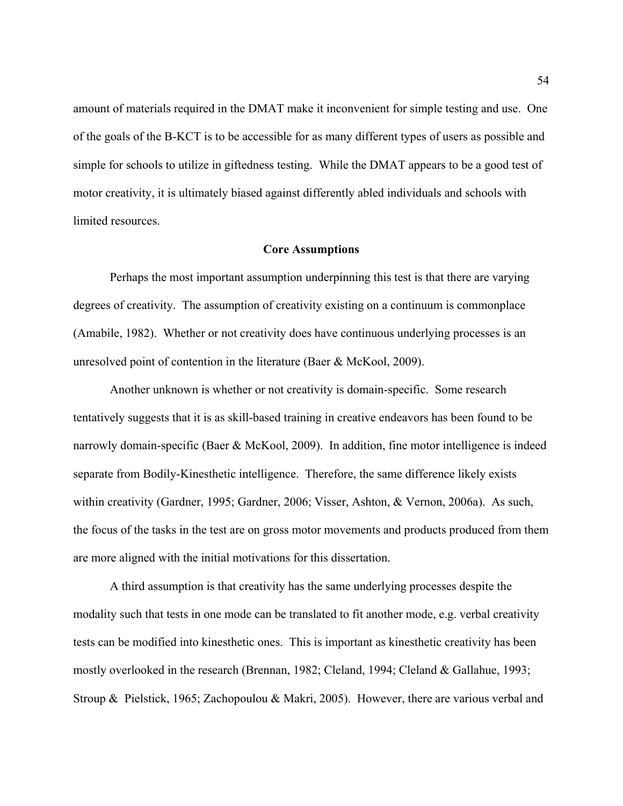amount of materials required in the DMAT make it inconvenient for simple testing and use. One of the goals of the B-KCT is to be accessible for as many different types of users as possible and simple for schools to utilize in giftedness testing. While the DMAT appears to be a good test of motor creativity, it is ultimately biased against differently abled individuals and schools with limited resources.

#### **Core Assumptions**

Perhaps the most important assumption underpinning this test is that there are varying degrees of creativity. The assumption of creativity existing on a continuum is commonplace (Amabile, 1982). Whether or not creativity does have continuous underlying processes is an unresolved point of contention in the literature (Baer & McKool, 2009).

Another unknown is whether or not creativity is domain-specific. Some research tentatively suggests that it is as skill-based training in creative endeavors has been found to be narrowly domain-specific (Baer & McKool, 2009). In addition, fine motor intelligence is indeed separate from Bodily-Kinesthetic intelligence. Therefore, the same difference likely exists within creativity (Gardner, 1995; Gardner, 2006; Visser, Ashton, & Vernon, 2006a). As such, the focus of the tasks in the test are on gross motor movements and products produced from them are more aligned with the initial motivations for this dissertation.

A third assumption is that creativity has the same underlying processes despite the modality such that tests in one mode can be translated to fit another mode, e.g. verbal creativity tests can be modified into kinesthetic ones. This is important as kinesthetic creativity has been mostly overlooked in the research (Brennan, 1982; Cleland, 1994; Cleland & Gallahue, 1993; Stroup & Pielstick, 1965; Zachopoulou & Makri, 2005). However, there are various verbal and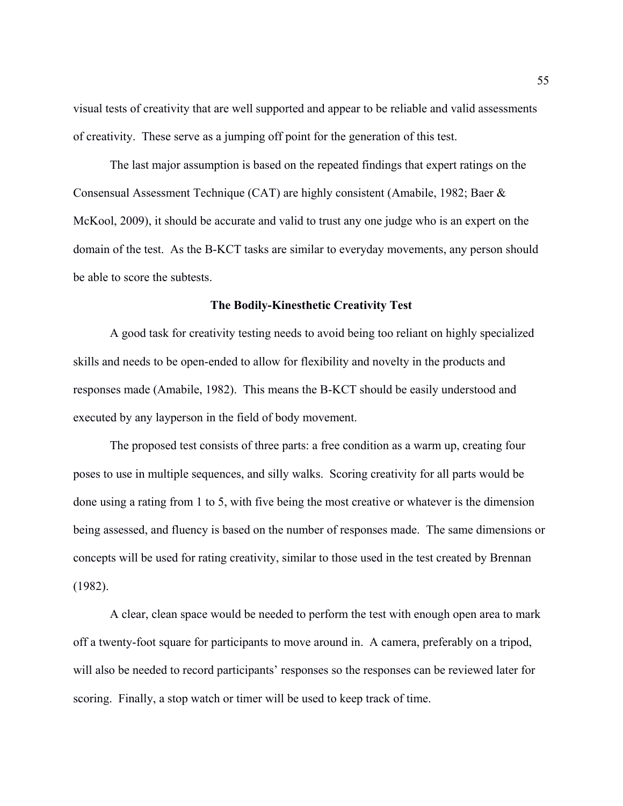visual tests of creativity that are well supported and appear to be reliable and valid assessments of creativity. These serve as a jumping off point for the generation of this test.

The last major assumption is based on the repeated findings that expert ratings on the Consensual Assessment Technique (CAT) are highly consistent (Amabile, 1982; Baer & McKool, 2009), it should be accurate and valid to trust any one judge who is an expert on the domain of the test. As the B-KCT tasks are similar to everyday movements, any person should be able to score the subtests.

#### **The Bodily-Kinesthetic Creativity Test**

A good task for creativity testing needs to avoid being too reliant on highly specialized skills and needs to be open-ended to allow for flexibility and novelty in the products and responses made (Amabile, 1982). This means the B-KCT should be easily understood and executed by any layperson in the field of body movement.

The proposed test consists of three parts: a free condition as a warm up, creating four poses to use in multiple sequences, and silly walks. Scoring creativity for all parts would be done using a rating from 1 to 5, with five being the most creative or whatever is the dimension being assessed, and fluency is based on the number of responses made. The same dimensions or concepts will be used for rating creativity, similar to those used in the test created by Brennan (1982).

A clear, clean space would be needed to perform the test with enough open area to mark off a twenty-foot square for participants to move around in. A camera, preferably on a tripod, will also be needed to record participants' responses so the responses can be reviewed later for scoring. Finally, a stop watch or timer will be used to keep track of time.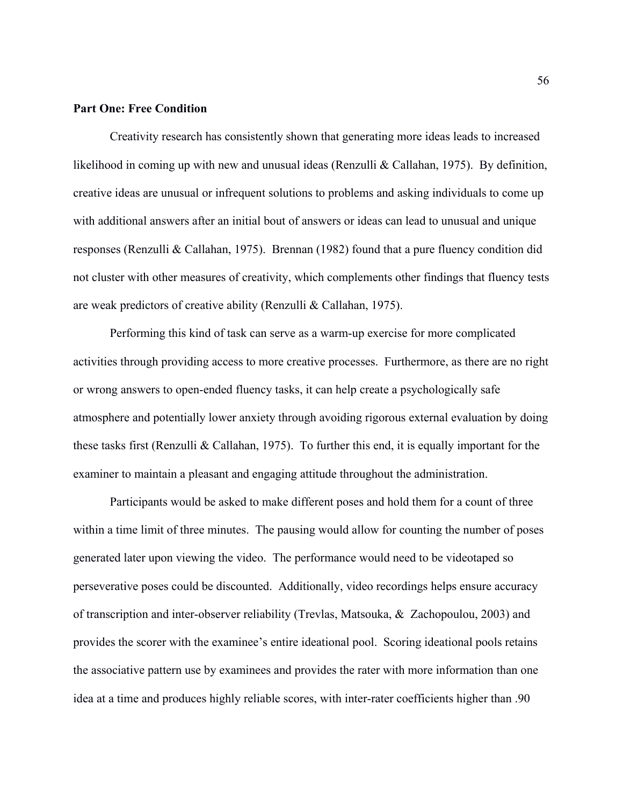## **Part One: Free Condition**

Creativity research has consistently shown that generating more ideas leads to increased likelihood in coming up with new and unusual ideas (Renzulli & Callahan, 1975). By definition, creative ideas are unusual or infrequent solutions to problems and asking individuals to come up with additional answers after an initial bout of answers or ideas can lead to unusual and unique responses (Renzulli & Callahan, 1975). Brennan (1982) found that a pure fluency condition did not cluster with other measures of creativity, which complements other findings that fluency tests are weak predictors of creative ability (Renzulli & Callahan, 1975).

Performing this kind of task can serve as a warm-up exercise for more complicated activities through providing access to more creative processes. Furthermore, as there are no right or wrong answers to open-ended fluency tasks, it can help create a psychologically safe atmosphere and potentially lower anxiety through avoiding rigorous external evaluation by doing these tasks first (Renzulli & Callahan, 1975). To further this end, it is equally important for the examiner to maintain a pleasant and engaging attitude throughout the administration.

Participants would be asked to make different poses and hold them for a count of three within a time limit of three minutes. The pausing would allow for counting the number of poses generated later upon viewing the video. The performance would need to be videotaped so perseverative poses could be discounted. Additionally, video recordings helps ensure accuracy of transcription and inter-observer reliability (Trevlas, Matsouka, & Zachopoulou, 2003) and provides the scorer with the examinee's entire ideational pool. Scoring ideational pools retains the associative pattern use by examinees and provides the rater with more information than one idea at a time and produces highly reliable scores, with inter-rater coefficients higher than .90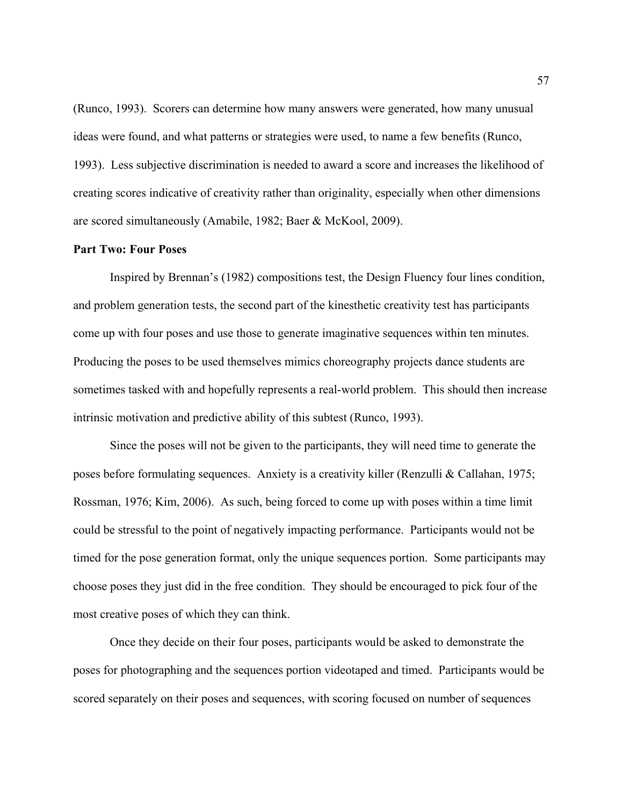(Runco, 1993). Scorers can determine how many answers were generated, how many unusual ideas were found, and what patterns or strategies were used, to name a few benefits (Runco, 1993). Less subjective discrimination is needed to award a score and increases the likelihood of creating scores indicative of creativity rather than originality, especially when other dimensions are scored simultaneously (Amabile, 1982; Baer & McKool, 2009).

# **Part Two: Four Poses**

Inspired by Brennan's (1982) compositions test, the Design Fluency four lines condition, and problem generation tests, the second part of the kinesthetic creativity test has participants come up with four poses and use those to generate imaginative sequences within ten minutes. Producing the poses to be used themselves mimics choreography projects dance students are sometimes tasked with and hopefully represents a real-world problem. This should then increase intrinsic motivation and predictive ability of this subtest (Runco, 1993).

Since the poses will not be given to the participants, they will need time to generate the poses before formulating sequences. Anxiety is a creativity killer (Renzulli & Callahan, 1975; Rossman, 1976; Kim, 2006). As such, being forced to come up with poses within a time limit could be stressful to the point of negatively impacting performance. Participants would not be timed for the pose generation format, only the unique sequences portion. Some participants may choose poses they just did in the free condition. They should be encouraged to pick four of the most creative poses of which they can think.

Once they decide on their four poses, participants would be asked to demonstrate the poses for photographing and the sequences portion videotaped and timed. Participants would be scored separately on their poses and sequences, with scoring focused on number of sequences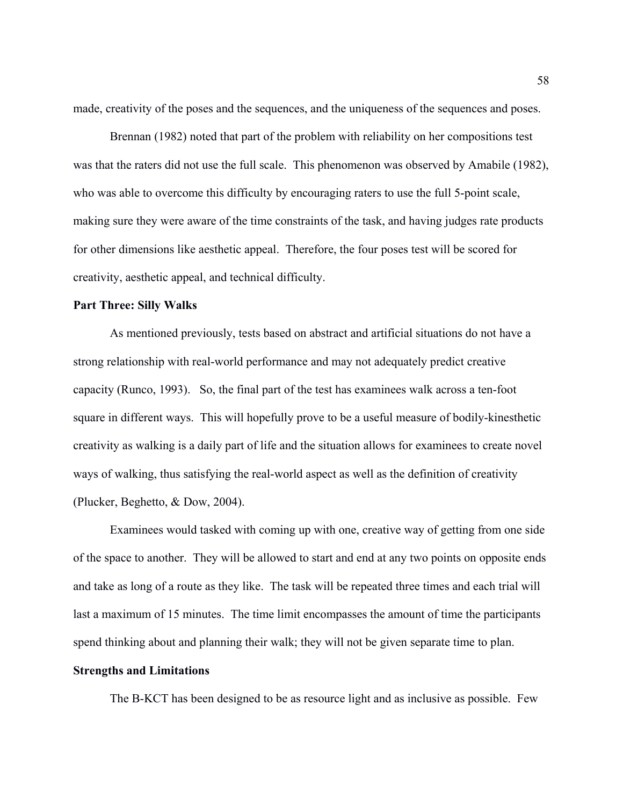made, creativity of the poses and the sequences, and the uniqueness of the sequences and poses.

Brennan (1982) noted that part of the problem with reliability on her compositions test was that the raters did not use the full scale. This phenomenon was observed by Amabile (1982), who was able to overcome this difficulty by encouraging raters to use the full 5-point scale, making sure they were aware of the time constraints of the task, and having judges rate products for other dimensions like aesthetic appeal. Therefore, the four poses test will be scored for creativity, aesthetic appeal, and technical difficulty.

# **Part Three: Silly Walks**

As mentioned previously, tests based on abstract and artificial situations do not have a strong relationship with real-world performance and may not adequately predict creative capacity (Runco, 1993). So, the final part of the test has examinees walk across a ten-foot square in different ways. This will hopefully prove to be a useful measure of bodily-kinesthetic creativity as walking is a daily part of life and the situation allows for examinees to create novel ways of walking, thus satisfying the real-world aspect as well as the definition of creativity (Plucker, Beghetto, & Dow, 2004).

Examinees would tasked with coming up with one, creative way of getting from one side of the space to another. They will be allowed to start and end at any two points on opposite ends and take as long of a route as they like. The task will be repeated three times and each trial will last a maximum of 15 minutes. The time limit encompasses the amount of time the participants spend thinking about and planning their walk; they will not be given separate time to plan.

#### **Strengths and Limitations**

The B-KCT has been designed to be as resource light and as inclusive as possible. Few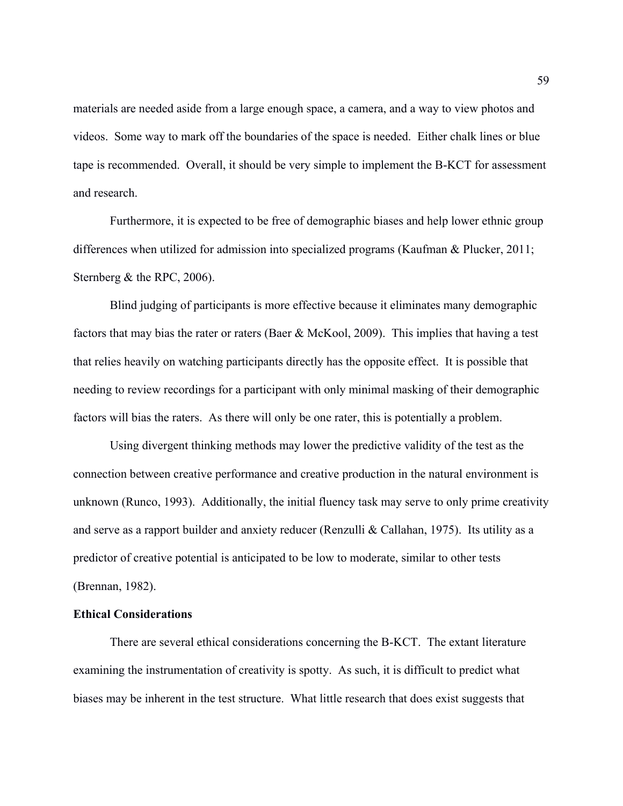materials are needed aside from a large enough space, a camera, and a way to view photos and videos. Some way to mark off the boundaries of the space is needed. Either chalk lines or blue tape is recommended. Overall, it should be very simple to implement the B-KCT for assessment and research.

Furthermore, it is expected to be free of demographic biases and help lower ethnic group differences when utilized for admission into specialized programs (Kaufman & Plucker, 2011; Sternberg & the RPC, 2006).

Blind judging of participants is more effective because it eliminates many demographic factors that may bias the rater or raters (Baer & McKool, 2009). This implies that having a test that relies heavily on watching participants directly has the opposite effect. It is possible that needing to review recordings for a participant with only minimal masking of their demographic factors will bias the raters. As there will only be one rater, this is potentially a problem.

Using divergent thinking methods may lower the predictive validity of the test as the connection between creative performance and creative production in the natural environment is unknown (Runco, 1993). Additionally, the initial fluency task may serve to only prime creativity and serve as a rapport builder and anxiety reducer (Renzulli & Callahan, 1975). Its utility as a predictor of creative potential is anticipated to be low to moderate, similar to other tests (Brennan, 1982).

#### **Ethical Considerations**

There are several ethical considerations concerning the B-KCT. The extant literature examining the instrumentation of creativity is spotty. As such, it is difficult to predict what biases may be inherent in the test structure. What little research that does exist suggests that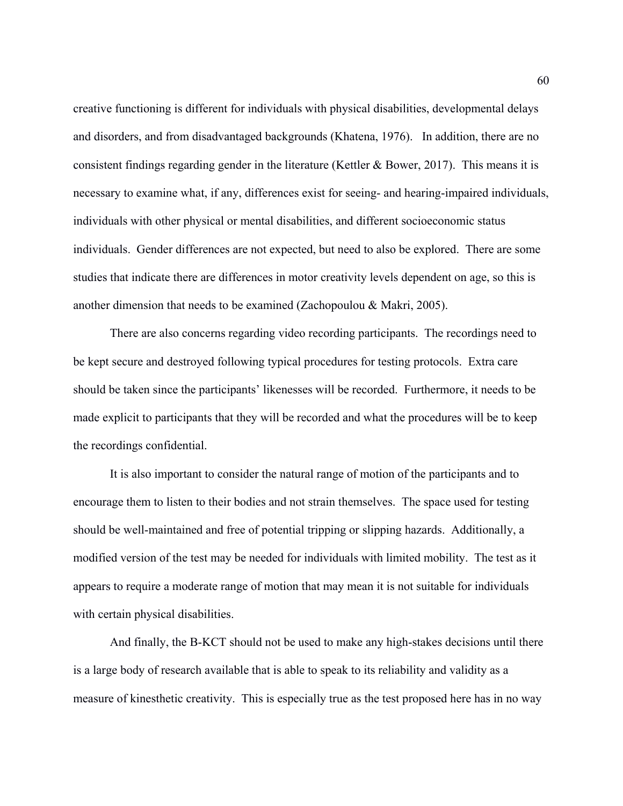creative functioning is different for individuals with physical disabilities, developmental delays and disorders, and from disadvantaged backgrounds (Khatena, 1976). In addition, there are no consistent findings regarding gender in the literature (Kettler & Bower, 2017). This means it is necessary to examine what, if any, differences exist for seeing- and hearing-impaired individuals, individuals with other physical or mental disabilities, and different socioeconomic status individuals. Gender differences are not expected, but need to also be explored. There are some studies that indicate there are differences in motor creativity levels dependent on age, so this is another dimension that needs to be examined (Zachopoulou & Makri, 2005).

There are also concerns regarding video recording participants. The recordings need to be kept secure and destroyed following typical procedures for testing protocols. Extra care should be taken since the participants' likenesses will be recorded. Furthermore, it needs to be made explicit to participants that they will be recorded and what the procedures will be to keep the recordings confidential.

It is also important to consider the natural range of motion of the participants and to encourage them to listen to their bodies and not strain themselves. The space used for testing should be well-maintained and free of potential tripping or slipping hazards. Additionally, a modified version of the test may be needed for individuals with limited mobility. The test as it appears to require a moderate range of motion that may mean it is not suitable for individuals with certain physical disabilities.

And finally, the B-KCT should not be used to make any high-stakes decisions until there is a large body of research available that is able to speak to its reliability and validity as a measure of kinesthetic creativity. This is especially true as the test proposed here has in no way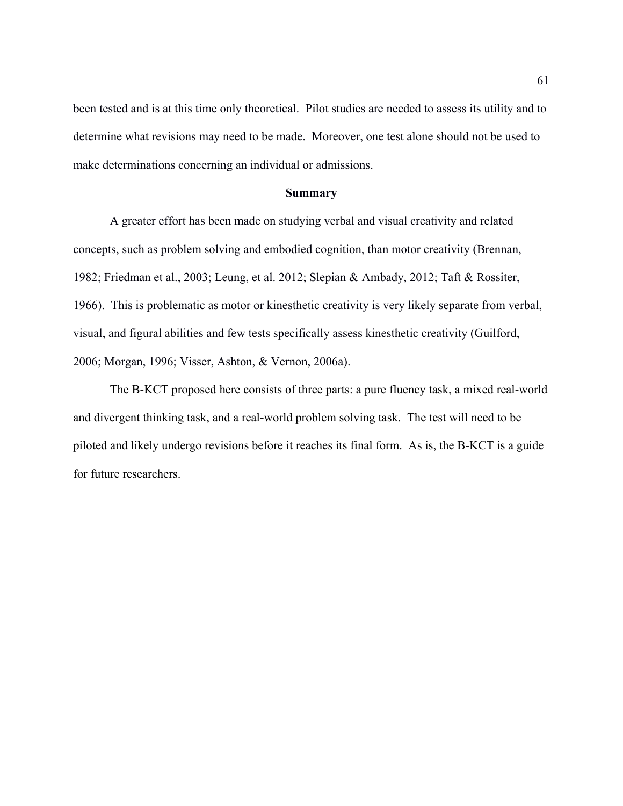been tested and is at this time only theoretical. Pilot studies are needed to assess its utility and to determine what revisions may need to be made. Moreover, one test alone should not be used to make determinations concerning an individual or admissions.

#### **Summary**

A greater effort has been made on studying verbal and visual creativity and related concepts, such as problem solving and embodied cognition, than motor creativity (Brennan, 1982; Friedman et al., 2003; Leung, et al. 2012; Slepian & Ambady, 2012; Taft & Rossiter, 1966). This is problematic as motor or kinesthetic creativity is very likely separate from verbal, visual, and figural abilities and few tests specifically assess kinesthetic creativity (Guilford, 2006; Morgan, 1996; Visser, Ashton, & Vernon, 2006a).

The B-KCT proposed here consists of three parts: a pure fluency task, a mixed real-world and divergent thinking task, and a real-world problem solving task. The test will need to be piloted and likely undergo revisions before it reaches its final form. As is, the B-KCT is a guide for future researchers.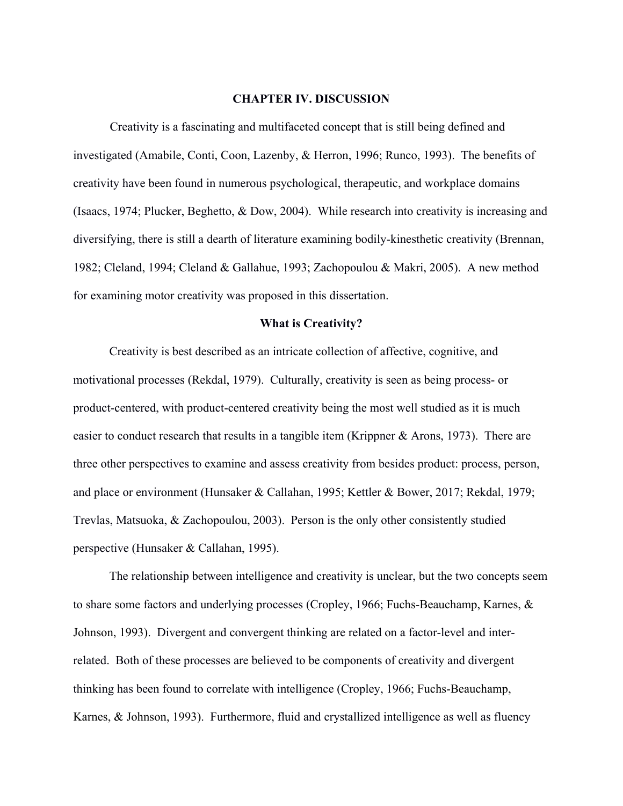#### **CHAPTER IV. DISCUSSION**

Creativity is a fascinating and multifaceted concept that is still being defined and investigated (Amabile, Conti, Coon, Lazenby, & Herron, 1996; Runco, 1993). The benefits of creativity have been found in numerous psychological, therapeutic, and workplace domains (Isaacs, 1974; Plucker, Beghetto, & Dow, 2004). While research into creativity is increasing and diversifying, there is still a dearth of literature examining bodily-kinesthetic creativity (Brennan, 1982; Cleland, 1994; Cleland & Gallahue, 1993; Zachopoulou & Makri, 2005). A new method for examining motor creativity was proposed in this dissertation.

#### **What is Creativity?**

Creativity is best described as an intricate collection of affective, cognitive, and motivational processes (Rekdal, 1979). Culturally, creativity is seen as being process- or product-centered, with product-centered creativity being the most well studied as it is much easier to conduct research that results in a tangible item (Krippner & Arons, 1973). There are three other perspectives to examine and assess creativity from besides product: process, person, and place or environment (Hunsaker & Callahan, 1995; Kettler & Bower, 2017; Rekdal, 1979; Trevlas, Matsuoka, & Zachopoulou, 2003). Person is the only other consistently studied perspective (Hunsaker & Callahan, 1995).

The relationship between intelligence and creativity is unclear, but the two concepts seem to share some factors and underlying processes (Cropley, 1966; Fuchs-Beauchamp, Karnes, & Johnson, 1993). Divergent and convergent thinking are related on a factor-level and interrelated. Both of these processes are believed to be components of creativity and divergent thinking has been found to correlate with intelligence (Cropley, 1966; Fuchs-Beauchamp, Karnes, & Johnson, 1993). Furthermore, fluid and crystallized intelligence as well as fluency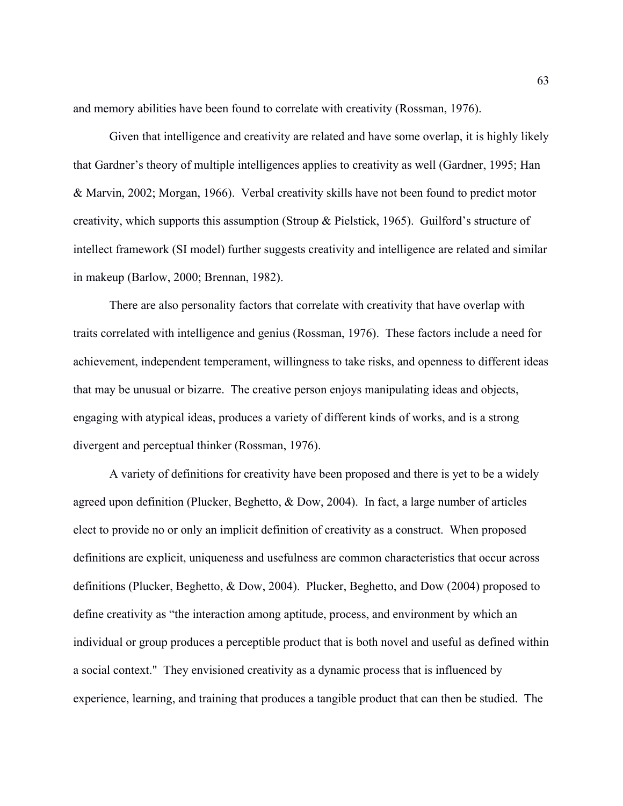and memory abilities have been found to correlate with creativity (Rossman, 1976).

Given that intelligence and creativity are related and have some overlap, it is highly likely that Gardner's theory of multiple intelligences applies to creativity as well (Gardner, 1995; Han & Marvin, 2002; Morgan, 1966). Verbal creativity skills have not been found to predict motor creativity, which supports this assumption (Stroup & Pielstick, 1965). Guilford's structure of intellect framework (SI model) further suggests creativity and intelligence are related and similar in makeup (Barlow, 2000; Brennan, 1982).

There are also personality factors that correlate with creativity that have overlap with traits correlated with intelligence and genius (Rossman, 1976). These factors include a need for achievement, independent temperament, willingness to take risks, and openness to different ideas that may be unusual or bizarre. The creative person enjoys manipulating ideas and objects, engaging with atypical ideas, produces a variety of different kinds of works, and is a strong divergent and perceptual thinker (Rossman, 1976).

A variety of definitions for creativity have been proposed and there is yet to be a widely agreed upon definition (Plucker, Beghetto, & Dow, 2004). In fact, a large number of articles elect to provide no or only an implicit definition of creativity as a construct. When proposed definitions are explicit, uniqueness and usefulness are common characteristics that occur across definitions (Plucker, Beghetto, & Dow, 2004). Plucker, Beghetto, and Dow (2004) proposed to define creativity as "the interaction among aptitude, process, and environment by which an individual or group produces a perceptible product that is both novel and useful as defined within a social context." They envisioned creativity as a dynamic process that is influenced by experience, learning, and training that produces a tangible product that can then be studied. The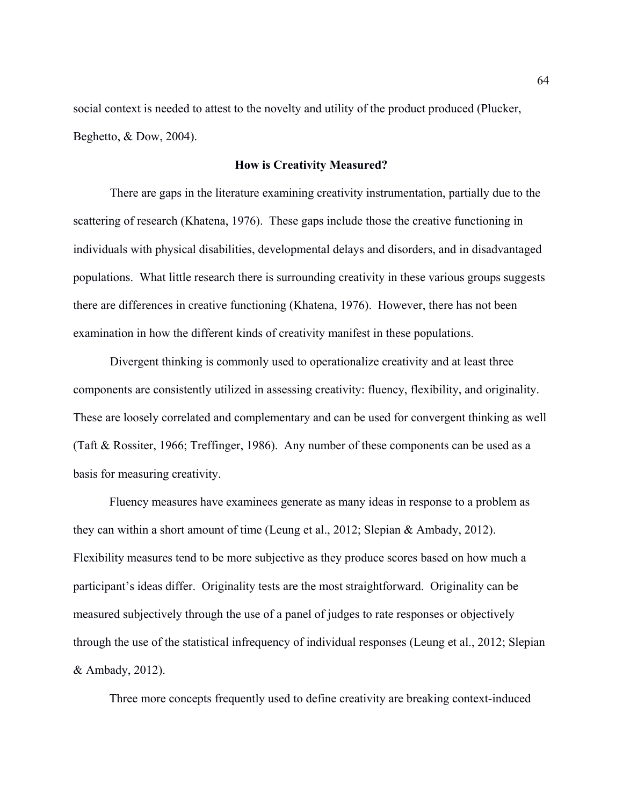social context is needed to attest to the novelty and utility of the product produced (Plucker, Beghetto, & Dow, 2004).

## **How is Creativity Measured?**

There are gaps in the literature examining creativity instrumentation, partially due to the scattering of research (Khatena, 1976). These gaps include those the creative functioning in individuals with physical disabilities, developmental delays and disorders, and in disadvantaged populations. What little research there is surrounding creativity in these various groups suggests there are differences in creative functioning (Khatena, 1976). However, there has not been examination in how the different kinds of creativity manifest in these populations.

Divergent thinking is commonly used to operationalize creativity and at least three components are consistently utilized in assessing creativity: fluency, flexibility, and originality. These are loosely correlated and complementary and can be used for convergent thinking as well (Taft & Rossiter, 1966; Treffinger, 1986). Any number of these components can be used as a basis for measuring creativity.

Fluency measures have examinees generate as many ideas in response to a problem as they can within a short amount of time (Leung et al., 2012; Slepian & Ambady, 2012). Flexibility measures tend to be more subjective as they produce scores based on how much a participant's ideas differ. Originality tests are the most straightforward. Originality can be measured subjectively through the use of a panel of judges to rate responses or objectively through the use of the statistical infrequency of individual responses (Leung et al., 2012; Slepian & Ambady, 2012).

Three more concepts frequently used to define creativity are breaking context-induced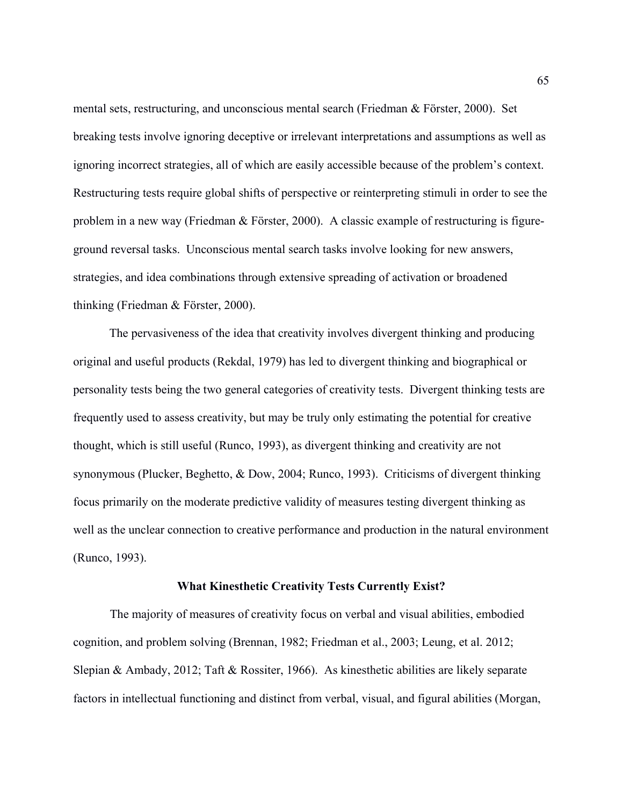mental sets, restructuring, and unconscious mental search (Friedman & Förster, 2000). Set breaking tests involve ignoring deceptive or irrelevant interpretations and assumptions as well as ignoring incorrect strategies, all of which are easily accessible because of the problem's context. Restructuring tests require global shifts of perspective or reinterpreting stimuli in order to see the problem in a new way (Friedman & Förster, 2000). A classic example of restructuring is figureground reversal tasks. Unconscious mental search tasks involve looking for new answers, strategies, and idea combinations through extensive spreading of activation or broadened thinking (Friedman & Förster, 2000).

The pervasiveness of the idea that creativity involves divergent thinking and producing original and useful products (Rekdal, 1979) has led to divergent thinking and biographical or personality tests being the two general categories of creativity tests. Divergent thinking tests are frequently used to assess creativity, but may be truly only estimating the potential for creative thought, which is still useful (Runco, 1993), as divergent thinking and creativity are not synonymous (Plucker, Beghetto, & Dow, 2004; Runco, 1993). Criticisms of divergent thinking focus primarily on the moderate predictive validity of measures testing divergent thinking as well as the unclear connection to creative performance and production in the natural environment (Runco, 1993).

#### **What Kinesthetic Creativity Tests Currently Exist?**

The majority of measures of creativity focus on verbal and visual abilities, embodied cognition, and problem solving (Brennan, 1982; Friedman et al., 2003; Leung, et al. 2012; Slepian & Ambady, 2012; Taft & Rossiter, 1966). As kinesthetic abilities are likely separate factors in intellectual functioning and distinct from verbal, visual, and figural abilities (Morgan,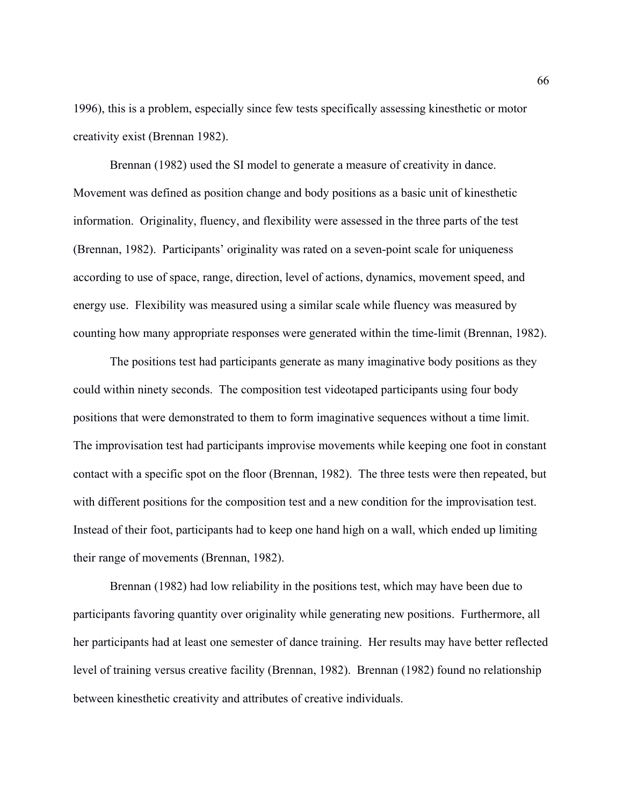1996), this is a problem, especially since few tests specifically assessing kinesthetic or motor creativity exist (Brennan 1982).

Brennan (1982) used the SI model to generate a measure of creativity in dance. Movement was defined as position change and body positions as a basic unit of kinesthetic information. Originality, fluency, and flexibility were assessed in the three parts of the test (Brennan, 1982). Participants' originality was rated on a seven-point scale for uniqueness according to use of space, range, direction, level of actions, dynamics, movement speed, and energy use. Flexibility was measured using a similar scale while fluency was measured by counting how many appropriate responses were generated within the time-limit (Brennan, 1982).

The positions test had participants generate as many imaginative body positions as they could within ninety seconds. The composition test videotaped participants using four body positions that were demonstrated to them to form imaginative sequences without a time limit. The improvisation test had participants improvise movements while keeping one foot in constant contact with a specific spot on the floor (Brennan, 1982). The three tests were then repeated, but with different positions for the composition test and a new condition for the improvisation test. Instead of their foot, participants had to keep one hand high on a wall, which ended up limiting their range of movements (Brennan, 1982).

Brennan (1982) had low reliability in the positions test, which may have been due to participants favoring quantity over originality while generating new positions. Furthermore, all her participants had at least one semester of dance training. Her results may have better reflected level of training versus creative facility (Brennan, 1982). Brennan (1982) found no relationship between kinesthetic creativity and attributes of creative individuals.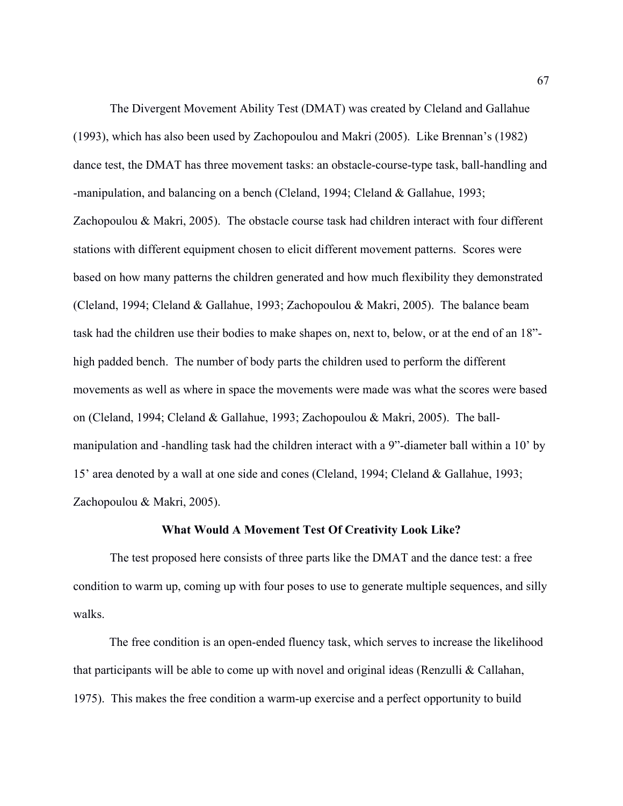The Divergent Movement Ability Test (DMAT) was created by Cleland and Gallahue (1993), which has also been used by Zachopoulou and Makri (2005). Like Brennan's (1982) dance test, the DMAT has three movement tasks: an obstacle-course-type task, ball-handling and -manipulation, and balancing on a bench (Cleland, 1994; Cleland & Gallahue, 1993; Zachopoulou & Makri, 2005). The obstacle course task had children interact with four different stations with different equipment chosen to elicit different movement patterns. Scores were based on how many patterns the children generated and how much flexibility they demonstrated (Cleland, 1994; Cleland & Gallahue, 1993; Zachopoulou & Makri, 2005). The balance beam task had the children use their bodies to make shapes on, next to, below, or at the end of an 18" high padded bench. The number of body parts the children used to perform the different movements as well as where in space the movements were made was what the scores were based on (Cleland, 1994; Cleland & Gallahue, 1993; Zachopoulou & Makri, 2005). The ballmanipulation and -handling task had the children interact with a 9"-diameter ball within a 10' by 15' area denoted by a wall at one side and cones (Cleland, 1994; Cleland & Gallahue, 1993; Zachopoulou & Makri, 2005).

#### **What Would A Movement Test Of Creativity Look Like?**

The test proposed here consists of three parts like the DMAT and the dance test: a free condition to warm up, coming up with four poses to use to generate multiple sequences, and silly walks.

The free condition is an open-ended fluency task, which serves to increase the likelihood that participants will be able to come up with novel and original ideas (Renzulli & Callahan, 1975). This makes the free condition a warm-up exercise and a perfect opportunity to build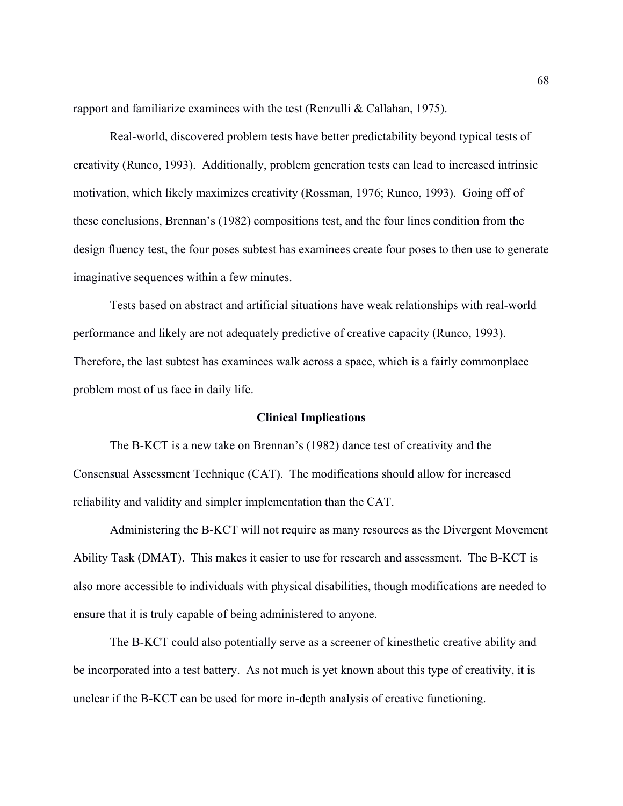rapport and familiarize examinees with the test (Renzulli & Callahan, 1975).

Real-world, discovered problem tests have better predictability beyond typical tests of creativity (Runco, 1993). Additionally, problem generation tests can lead to increased intrinsic motivation, which likely maximizes creativity (Rossman, 1976; Runco, 1993). Going off of these conclusions, Brennan's (1982) compositions test, and the four lines condition from the design fluency test, the four poses subtest has examinees create four poses to then use to generate imaginative sequences within a few minutes.

Tests based on abstract and artificial situations have weak relationships with real-world performance and likely are not adequately predictive of creative capacity (Runco, 1993). Therefore, the last subtest has examinees walk across a space, which is a fairly commonplace problem most of us face in daily life.

#### **Clinical Implications**

The B-KCT is a new take on Brennan's (1982) dance test of creativity and the Consensual Assessment Technique (CAT). The modifications should allow for increased reliability and validity and simpler implementation than the CAT.

Administering the B-KCT will not require as many resources as the Divergent Movement Ability Task (DMAT). This makes it easier to use for research and assessment. The B-KCT is also more accessible to individuals with physical disabilities, though modifications are needed to ensure that it is truly capable of being administered to anyone.

The B-KCT could also potentially serve as a screener of kinesthetic creative ability and be incorporated into a test battery. As not much is yet known about this type of creativity, it is unclear if the B-KCT can be used for more in-depth analysis of creative functioning.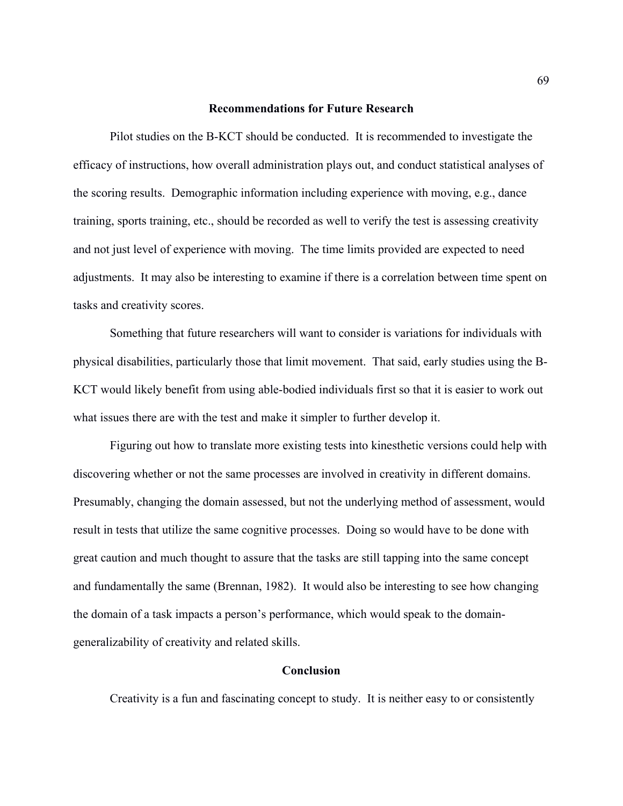#### **Recommendations for Future Research**

Pilot studies on the B-KCT should be conducted. It is recommended to investigate the efficacy of instructions, how overall administration plays out, and conduct statistical analyses of the scoring results. Demographic information including experience with moving, e.g., dance training, sports training, etc., should be recorded as well to verify the test is assessing creativity and not just level of experience with moving. The time limits provided are expected to need adjustments. It may also be interesting to examine if there is a correlation between time spent on tasks and creativity scores.

Something that future researchers will want to consider is variations for individuals with physical disabilities, particularly those that limit movement. That said, early studies using the B-KCT would likely benefit from using able-bodied individuals first so that it is easier to work out what issues there are with the test and make it simpler to further develop it.

Figuring out how to translate more existing tests into kinesthetic versions could help with discovering whether or not the same processes are involved in creativity in different domains. Presumably, changing the domain assessed, but not the underlying method of assessment, would result in tests that utilize the same cognitive processes. Doing so would have to be done with great caution and much thought to assure that the tasks are still tapping into the same concept and fundamentally the same (Brennan, 1982). It would also be interesting to see how changing the domain of a task impacts a person's performance, which would speak to the domaingeneralizability of creativity and related skills.

## **Conclusion**

Creativity is a fun and fascinating concept to study. It is neither easy to or consistently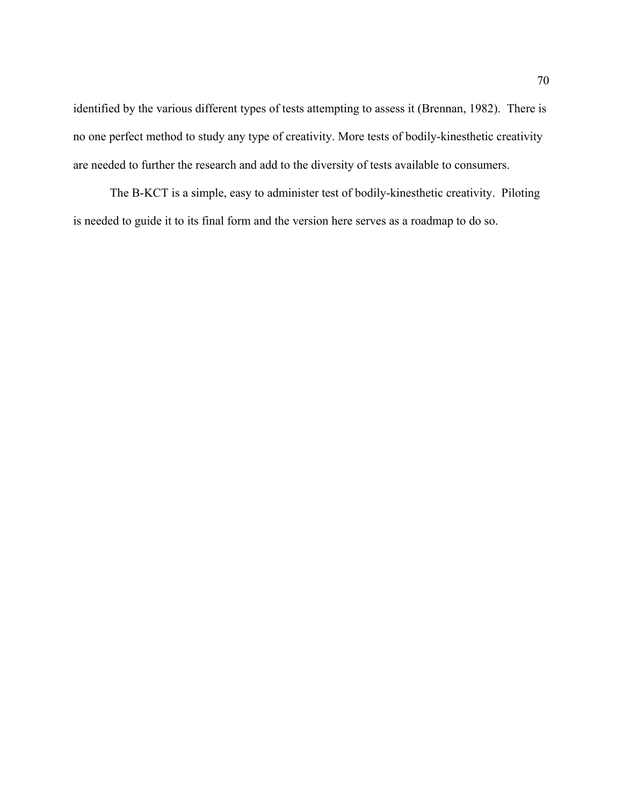identified by the various different types of tests attempting to assess it (Brennan, 1982). There is no one perfect method to study any type of creativity. More tests of bodily-kinesthetic creativity are needed to further the research and add to the diversity of tests available to consumers.

The B-KCT is a simple, easy to administer test of bodily-kinesthetic creativity. Piloting is needed to guide it to its final form and the version here serves as a roadmap to do so.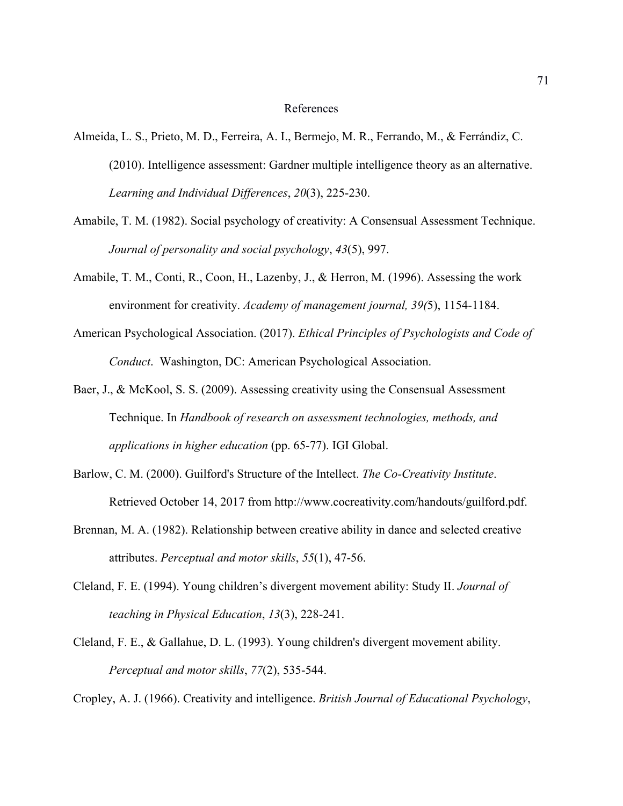## References

- Almeida, L. S., Prieto, M. D., Ferreira, A. I., Bermejo, M. R., Ferrando, M., & Ferrándiz, C. (2010). Intelligence assessment: Gardner multiple intelligence theory as an alternative. *Learning and Individual Differences*, *20*(3), 225-230.
- Amabile, T. M. (1982). Social psychology of creativity: A Consensual Assessment Technique. *Journal of personality and social psychology*, *43*(5), 997.
- Amabile, T. M., Conti, R., Coon, H., Lazenby, J., & Herron, M. (1996). Assessing the work environment for creativity. *Academy of management journal, 39(*5), 1154-1184.
- American Psychological Association. (2017). *Ethical Principles of Psychologists and Code of Conduct*. Washington, DC: American Psychological Association.
- Baer, J., & McKool, S. S. (2009). Assessing creativity using the Consensual Assessment Technique. In *Handbook of research on assessment technologies, methods, and applications in higher education* (pp. 65-77). IGI Global.
- Barlow, C. M. (2000). Guilford's Structure of the Intellect. *The Co-Creativity Institute*. Retrieved October 14, 2017 from http://www.cocreativity.com/handouts/guilford.pdf.
- Brennan, M. A. (1982). Relationship between creative ability in dance and selected creative attributes. *Perceptual and motor skills*, *55*(1), 47-56.
- Cleland, F. E. (1994). Young children's divergent movement ability: Study II. *Journal of teaching in Physical Education*, *13*(3), 228-241.
- Cleland, F. E., & Gallahue, D. L. (1993). Young children's divergent movement ability. *Perceptual and motor skills*, *77*(2), 535-544.

Cropley, A. J. (1966). Creativity and intelligence. *British Journal of Educational Psychology*,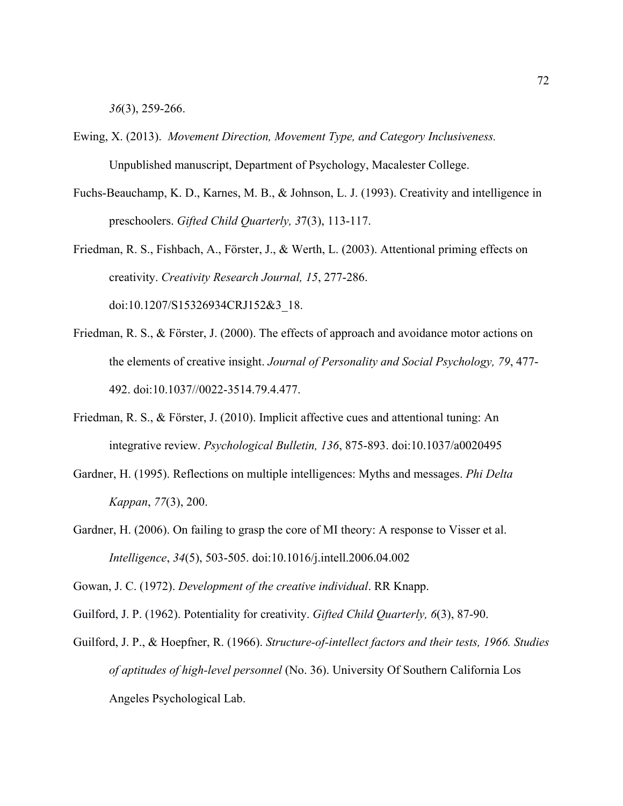*36*(3), 259-266.

- Ewing, X. (2013). *Movement Direction, Movement Type, and Category Inclusiveness.* Unpublished manuscript, Department of Psychology, Macalester College.
- Fuchs-Beauchamp, K. D., Karnes, M. B., & Johnson, L. J. (1993). Creativity and intelligence in preschoolers. *Gifted Child Quarterly, 3*7(3), 113-117.
- Friedman, R. S., Fishbach, A., Förster, J., & Werth, L. (2003). Attentional priming effects on creativity. *Creativity Research Journal, 15*, 277-286. doi:10.1207/S15326934CRJ152&3\_18.
- Friedman, R. S., & Förster, J. (2000). The effects of approach and avoidance motor actions on the elements of creative insight. *Journal of Personality and Social Psychology, 79*, 477- 492. doi:10.1037//0022-3514.79.4.477.
- Friedman, R. S., & Förster, J. (2010). Implicit affective cues and attentional tuning: An integrative review. *Psychological Bulletin, 136*, 875-893. doi:10.1037/a0020495
- Gardner, H. (1995). Reflections on multiple intelligences: Myths and messages. *Phi Delta Kappan*, *77*(3), 200.
- Gardner, H. (2006). On failing to grasp the core of MI theory: A response to Visser et al. *Intelligence*, *34*(5), 503-505. doi:10.1016/j.intell.2006.04.002

Gowan, J. C. (1972). *Development of the creative individual*. RR Knapp.

- Guilford, J. P. (1962). Potentiality for creativity. *Gifted Child Quarterly, 6*(3), 87-90.
- Guilford, J. P., & Hoepfner, R. (1966). *Structure-of-intellect factors and their tests, 1966. Studies of aptitudes of high-level personnel* (No. 36). University Of Southern California Los Angeles Psychological Lab.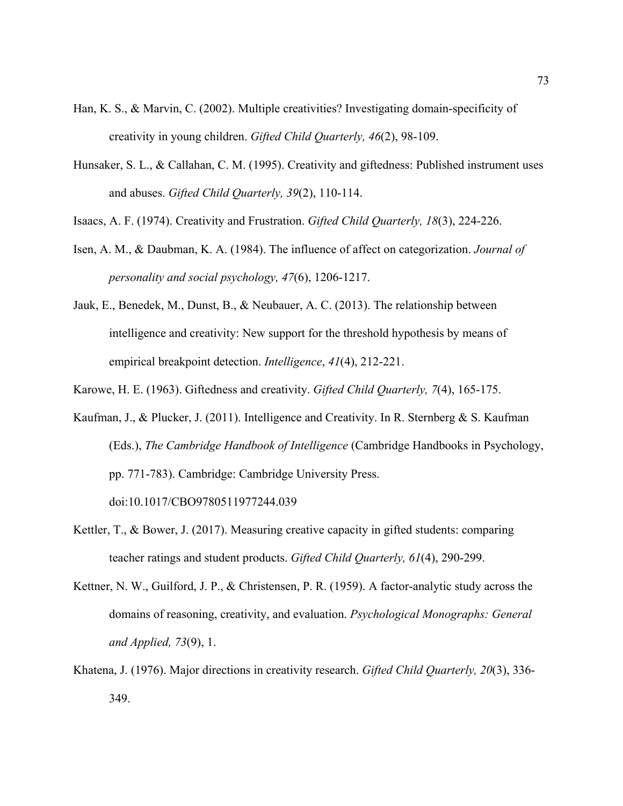- Han, K. S., & Marvin, C. (2002). Multiple creativities? Investigating domain-specificity of creativity in young children. *Gifted Child Quarterly, 46*(2), 98-109.
- Hunsaker, S. L., & Callahan, C. M. (1995). Creativity and giftedness: Published instrument uses and abuses. *Gifted Child Quarterly, 39*(2), 110-114.
- Isaacs, A. F. (1974). Creativity and Frustration. *Gifted Child Quarterly, 18*(3), 224-226.
- Isen, A. M., & Daubman, K. A. (1984). The influence of affect on categorization. *Journal of personality and social psychology, 47*(6), 1206-1217.
- Jauk, E., Benedek, M., Dunst, B., & Neubauer, A. C. (2013). The relationship between intelligence and creativity: New support for the threshold hypothesis by means of empirical breakpoint detection. *Intelligence*, *41*(4), 212-221.
- Karowe, H. E. (1963). Giftedness and creativity. *Gifted Child Quarterly, 7*(4), 165-175.
- Kaufman, J., & Plucker, J. (2011). Intelligence and Creativity. In R. Sternberg & S. Kaufman (Eds.), *The Cambridge Handbook of Intelligence* (Cambridge Handbooks in Psychology, pp. 771-783). Cambridge: Cambridge University Press. doi:10.1017/CBO9780511977244.039
- Kettler, T., & Bower, J. (2017). Measuring creative capacity in gifted students: comparing teacher ratings and student products. *Gifted Child Quarterly, 61*(4), 290-299.
- Kettner, N. W., Guilford, J. P., & Christensen, P. R. (1959). A factor-analytic study across the domains of reasoning, creativity, and evaluation. *Psychological Monographs: General and Applied, 73*(9), 1.
- Khatena, J. (1976). Major directions in creativity research. *Gifted Child Quarterly, 20*(3), 336- 349.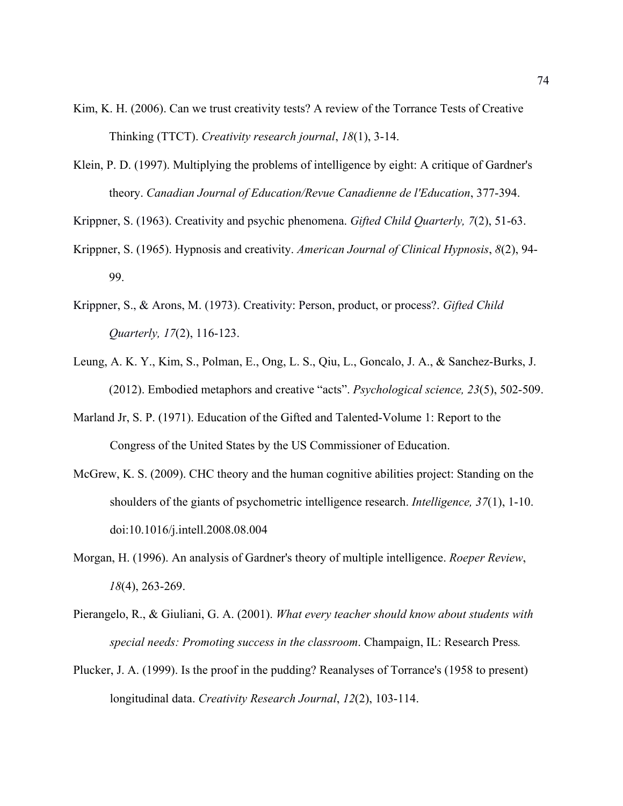- Kim, K. H. (2006). Can we trust creativity tests? A review of the Torrance Tests of Creative Thinking (TTCT). *Creativity research journal*, *18*(1), 3-14.
- Klein, P. D. (1997). Multiplying the problems of intelligence by eight: A critique of Gardner's theory. *Canadian Journal of Education/Revue Canadienne de l'Education*, 377-394.

Krippner, S. (1963). Creativity and psychic phenomena. *Gifted Child Quarterly, 7*(2), 51-63.

- Krippner, S. (1965). Hypnosis and creativity. *American Journal of Clinical Hypnosis*, *8*(2), 94- 99.
- Krippner, S., & Arons, M. (1973). Creativity: Person, product, or process?. *Gifted Child Quarterly, 17*(2), 116-123.
- Leung, A. K. Y., Kim, S., Polman, E., Ong, L. S., Qiu, L., Goncalo, J. A., & Sanchez-Burks, J. (2012). Embodied metaphors and creative "acts". *Psychological science, 23*(5), 502-509.
- Marland Jr, S. P. (1971). Education of the Gifted and Talented-Volume 1: Report to the Congress of the United States by the US Commissioner of Education.
- McGrew, K. S. (2009). CHC theory and the human cognitive abilities project: Standing on the shoulders of the giants of psychometric intelligence research. *Intelligence, 37*(1), 1-10. doi:10.1016/j.intell.2008.08.004
- Morgan, H. (1996). An analysis of Gardner's theory of multiple intelligence. *Roeper Review*, *18*(4), 263-269.
- Pierangelo, R., & Giuliani, G. A. (2001). *What every teacher should know about students with special needs: Promoting success in the classroom*. Champaign, IL: Research Press*.*
- Plucker, J. A. (1999). Is the proof in the pudding? Reanalyses of Torrance's (1958 to present) longitudinal data. *Creativity Research Journal*, *12*(2), 103-114.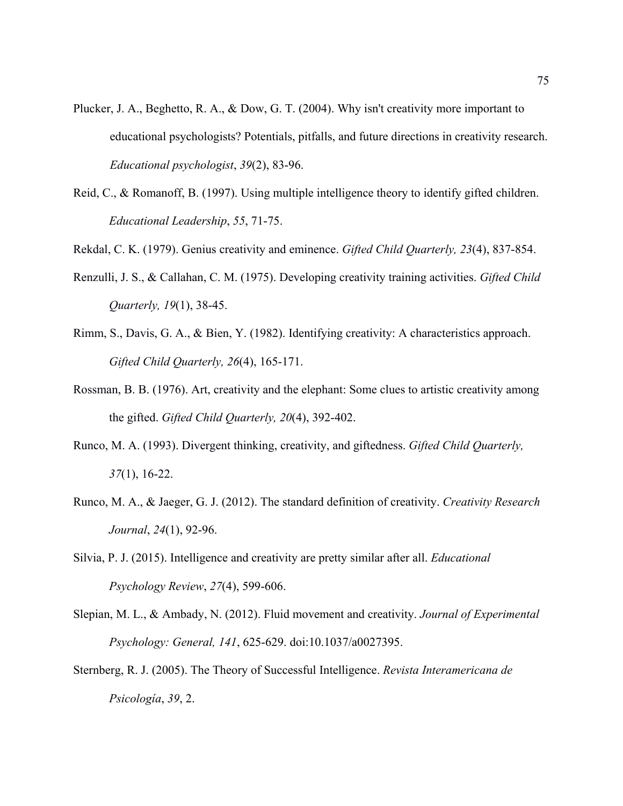- Plucker, J. A., Beghetto, R. A., & Dow, G. T. (2004). Why isn't creativity more important to educational psychologists? Potentials, pitfalls, and future directions in creativity research. *Educational psychologist*, *39*(2), 83-96.
- Reid, C., & Romanoff, B. (1997). Using multiple intelligence theory to identify gifted children. *Educational Leadership*, *55*, 71-75.

Rekdal, C. K. (1979). Genius creativity and eminence. *Gifted Child Quarterly, 23*(4), 837-854.

- Renzulli, J. S., & Callahan, C. M. (1975). Developing creativity training activities. *Gifted Child Quarterly, 19*(1), 38-45.
- Rimm, S., Davis, G. A., & Bien, Y. (1982). Identifying creativity: A characteristics approach. *Gifted Child Quarterly, 26*(4), 165-171.
- Rossman, B. B. (1976). Art, creativity and the elephant: Some clues to artistic creativity among the gifted. *Gifted Child Quarterly, 20*(4), 392-402.
- Runco, M. A. (1993). Divergent thinking, creativity, and giftedness. *Gifted Child Quarterly, 37*(1), 16-22.
- Runco, M. A., & Jaeger, G. J. (2012). The standard definition of creativity. *Creativity Research Journal*, *24*(1), 92-96.
- Silvia, P. J. (2015). Intelligence and creativity are pretty similar after all. *Educational Psychology Review*, *27*(4), 599-606.
- Slepian, M. L., & Ambady, N. (2012). Fluid movement and creativity. *Journal of Experimental Psychology: General, 141*, 625-629. doi:10.1037/a0027395.
- Sternberg, R. J. (2005). The Theory of Successful Intelligence. *Revista Interamericana de Psicología*, *39*, 2.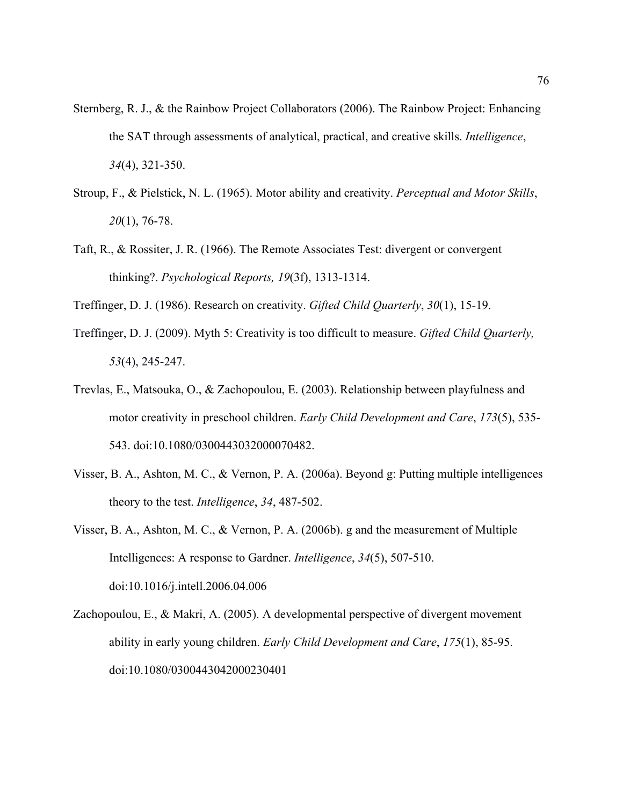- Sternberg, R. J., & the Rainbow Project Collaborators (2006). The Rainbow Project: Enhancing the SAT through assessments of analytical, practical, and creative skills. *Intelligence*, *34*(4), 321-350.
- Stroup, F., & Pielstick, N. L. (1965). Motor ability and creativity. *Perceptual and Motor Skills*, *20*(1), 76-78.
- Taft, R., & Rossiter, J. R. (1966). The Remote Associates Test: divergent or convergent thinking?. *Psychological Reports, 19*(3f), 1313-1314.
- Treffinger, D. J. (1986). Research on creativity. *Gifted Child Quarterly*, *30*(1), 15-19.
- Treffinger, D. J. (2009). Myth 5: Creativity is too difficult to measure. *Gifted Child Quarterly, 53*(4), 245-247.
- Trevlas, E., Matsouka, O., & Zachopoulou, E. (2003). Relationship between playfulness and motor creativity in preschool children. *Early Child Development and Care*, *173*(5), 535- 543. doi:10.1080/0300443032000070482.
- Visser, B. A., Ashton, M. C., & Vernon, P. A. (2006a). Beyond g: Putting multiple intelligences theory to the test. *Intelligence*, *34*, 487-502.
- Visser, B. A., Ashton, M. C., & Vernon, P. A. (2006b). g and the measurement of Multiple Intelligences: A response to Gardner. *Intelligence*, *34*(5), 507-510. doi:10.1016/j.intell.2006.04.006
- Zachopoulou, E., & Makri, A. (2005). A developmental perspective of divergent movement ability in early young children. *Early Child Development and Care*, *175*(1), 85-95. doi:10.1080/0300443042000230401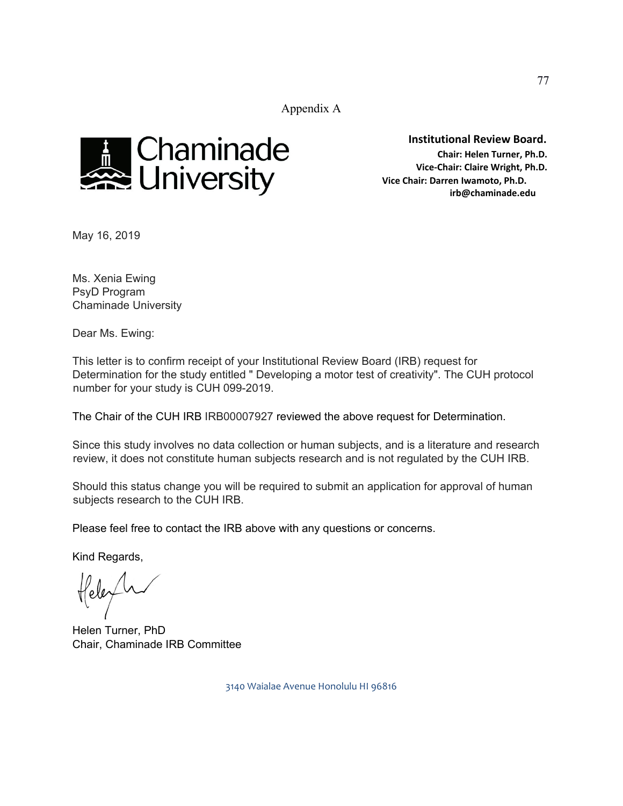Appendix A



**Institutional Review Board. Chair: Helen Turner, Ph.D. Vice-Chair: Claire Wright, Ph.D. Vice Chair: Darren Iwamoto, Ph.D. irb@chaminade.edu** 

May 16, 2019

Ms. Xenia Ewing PsyD Program Chaminade University

Dear Ms. Ewing:

This letter is to confirm receipt of your Institutional Review Board (IRB) request for Determination for the study entitled " Developing a motor test of creativity". The CUH protocol number for your study is CUH 099-2019.

The Chair of the CUH IRB IRB00007927 reviewed the above request for Determination.

Since this study involves no data collection or human subjects, and is a literature and research review, it does not constitute human subjects research and is not regulated by the CUH IRB.

Should this status change you will be required to submit an application for approval of human subjects research to the CUH IRB.

Please feel free to contact the IRB above with any questions or concerns.

Kind Regards,

Helen Turner, PhD Chair, Chaminade IRB Committee

3140 Waialae Avenue Honolulu HI 96816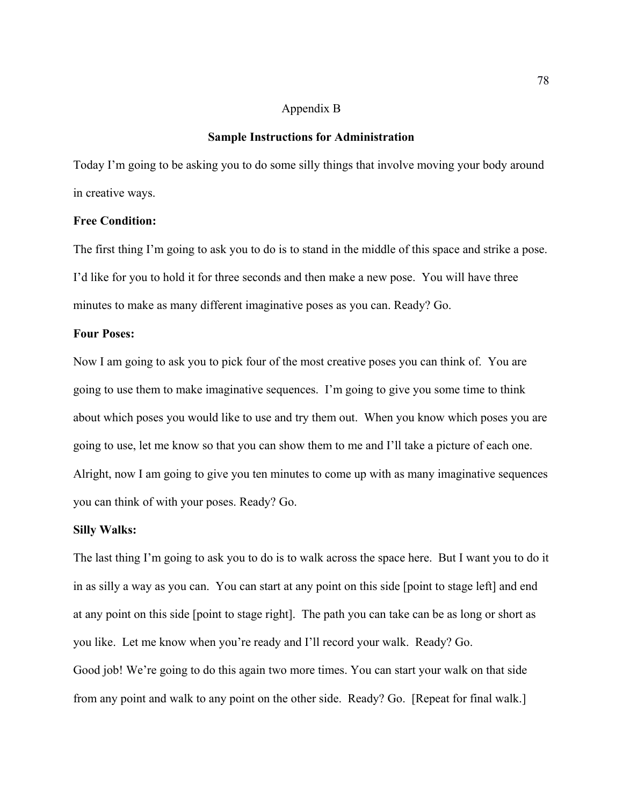## Appendix B

#### **Sample Instructions for Administration**

Today I'm going to be asking you to do some silly things that involve moving your body around in creative ways.

## **Free Condition:**

The first thing I'm going to ask you to do is to stand in the middle of this space and strike a pose. I'd like for you to hold it for three seconds and then make a new pose. You will have three minutes to make as many different imaginative poses as you can. Ready? Go.

#### **Four Poses:**

Now I am going to ask you to pick four of the most creative poses you can think of. You are going to use them to make imaginative sequences. I'm going to give you some time to think about which poses you would like to use and try them out. When you know which poses you are going to use, let me know so that you can show them to me and I'll take a picture of each one. Alright, now I am going to give you ten minutes to come up with as many imaginative sequences you can think of with your poses. Ready? Go.

#### **Silly Walks:**

The last thing I'm going to ask you to do is to walk across the space here. But I want you to do it in as silly a way as you can. You can start at any point on this side [point to stage left] and end at any point on this side [point to stage right]. The path you can take can be as long or short as you like. Let me know when you're ready and I'll record your walk. Ready? Go. Good job! We're going to do this again two more times. You can start your walk on that side from any point and walk to any point on the other side. Ready? Go. [Repeat for final walk.]